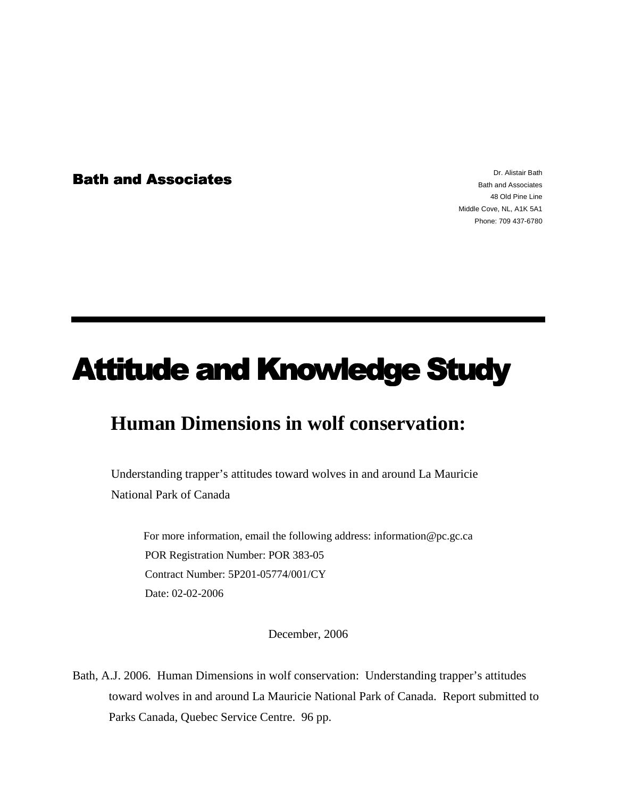**Bath and Associates** 

Dr. Alistair Bath Bath and Associates 48 Old Pine Line Middle Cove, NL, A1K 5A1 Phone: 709 437-6780

# **Attitude and Knowledge Study**

# **Human Dimensions in wolf conservation:**

Understanding trapper's attitudes toward wolves in and around La Mauricie National Park of Canada

For more information, email the following address: information@pc.gc.ca POR Registration Number: POR 383-05 Contract Number: 5P201-05774/001/CY Date: 02-02-2006

December, 2006

Bath, A.J. 2006. Human Dimensions in wolf conservation: Understanding trapper's attitudes toward wolves in and around La Mauricie National Park of Canada. Report submitted to Parks Canada, Quebec Service Centre. 96 pp.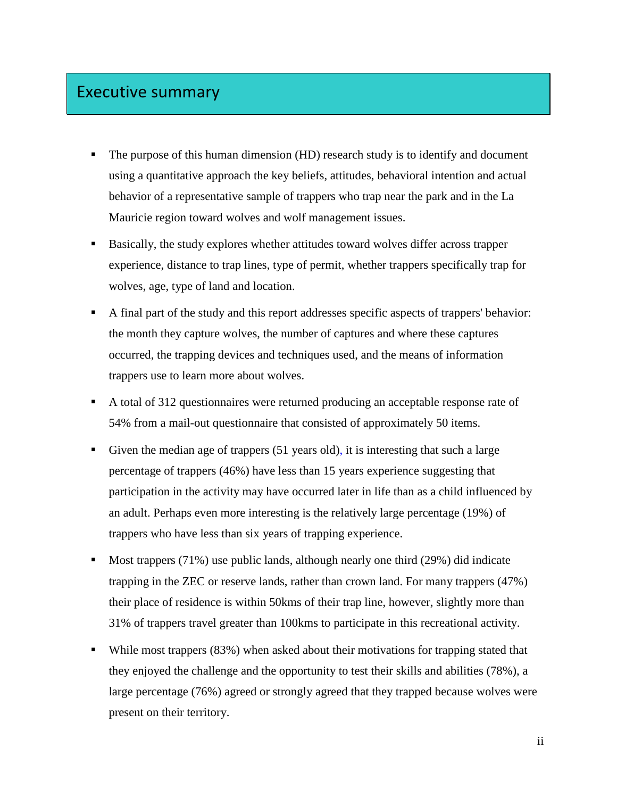## Executive summary

- The purpose of this human dimension (HD) research study is to identify and document using a quantitative approach the key beliefs, attitudes, behavioral intention and actual behavior of a representative sample of trappers who trap near the park and in the La Mauricie region toward wolves and wolf management issues.
- Basically, the study explores whether attitudes toward wolves differ across trapper experience, distance to trap lines, type of permit, whether trappers specifically trap for wolves, age, type of land and location.
- A final part of the study and this report addresses specific aspects of trappers' behavior: the month they capture wolves, the number of captures and where these captures occurred, the trapping devices and techniques used, and the means of information trappers use to learn more about wolves.
- A total of 312 questionnaires were returned producing an acceptable response rate of 54% from a mail-out questionnaire that consisted of approximately 50 items.
- Given the median age of trappers (51 years old), it is interesting that such a large percentage of trappers (46%) have less than 15 years experience suggesting that participation in the activity may have occurred later in life than as a child influenced by an adult. Perhaps even more interesting is the relatively large percentage (19%) of trappers who have less than six years of trapping experience.
- Most trappers (71%) use public lands, although nearly one third (29%) did indicate trapping in the ZEC or reserve lands, rather than crown land. For many trappers (47%) their place of residence is within 50kms of their trap line, however, slightly more than 31% of trappers travel greater than 100kms to participate in this recreational activity.
- While most trappers (83%) when asked about their motivations for trapping stated that they enjoyed the challenge and the opportunity to test their skills and abilities (78%), a large percentage (76%) agreed or strongly agreed that they trapped because wolves were present on their territory.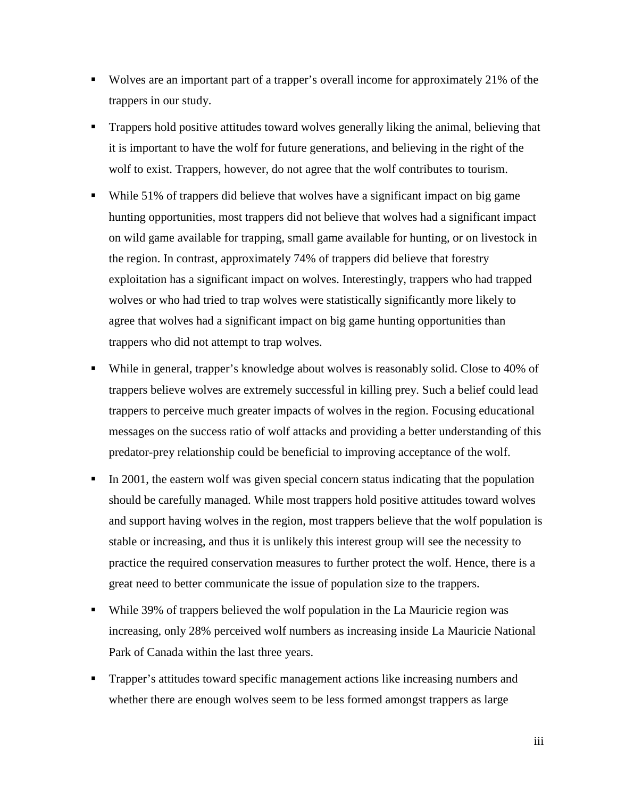- Wolves are an important part of a trapper's overall income for approximately 21% of the trappers in our study.
- **Trappers hold positive attitudes toward wolves generally liking the animal, believing that** it is important to have the wolf for future generations, and believing in the right of the wolf to exist. Trappers, however, do not agree that the wolf contributes to tourism.
- While 51% of trappers did believe that wolves have a significant impact on big game hunting opportunities, most trappers did not believe that wolves had a significant impact on wild game available for trapping, small game available for hunting, or on livestock in the region. In contrast, approximately 74% of trappers did believe that forestry exploitation has a significant impact on wolves. Interestingly, trappers who had trapped wolves or who had tried to trap wolves were statistically significantly more likely to agree that wolves had a significant impact on big game hunting opportunities than trappers who did not attempt to trap wolves.
- While in general, trapper's knowledge about wolves is reasonably solid. Close to 40% of trappers believe wolves are extremely successful in killing prey. Such a belief could lead trappers to perceive much greater impacts of wolves in the region. Focusing educational messages on the success ratio of wolf attacks and providing a better understanding of this predator-prey relationship could be beneficial to improving acceptance of the wolf.
- In 2001, the eastern wolf was given special concern status indicating that the population should be carefully managed. While most trappers hold positive attitudes toward wolves and support having wolves in the region, most trappers believe that the wolf population is stable or increasing, and thus it is unlikely this interest group will see the necessity to practice the required conservation measures to further protect the wolf. Hence, there is a great need to better communicate the issue of population size to the trappers.
- While 39% of trappers believed the wolf population in the La Mauricie region was increasing, only 28% perceived wolf numbers as increasing inside La Mauricie National Park of Canada within the last three years.
- Trapper's attitudes toward specific management actions like increasing numbers and whether there are enough wolves seem to be less formed amongst trappers as large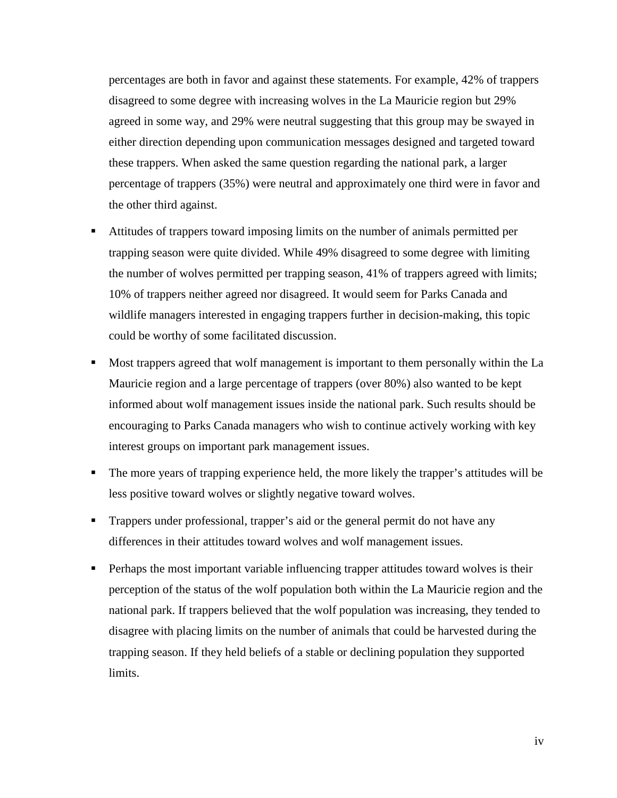percentages are both in favor and against these statements. For example, 42% of trappers disagreed to some degree with increasing wolves in the La Mauricie region but 29% agreed in some way, and 29% were neutral suggesting that this group may be swayed in either direction depending upon communication messages designed and targeted toward these trappers. When asked the same question regarding the national park, a larger percentage of trappers (35%) were neutral and approximately one third were in favor and the other third against.

- Attitudes of trappers toward imposing limits on the number of animals permitted per trapping season were quite divided. While 49% disagreed to some degree with limiting the number of wolves permitted per trapping season, 41% of trappers agreed with limits; 10% of trappers neither agreed nor disagreed. It would seem for Parks Canada and wildlife managers interested in engaging trappers further in decision-making, this topic could be worthy of some facilitated discussion.
- Most trappers agreed that wolf management is important to them personally within the La Mauricie region and a large percentage of trappers (over 80%) also wanted to be kept informed about wolf management issues inside the national park. Such results should be encouraging to Parks Canada managers who wish to continue actively working with key interest groups on important park management issues.
- The more years of trapping experience held, the more likely the trapper's attitudes will be less positive toward wolves or slightly negative toward wolves.
- Trappers under professional, trapper's aid or the general permit do not have any differences in their attitudes toward wolves and wolf management issues.
- **Perhaps the most important variable influencing trapper attitudes toward wolves is their** perception of the status of the wolf population both within the La Mauricie region and the national park. If trappers believed that the wolf population was increasing, they tended to disagree with placing limits on the number of animals that could be harvested during the trapping season. If they held beliefs of a stable or declining population they supported limits.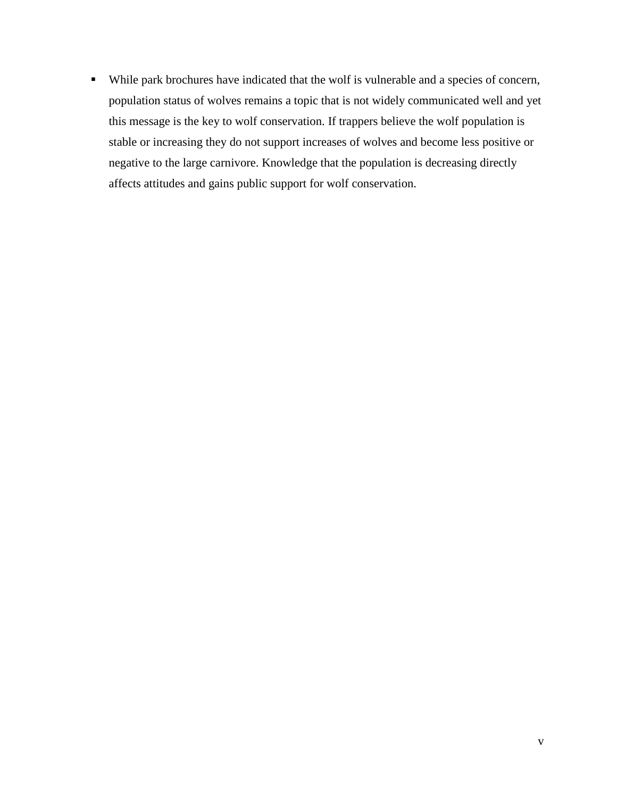While park brochures have indicated that the wolf is vulnerable and a species of concern, population status of wolves remains a topic that is not widely communicated well and yet this message is the key to wolf conservation. If trappers believe the wolf population is stable or increasing they do not support increases of wolves and become less positive or negative to the large carnivore. Knowledge that the population is decreasing directly affects attitudes and gains public support for wolf conservation.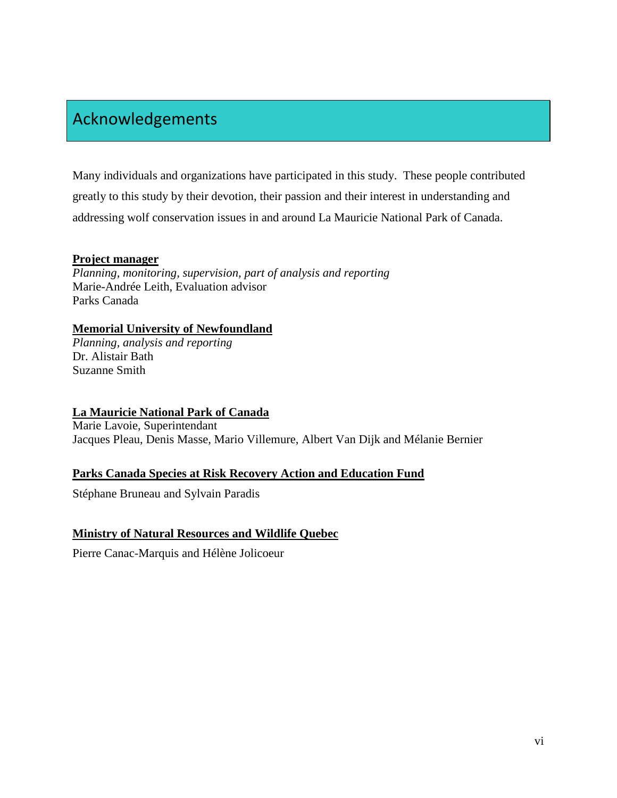# Acknowledgements

Many individuals and organizations have participated in this study. These people contributed greatly to this study by their devotion, their passion and their interest in understanding and addressing wolf conservation issues in and around La Mauricie National Park of Canada.

### **Project manager**

*Planning, monitoring, supervision, part of analysis and reporting*  Marie-Andrée Leith, Evaluation advisor Parks Canada

### **Memorial University of Newfoundland**

*Planning, analysis and reporting*  Dr. Alistair Bath Suzanne Smith

### **La Mauricie National Park of Canada**

Marie Lavoie, Superintendant Jacques Pleau, Denis Masse, Mario Villemure, Albert Van Dijk and Mélanie Bernier

### **Parks Canada Species at Risk Recovery Action and Education Fund**

Stéphane Bruneau and Sylvain Paradis

### **Ministry of Natural Resources and Wildlife Quebec**

Pierre Canac-Marquis and Hélène Jolicoeur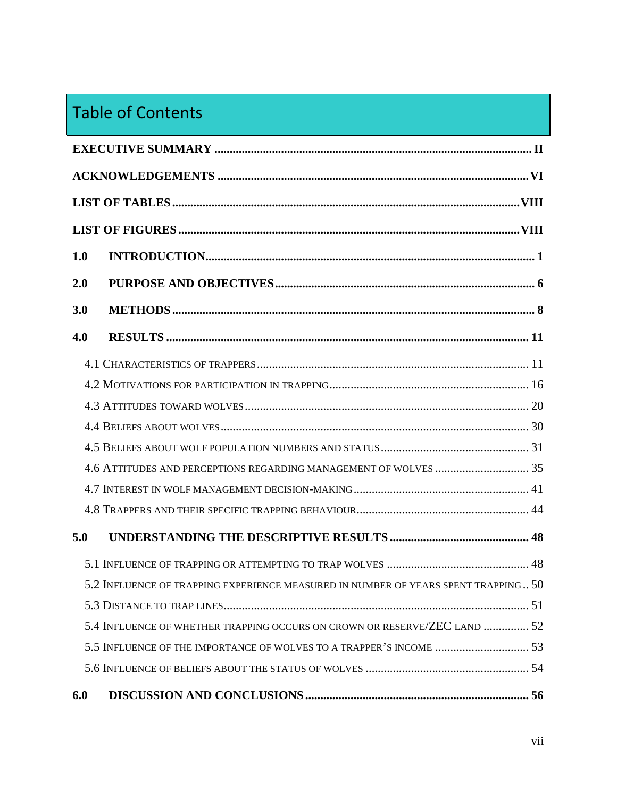# Table of Contents

| 1.0 |                                                                                    |  |  |  |
|-----|------------------------------------------------------------------------------------|--|--|--|
| 2.0 |                                                                                    |  |  |  |
| 3.0 |                                                                                    |  |  |  |
| 4.0 |                                                                                    |  |  |  |
|     |                                                                                    |  |  |  |
|     |                                                                                    |  |  |  |
|     |                                                                                    |  |  |  |
|     |                                                                                    |  |  |  |
|     |                                                                                    |  |  |  |
|     | 4.6 ATTITUDES AND PERCEPTIONS REGARDING MANAGEMENT OF WOLVES  35                   |  |  |  |
|     |                                                                                    |  |  |  |
|     |                                                                                    |  |  |  |
| 5.0 |                                                                                    |  |  |  |
|     |                                                                                    |  |  |  |
|     | 5.2 INFLUENCE OF TRAPPING EXPERIENCE MEASURED IN NUMBER OF YEARS SPENT TRAPPING 50 |  |  |  |
|     |                                                                                    |  |  |  |
|     | 5.4 INFLUENCE OF WHETHER TRAPPING OCCURS ON CROWN OR RESERVE/ZEC LAND  52          |  |  |  |
|     | 5.5 INFLUENCE OF THE IMPORTANCE OF WOLVES TO A TRAPPER'S INCOME  53                |  |  |  |
|     |                                                                                    |  |  |  |
| 6.0 |                                                                                    |  |  |  |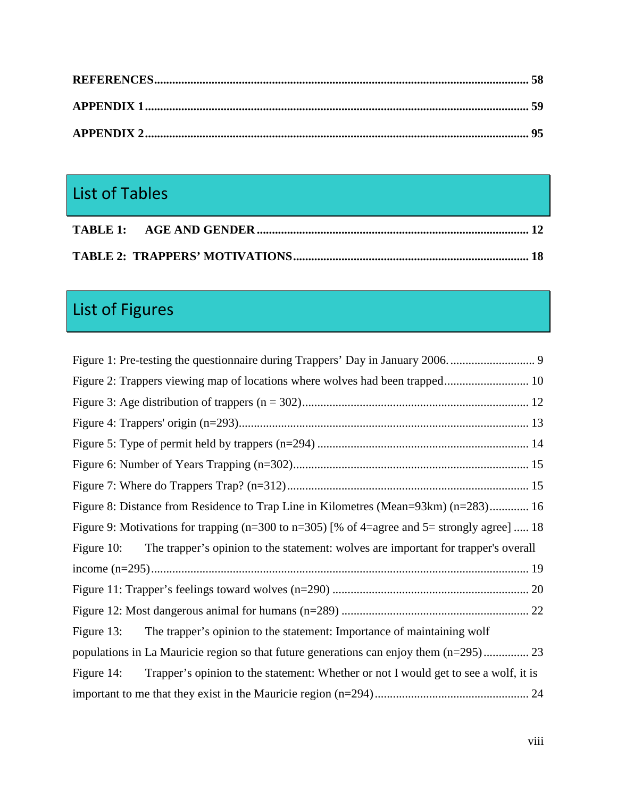# List of Tables

# List of Figures

| Figure 8: Distance from Residence to Trap Line in Kilometres (Mean=93km) (n=283) 16                |  |  |  |
|----------------------------------------------------------------------------------------------------|--|--|--|
| Figure 9: Motivations for trapping ( $n=300$ to $n=305$ ) [% of 4=agree and 5= strongly agree]  18 |  |  |  |
| The trapper's opinion to the statement: wolves are important for trapper's overall<br>Figure 10:   |  |  |  |
|                                                                                                    |  |  |  |
|                                                                                                    |  |  |  |
|                                                                                                    |  |  |  |
| The trapper's opinion to the statement: Importance of maintaining wolf<br>Figure $13$ :            |  |  |  |
| populations in La Mauricie region so that future generations can enjoy them (n=295) 23             |  |  |  |
| Trapper's opinion to the statement: Whether or not I would get to see a wolf, it is<br>Figure 14:  |  |  |  |
|                                                                                                    |  |  |  |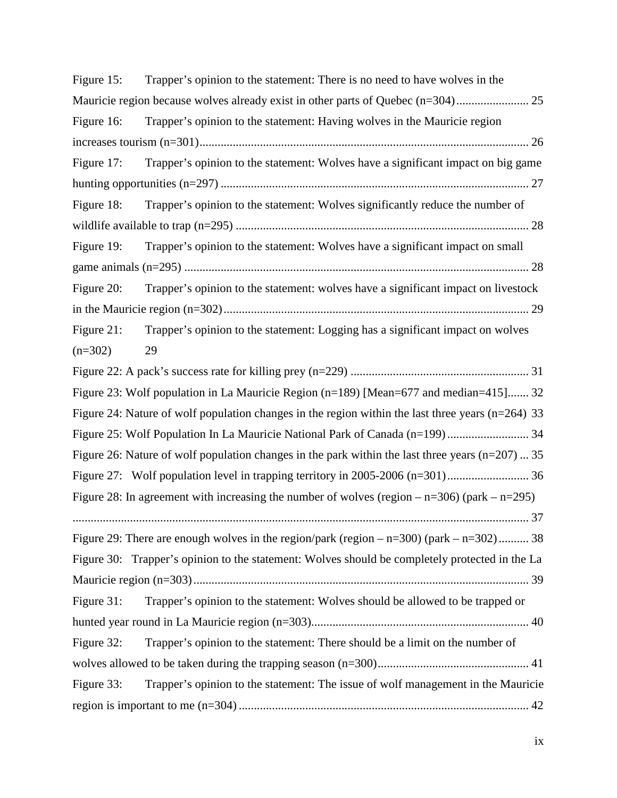| Figure 15: | Trapper's opinion to the statement: There is no need to have wolves in the                            |
|------------|-------------------------------------------------------------------------------------------------------|
|            | Mauricie region because wolves already exist in other parts of Quebec (n=304)                         |
| Figure 16: | Trapper's opinion to the statement: Having wolves in the Mauricie region                              |
|            |                                                                                                       |
| Figure 17: | Trapper's opinion to the statement: Wolves have a significant impact on big game                      |
|            |                                                                                                       |
| Figure 18: | Trapper's opinion to the statement: Wolves significantly reduce the number of                         |
|            |                                                                                                       |
| Figure 19: | Trapper's opinion to the statement: Wolves have a significant impact on small                         |
|            |                                                                                                       |
| Figure 20: | Trapper's opinion to the statement: wolves have a significant impact on livestock                     |
|            |                                                                                                       |
| Figure 21: | Trapper's opinion to the statement: Logging has a significant impact on wolves                        |
| $(n=302)$  | 29                                                                                                    |
|            |                                                                                                       |
|            | Figure 23: Wolf population in La Mauricie Region (n=189) [Mean=677 and median=415] 32                 |
|            | Figure 24: Nature of wolf population changes in the region within the last three years ( $n=264$ ) 33 |
|            |                                                                                                       |
|            | Figure 26: Nature of wolf population changes in the park within the last three years $(n=207)$ 35     |
|            |                                                                                                       |
|            | Figure 28: In agreement with increasing the number of wolves (region $-n=306$ ) (park $-n=295$ )      |
|            |                                                                                                       |
|            | Figure 29: There are enough wolves in the region/park (region $-$ n=300) (park $-$ n=302)  38         |
|            | Figure 30: Trapper's opinion to the statement: Wolves should be completely protected in the La        |
|            |                                                                                                       |
| Figure 31: | Trapper's opinion to the statement: Wolves should be allowed to be trapped or                         |
|            |                                                                                                       |
| Figure 32: | Trapper's opinion to the statement: There should be a limit on the number of                          |
|            |                                                                                                       |
| Figure 33: | Trapper's opinion to the statement: The issue of wolf management in the Mauricie                      |
|            |                                                                                                       |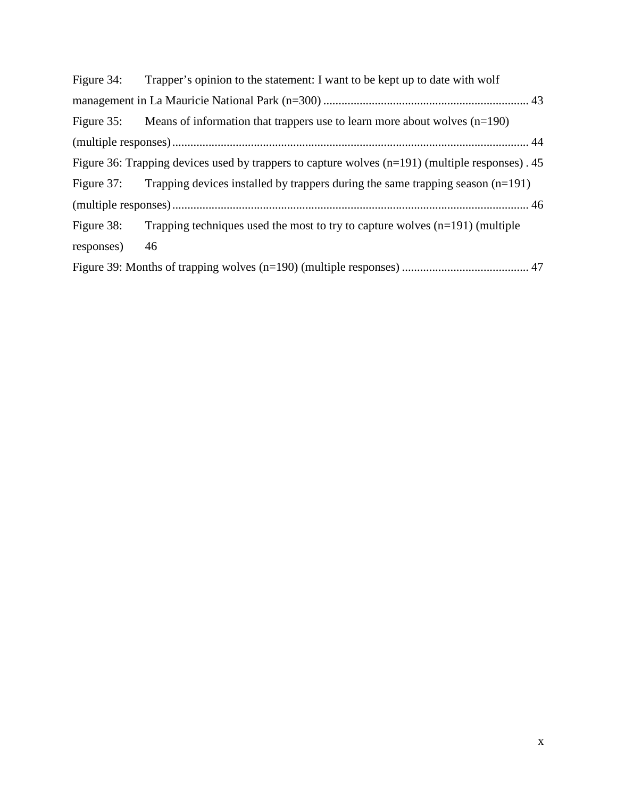| Figure 34: | Trapper's opinion to the statement: I want to be kept up to date with wolf                        |  |  |
|------------|---------------------------------------------------------------------------------------------------|--|--|
|            |                                                                                                   |  |  |
|            | Figure 35: Means of information that trappers use to learn more about wolves $(n=190)$            |  |  |
|            |                                                                                                   |  |  |
|            | Figure 36: Trapping devices used by trappers to capture wolves $(n=191)$ (multiple responses). 45 |  |  |
|            | Figure 37: Trapping devices installed by trappers during the same trapping season $(n=191)$       |  |  |
|            |                                                                                                   |  |  |
| Figure 38: | Trapping techniques used the most to try to capture wolves $(n=191)$ (multiple                    |  |  |
| responses) | 46                                                                                                |  |  |
|            |                                                                                                   |  |  |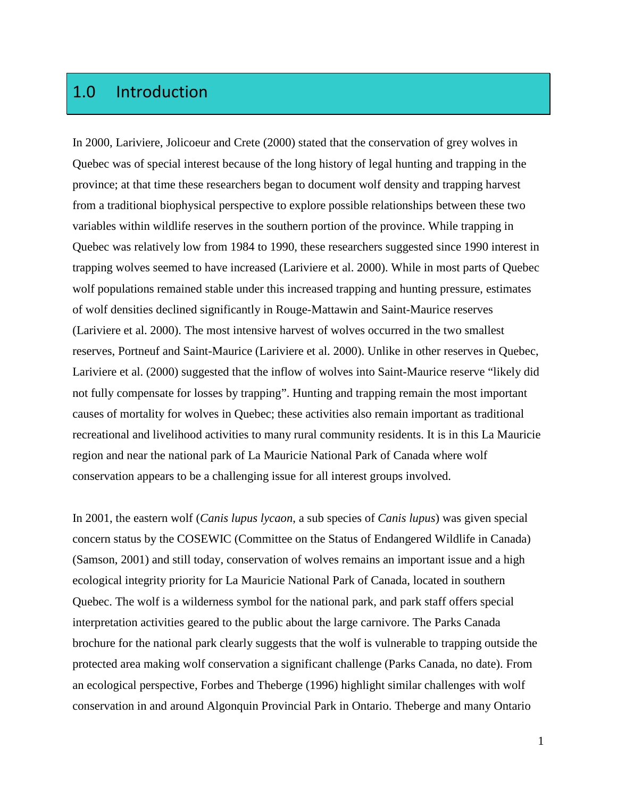# 1.0 Introduction

In 2000, Lariviere, Jolicoeur and Crete (2000) stated that the conservation of grey wolves in Quebec was of special interest because of the long history of legal hunting and trapping in the province; at that time these researchers began to document wolf density and trapping harvest from a traditional biophysical perspective to explore possible relationships between these two variables within wildlife reserves in the southern portion of the province. While trapping in Quebec was relatively low from 1984 to 1990, these researchers suggested since 1990 interest in trapping wolves seemed to have increased (Lariviere et al. 2000). While in most parts of Quebec wolf populations remained stable under this increased trapping and hunting pressure, estimates of wolf densities declined significantly in Rouge-Mattawin and Saint-Maurice reserves (Lariviere et al. 2000). The most intensive harvest of wolves occurred in the two smallest reserves, Portneuf and Saint-Maurice (Lariviere et al. 2000). Unlike in other reserves in Quebec, Lariviere et al. (2000) suggested that the inflow of wolves into Saint-Maurice reserve "likely did not fully compensate for losses by trapping". Hunting and trapping remain the most important causes of mortality for wolves in Quebec; these activities also remain important as traditional recreational and livelihood activities to many rural community residents. It is in this La Mauricie region and near the national park of La Mauricie National Park of Canada where wolf conservation appears to be a challenging issue for all interest groups involved.

In 2001, the eastern wolf (*Canis lupus lycaon*, a sub species of *Canis lupus*) was given special concern status by the COSEWIC (Committee on the Status of Endangered Wildlife in Canada) (Samson, 2001) and still today, conservation of wolves remains an important issue and a high ecological integrity priority for La Mauricie National Park of Canada, located in southern Quebec. The wolf is a wilderness symbol for the national park, and park staff offers special interpretation activities geared to the public about the large carnivore. The Parks Canada brochure for the national park clearly suggests that the wolf is vulnerable to trapping outside the protected area making wolf conservation a significant challenge (Parks Canada, no date). From an ecological perspective, Forbes and Theberge (1996) highlight similar challenges with wolf conservation in and around Algonquin Provincial Park in Ontario. Theberge and many Ontario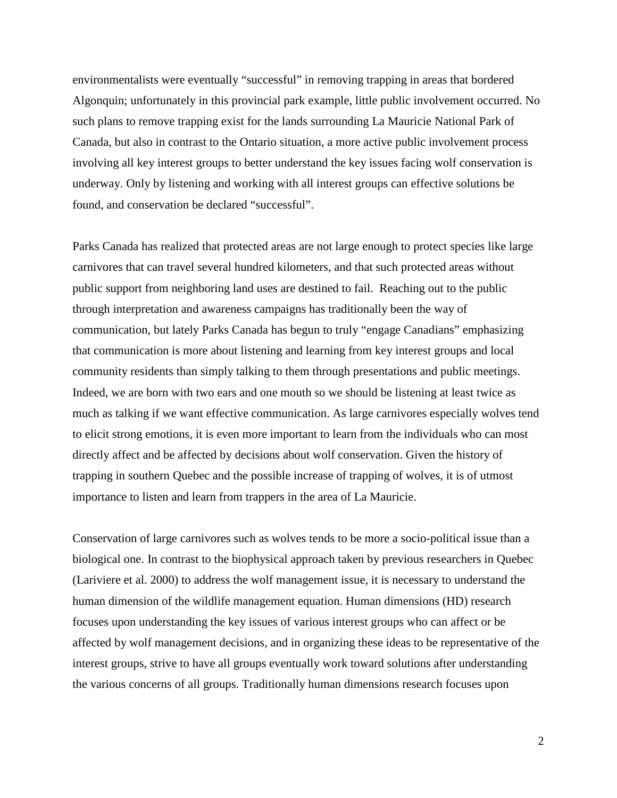environmentalists were eventually "successful" in removing trapping in areas that bordered Algonquin; unfortunately in this provincial park example, little public involvement occurred. No such plans to remove trapping exist for the lands surrounding La Mauricie National Park of Canada, but also in contrast to the Ontario situation, a more active public involvement process involving all key interest groups to better understand the key issues facing wolf conservation is underway. Only by listening and working with all interest groups can effective solutions be found, and conservation be declared "successful".

Parks Canada has realized that protected areas are not large enough to protect species like large carnivores that can travel several hundred kilometers, and that such protected areas without public support from neighboring land uses are destined to fail. Reaching out to the public through interpretation and awareness campaigns has traditionally been the way of communication, but lately Parks Canada has begun to truly "engage Canadians" emphasizing that communication is more about listening and learning from key interest groups and local community residents than simply talking to them through presentations and public meetings. Indeed, we are born with two ears and one mouth so we should be listening at least twice as much as talking if we want effective communication. As large carnivores especially wolves tend to elicit strong emotions, it is even more important to learn from the individuals who can most directly affect and be affected by decisions about wolf conservation. Given the history of trapping in southern Quebec and the possible increase of trapping of wolves, it is of utmost importance to listen and learn from trappers in the area of La Mauricie.

Conservation of large carnivores such as wolves tends to be more a socio-political issue than a biological one. In contrast to the biophysical approach taken by previous researchers in Quebec (Lariviere et al. 2000) to address the wolf management issue, it is necessary to understand the human dimension of the wildlife management equation. Human dimensions (HD) research focuses upon understanding the key issues of various interest groups who can affect or be affected by wolf management decisions, and in organizing these ideas to be representative of the interest groups, strive to have all groups eventually work toward solutions after understanding the various concerns of all groups. Traditionally human dimensions research focuses upon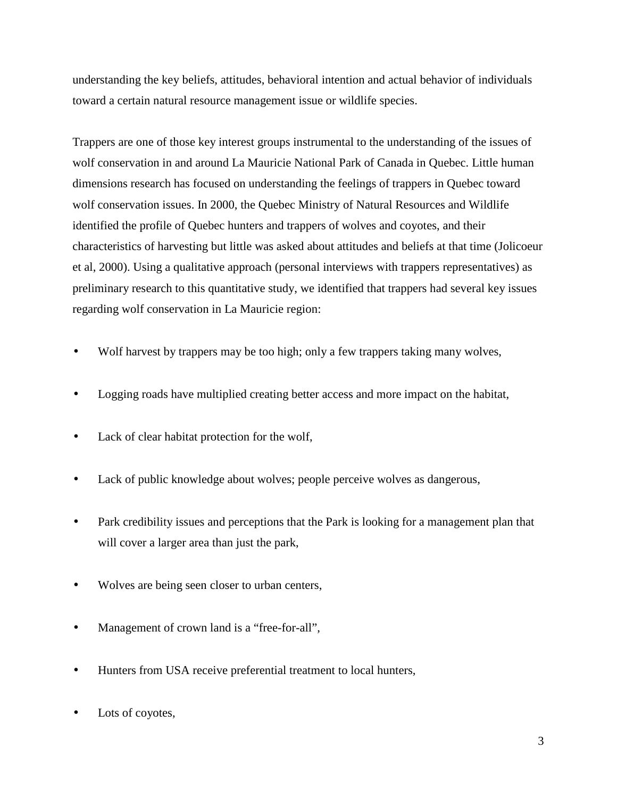understanding the key beliefs, attitudes, behavioral intention and actual behavior of individuals toward a certain natural resource management issue or wildlife species.

Trappers are one of those key interest groups instrumental to the understanding of the issues of wolf conservation in and around La Mauricie National Park of Canada in Quebec. Little human dimensions research has focused on understanding the feelings of trappers in Quebec toward wolf conservation issues. In 2000, the Quebec Ministry of Natural Resources and Wildlife identified the profile of Quebec hunters and trappers of wolves and coyotes, and their characteristics of harvesting but little was asked about attitudes and beliefs at that time (Jolicoeur et al, 2000). Using a qualitative approach (personal interviews with trappers representatives) as preliminary research to this quantitative study, we identified that trappers had several key issues regarding wolf conservation in La Mauricie region:

- Wolf harvest by trappers may be too high; only a few trappers taking many wolves,
- Logging roads have multiplied creating better access and more impact on the habitat,
- Lack of clear habitat protection for the wolf,
- Lack of public knowledge about wolves; people perceive wolves as dangerous,
- Park credibility issues and perceptions that the Park is looking for a management plan that will cover a larger area than just the park,
- Wolves are being seen closer to urban centers,
- Management of crown land is a "free-for-all",
- Hunters from USA receive preferential treatment to local hunters,
- Lots of coyotes,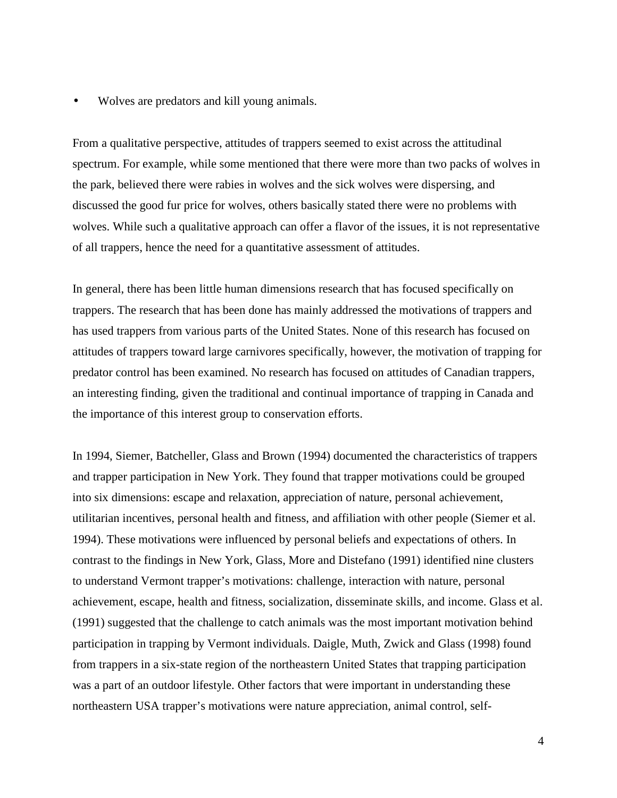• Wolves are predators and kill young animals.

From a qualitative perspective, attitudes of trappers seemed to exist across the attitudinal spectrum. For example, while some mentioned that there were more than two packs of wolves in the park, believed there were rabies in wolves and the sick wolves were dispersing, and discussed the good fur price for wolves, others basically stated there were no problems with wolves. While such a qualitative approach can offer a flavor of the issues, it is not representative of all trappers, hence the need for a quantitative assessment of attitudes.

In general, there has been little human dimensions research that has focused specifically on trappers. The research that has been done has mainly addressed the motivations of trappers and has used trappers from various parts of the United States. None of this research has focused on attitudes of trappers toward large carnivores specifically, however, the motivation of trapping for predator control has been examined. No research has focused on attitudes of Canadian trappers, an interesting finding, given the traditional and continual importance of trapping in Canada and the importance of this interest group to conservation efforts.

In 1994, Siemer, Batcheller, Glass and Brown (1994) documented the characteristics of trappers and trapper participation in New York. They found that trapper motivations could be grouped into six dimensions: escape and relaxation, appreciation of nature, personal achievement, utilitarian incentives, personal health and fitness, and affiliation with other people (Siemer et al. 1994). These motivations were influenced by personal beliefs and expectations of others. In contrast to the findings in New York, Glass, More and Distefano (1991) identified nine clusters to understand Vermont trapper's motivations: challenge, interaction with nature, personal achievement, escape, health and fitness, socialization, disseminate skills, and income. Glass et al. (1991) suggested that the challenge to catch animals was the most important motivation behind participation in trapping by Vermont individuals. Daigle, Muth, Zwick and Glass (1998) found from trappers in a six-state region of the northeastern United States that trapping participation was a part of an outdoor lifestyle. Other factors that were important in understanding these northeastern USA trapper's motivations were nature appreciation, animal control, self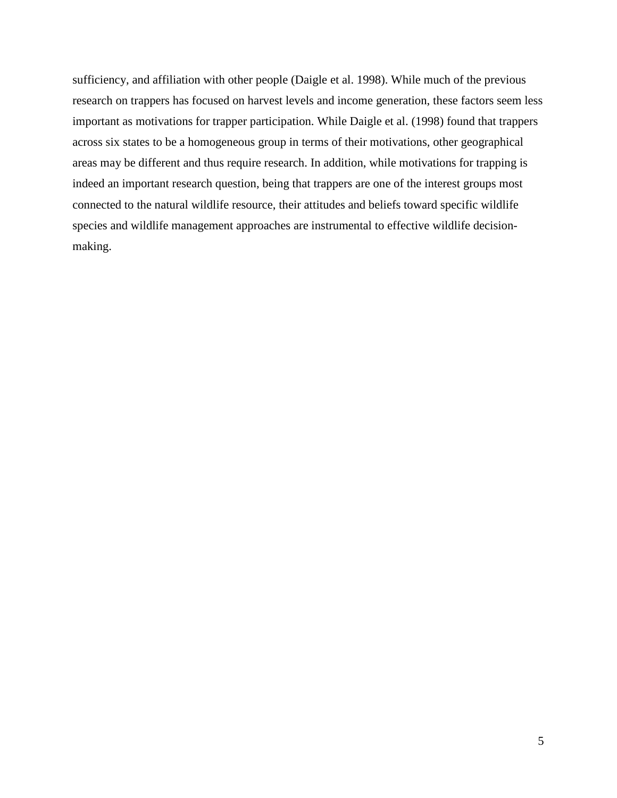sufficiency, and affiliation with other people (Daigle et al. 1998). While much of the previous research on trappers has focused on harvest levels and income generation, these factors seem less important as motivations for trapper participation. While Daigle et al. (1998) found that trappers across six states to be a homogeneous group in terms of their motivations, other geographical areas may be different and thus require research. In addition, while motivations for trapping is indeed an important research question, being that trappers are one of the interest groups most connected to the natural wildlife resource, their attitudes and beliefs toward specific wildlife species and wildlife management approaches are instrumental to effective wildlife decisionmaking.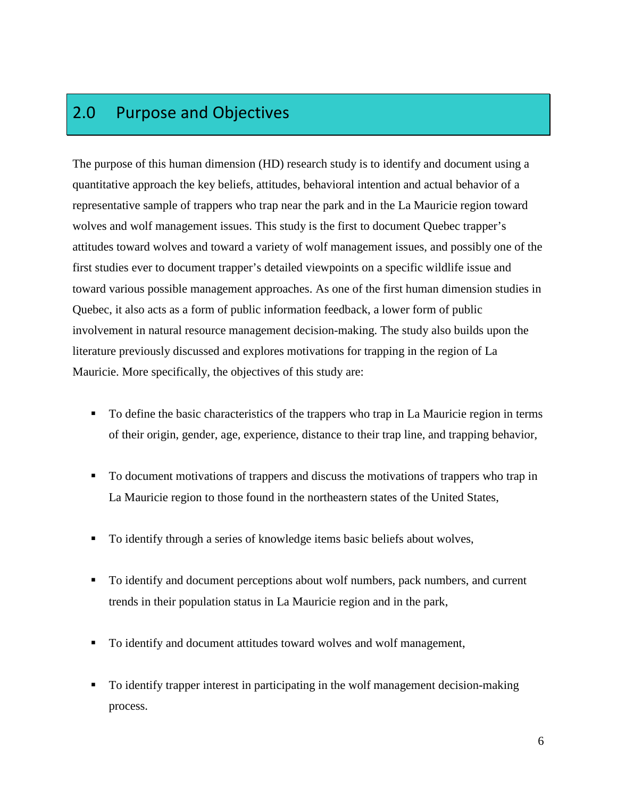### 2.0 Purpose and Objectives

The purpose of this human dimension (HD) research study is to identify and document using a quantitative approach the key beliefs, attitudes, behavioral intention and actual behavior of a representative sample of trappers who trap near the park and in the La Mauricie region toward wolves and wolf management issues. This study is the first to document Quebec trapper's attitudes toward wolves and toward a variety of wolf management issues, and possibly one of the first studies ever to document trapper's detailed viewpoints on a specific wildlife issue and toward various possible management approaches. As one of the first human dimension studies in Quebec, it also acts as a form of public information feedback, a lower form of public involvement in natural resource management decision-making. The study also builds upon the literature previously discussed and explores motivations for trapping in the region of La Mauricie. More specifically, the objectives of this study are:

- To define the basic characteristics of the trappers who trap in La Mauricie region in terms of their origin, gender, age, experience, distance to their trap line, and trapping behavior,
- To document motivations of trappers and discuss the motivations of trappers who trap in La Mauricie region to those found in the northeastern states of the United States,
- To identify through a series of knowledge items basic beliefs about wolves,
- To identify and document perceptions about wolf numbers, pack numbers, and current trends in their population status in La Mauricie region and in the park,
- To identify and document attitudes toward wolves and wolf management,
- To identify trapper interest in participating in the wolf management decision-making process.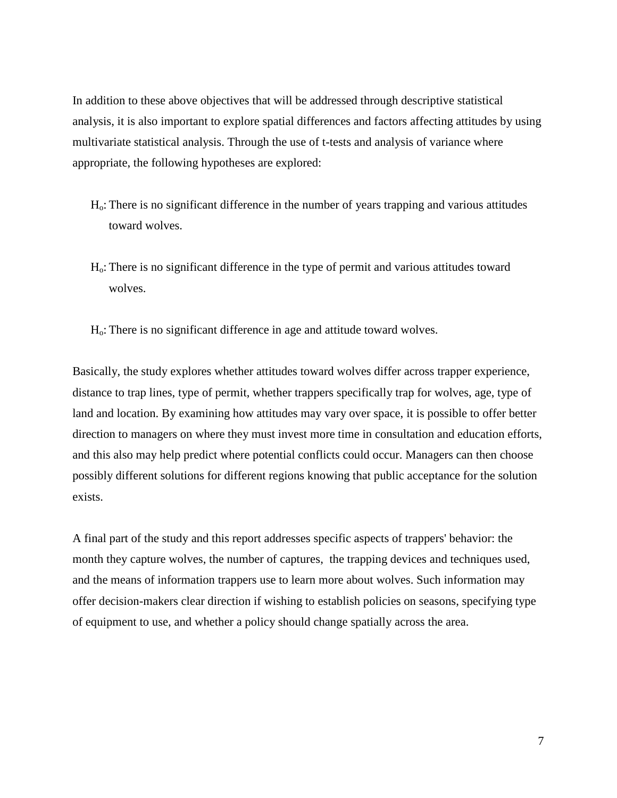In addition to these above objectives that will be addressed through descriptive statistical analysis, it is also important to explore spatial differences and factors affecting attitudes by using multivariate statistical analysis. Through the use of t-tests and analysis of variance where appropriate, the following hypotheses are explored:

- Ho: There is no significant difference in the number of years trapping and various attitudes toward wolves.
- Ho: There is no significant difference in the type of permit and various attitudes toward wolves.
- Ho: There is no significant difference in age and attitude toward wolves.

Basically, the study explores whether attitudes toward wolves differ across trapper experience, distance to trap lines, type of permit, whether trappers specifically trap for wolves, age, type of land and location. By examining how attitudes may vary over space, it is possible to offer better direction to managers on where they must invest more time in consultation and education efforts, and this also may help predict where potential conflicts could occur. Managers can then choose possibly different solutions for different regions knowing that public acceptance for the solution exists.

A final part of the study and this report addresses specific aspects of trappers' behavior: the month they capture wolves, the number of captures, the trapping devices and techniques used, and the means of information trappers use to learn more about wolves. Such information may offer decision-makers clear direction if wishing to establish policies on seasons, specifying type of equipment to use, and whether a policy should change spatially across the area.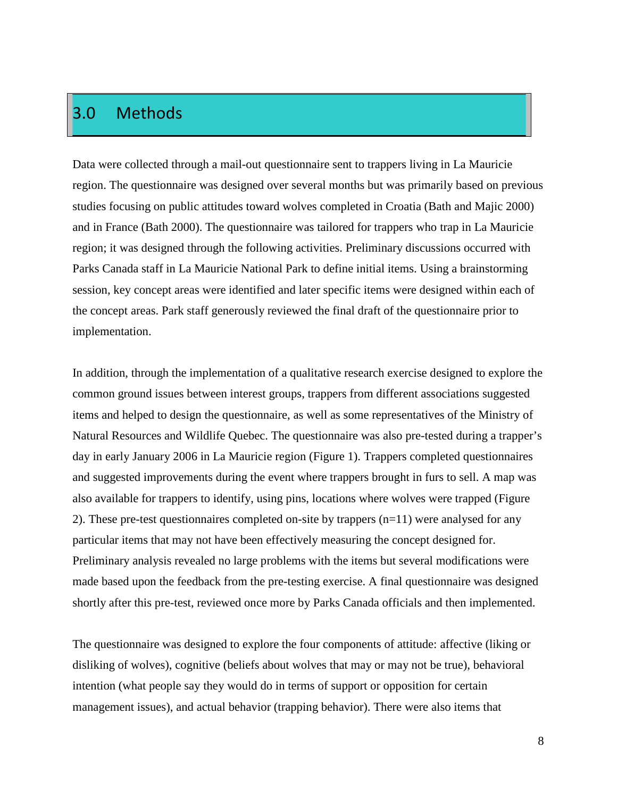### 3.0 Methods

Data were collected through a mail-out questionnaire sent to trappers living in La Mauricie region. The questionnaire was designed over several months but was primarily based on previous studies focusing on public attitudes toward wolves completed in Croatia (Bath and Majic 2000) and in France (Bath 2000). The questionnaire was tailored for trappers who trap in La Mauricie region; it was designed through the following activities. Preliminary discussions occurred with Parks Canada staff in La Mauricie National Park to define initial items. Using a brainstorming session, key concept areas were identified and later specific items were designed within each of the concept areas. Park staff generously reviewed the final draft of the questionnaire prior to implementation.

In addition, through the implementation of a qualitative research exercise designed to explore the common ground issues between interest groups, trappers from different associations suggested items and helped to design the questionnaire, as well as some representatives of the Ministry of Natural Resources and Wildlife Quebec. The questionnaire was also pre-tested during a trapper's day in early January 2006 in La Mauricie region (Figure 1). Trappers completed questionnaires and suggested improvements during the event where trappers brought in furs to sell. A map was also available for trappers to identify, using pins, locations where wolves were trapped (Figure 2). These pre-test questionnaires completed on-site by trappers (n=11) were analysed for any particular items that may not have been effectively measuring the concept designed for. Preliminary analysis revealed no large problems with the items but several modifications were made based upon the feedback from the pre-testing exercise. A final questionnaire was designed shortly after this pre-test, reviewed once more by Parks Canada officials and then implemented.

The questionnaire was designed to explore the four components of attitude: affective (liking or disliking of wolves), cognitive (beliefs about wolves that may or may not be true), behavioral intention (what people say they would do in terms of support or opposition for certain management issues), and actual behavior (trapping behavior). There were also items that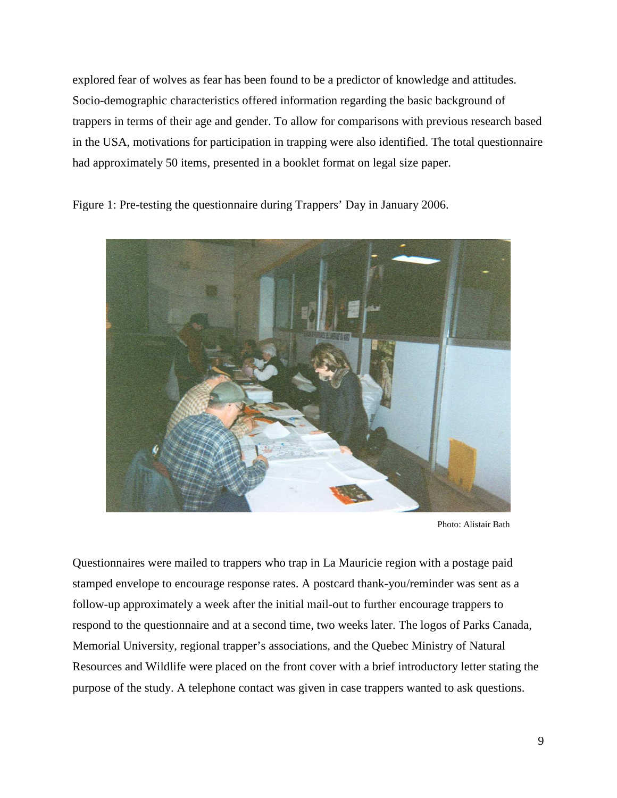explored fear of wolves as fear has been found to be a predictor of knowledge and attitudes. Socio-demographic characteristics offered information regarding the basic background of trappers in terms of their age and gender. To allow for comparisons with previous research based in the USA, motivations for participation in trapping were also identified. The total questionnaire had approximately 50 items, presented in a booklet format on legal size paper.

Figure 1: Pre-testing the questionnaire during Trappers' Day in January 2006.



Photo: Alistair Bath

Questionnaires were mailed to trappers who trap in La Mauricie region with a postage paid stamped envelope to encourage response rates. A postcard thank-you/reminder was sent as a follow-up approximately a week after the initial mail-out to further encourage trappers to respond to the questionnaire and at a second time, two weeks later. The logos of Parks Canada, Memorial University, regional trapper's associations, and the Quebec Ministry of Natural Resources and Wildlife were placed on the front cover with a brief introductory letter stating the purpose of the study. A telephone contact was given in case trappers wanted to ask questions.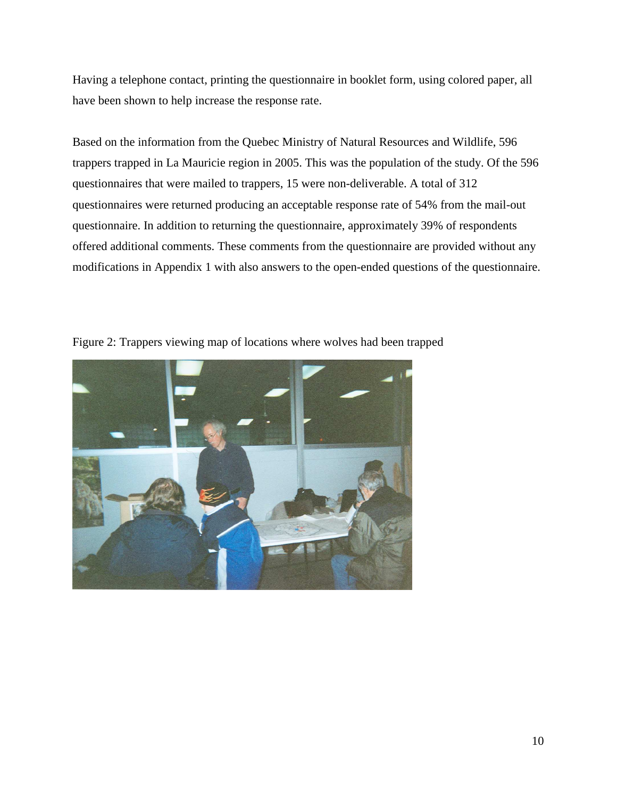Having a telephone contact, printing the questionnaire in booklet form, using colored paper, all have been shown to help increase the response rate.

Based on the information from the Quebec Ministry of Natural Resources and Wildlife, 596 trappers trapped in La Mauricie region in 2005. This was the population of the study. Of the 596 questionnaires that were mailed to trappers, 15 were non-deliverable. A total of 312 questionnaires were returned producing an acceptable response rate of 54% from the mail-out questionnaire. In addition to returning the questionnaire, approximately 39% of respondents offered additional comments. These comments from the questionnaire are provided without any modifications in Appendix 1 with also answers to the open-ended questions of the questionnaire.



Figure 2: Trappers viewing map of locations where wolves had been trapped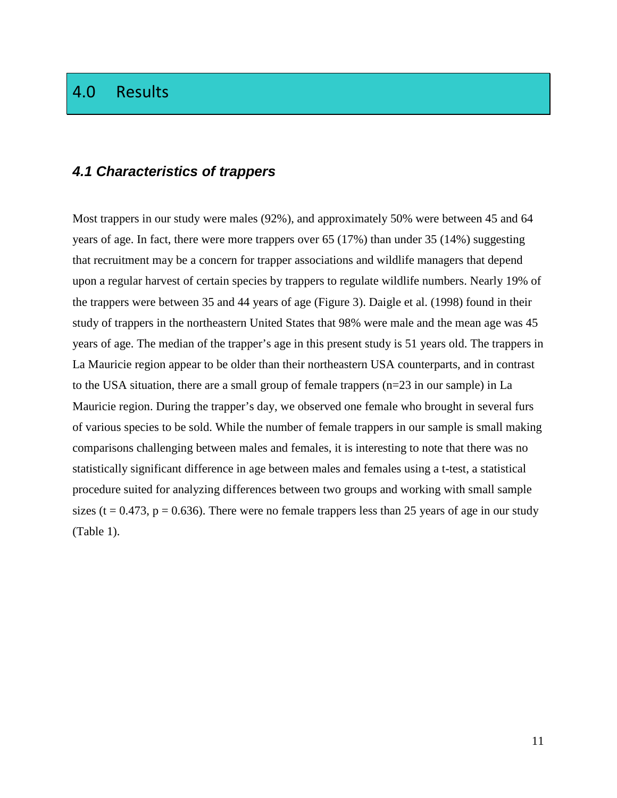### 4.0 Results

### **4.1 Characteristics of trappers**

Most trappers in our study were males (92%), and approximately 50% were between 45 and 64 years of age. In fact, there were more trappers over 65 (17%) than under 35 (14%) suggesting that recruitment may be a concern for trapper associations and wildlife managers that depend upon a regular harvest of certain species by trappers to regulate wildlife numbers. Nearly 19% of the trappers were between 35 and 44 years of age (Figure 3). Daigle et al. (1998) found in their study of trappers in the northeastern United States that 98% were male and the mean age was 45 years of age. The median of the trapper's age in this present study is 51 years old. The trappers in La Mauricie region appear to be older than their northeastern USA counterparts, and in contrast to the USA situation, there are a small group of female trappers (n=23 in our sample) in La Mauricie region. During the trapper's day, we observed one female who brought in several furs of various species to be sold. While the number of female trappers in our sample is small making comparisons challenging between males and females, it is interesting to note that there was no statistically significant difference in age between males and females using a t-test, a statistical procedure suited for analyzing differences between two groups and working with small sample sizes (t =  $0.473$ , p =  $0.636$ ). There were no female trappers less than 25 years of age in our study (Table 1).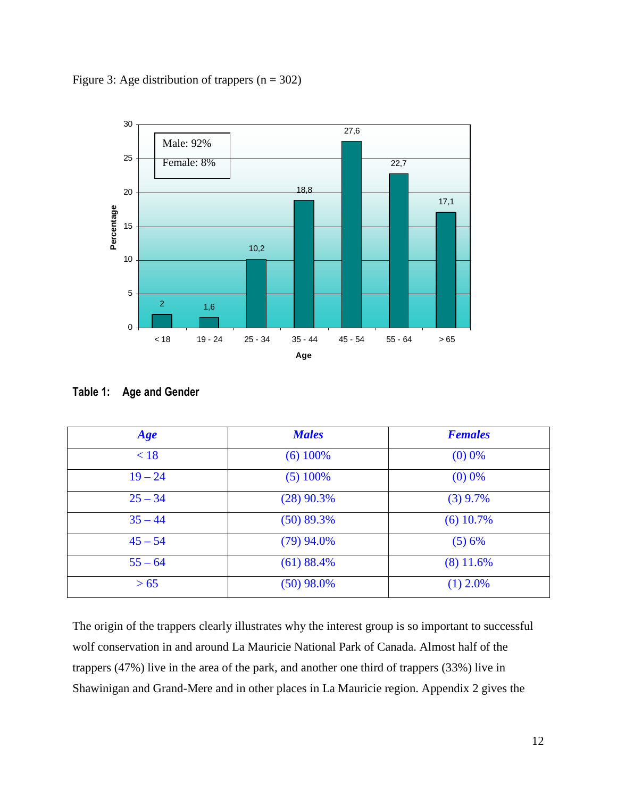



| Age       | <b>Males</b> | <b>Females</b> |
|-----------|--------------|----------------|
| < 18      | $(6)$ 100%   | $(0)$ 0%       |
| $19 - 24$ | $(5)$ 100%   | $(0)$ 0%       |
| $25 - 34$ | $(28)$ 90.3% | $(3)$ 9.7%     |
| $35 - 44$ | $(50)$ 89.3% | $(6)$ 10.7%    |
| $45 - 54$ | $(79)$ 94.0% | (5) 6%         |
| $55 - 64$ | $(61)$ 88.4% | $(8)$ 11.6%    |
| > 65      | $(50)$ 98.0% | $(1)$ 2.0%     |

The origin of the trappers clearly illustrates why the interest group is so important to successful wolf conservation in and around La Mauricie National Park of Canada. Almost half of the trappers (47%) live in the area of the park, and another one third of trappers (33%) live in Shawinigan and Grand-Mere and in other places in La Mauricie region. Appendix 2 gives the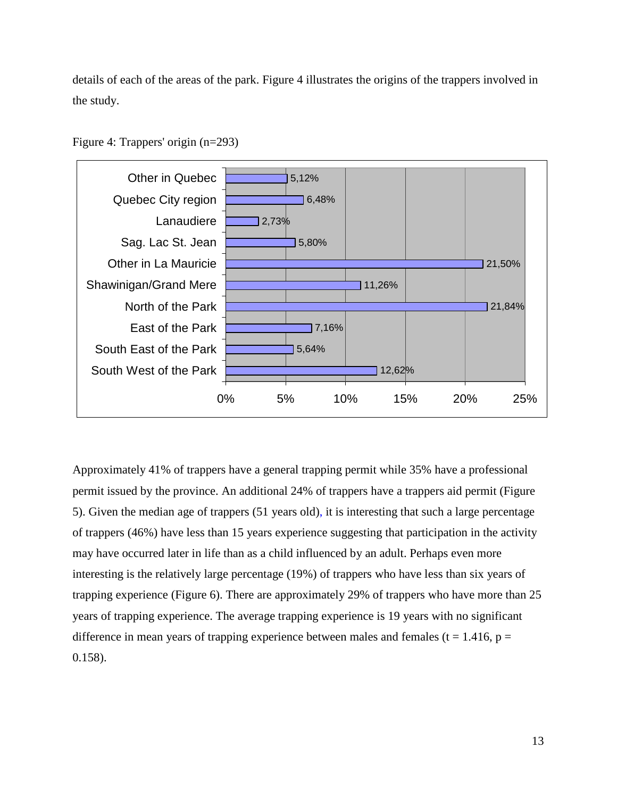details of each of the areas of the park. Figure 4 illustrates the origins of the trappers involved in the study.



Figure 4: Trappers' origin (n=293)

Approximately 41% of trappers have a general trapping permit while 35% have a professional permit issued by the province. An additional 24% of trappers have a trappers aid permit (Figure 5). Given the median age of trappers (51 years old), it is interesting that such a large percentage of trappers (46%) have less than 15 years experience suggesting that participation in the activity may have occurred later in life than as a child influenced by an adult. Perhaps even more interesting is the relatively large percentage (19%) of trappers who have less than six years of trapping experience (Figure 6). There are approximately 29% of trappers who have more than 25 years of trapping experience. The average trapping experience is 19 years with no significant difference in mean years of trapping experience between males and females ( $t = 1.416$ ,  $p =$ 0.158).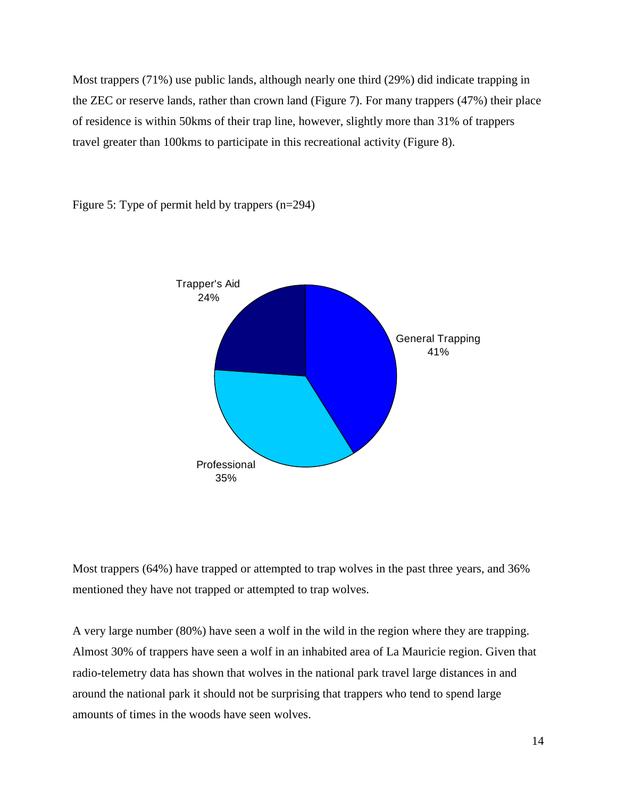Most trappers (71%) use public lands, although nearly one third (29%) did indicate trapping in the ZEC or reserve lands, rather than crown land (Figure 7). For many trappers (47%) their place of residence is within 50kms of their trap line, however, slightly more than 31% of trappers travel greater than 100kms to participate in this recreational activity (Figure 8).



Figure 5: Type of permit held by trappers (n=294)

Most trappers (64%) have trapped or attempted to trap wolves in the past three years, and 36% mentioned they have not trapped or attempted to trap wolves.

A very large number (80%) have seen a wolf in the wild in the region where they are trapping. Almost 30% of trappers have seen a wolf in an inhabited area of La Mauricie region. Given that radio-telemetry data has shown that wolves in the national park travel large distances in and around the national park it should not be surprising that trappers who tend to spend large amounts of times in the woods have seen wolves.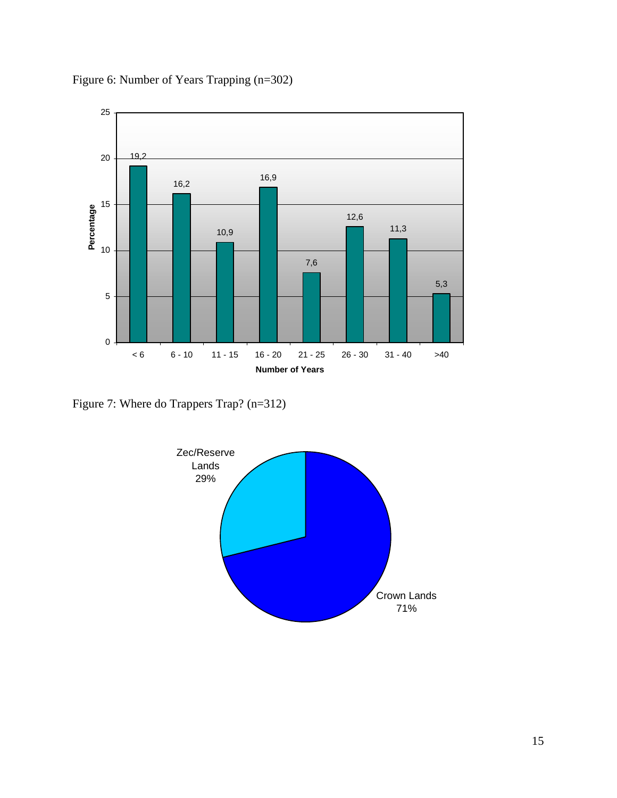

Figure 6: Number of Years Trapping (n=302)

Figure 7: Where do Trappers Trap? (n=312)

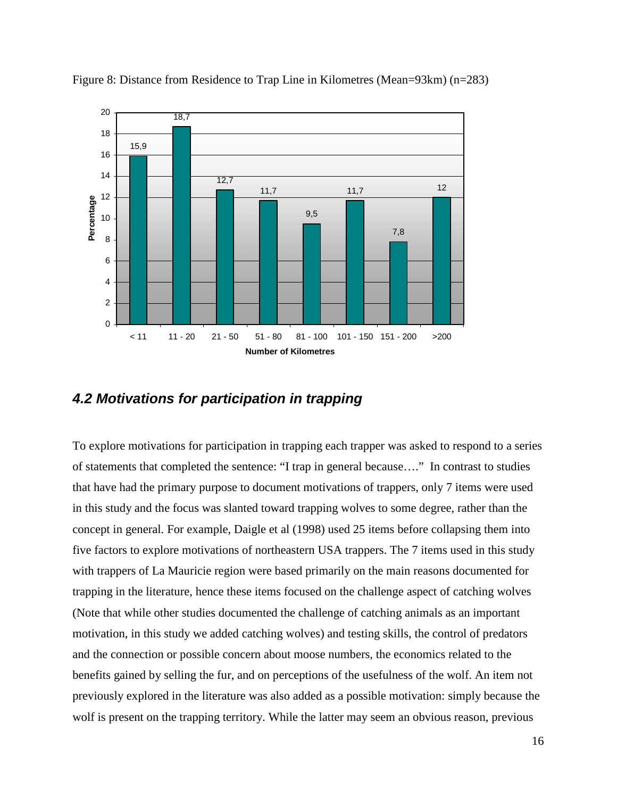

Figure 8: Distance from Residence to Trap Line in Kilometres (Mean=93km) (n=283)

### **4.2 Motivations for participation in trapping**

To explore motivations for participation in trapping each trapper was asked to respond to a series of statements that completed the sentence: "I trap in general because…." In contrast to studies that have had the primary purpose to document motivations of trappers, only 7 items were used in this study and the focus was slanted toward trapping wolves to some degree, rather than the concept in general. For example, Daigle et al (1998) used 25 items before collapsing them into five factors to explore motivations of northeastern USA trappers. The 7 items used in this study with trappers of La Mauricie region were based primarily on the main reasons documented for trapping in the literature, hence these items focused on the challenge aspect of catching wolves (Note that while other studies documented the challenge of catching animals as an important motivation, in this study we added catching wolves) and testing skills, the control of predators and the connection or possible concern about moose numbers, the economics related to the benefits gained by selling the fur, and on perceptions of the usefulness of the wolf. An item not previously explored in the literature was also added as a possible motivation: simply because the wolf is present on the trapping territory. While the latter may seem an obvious reason, previous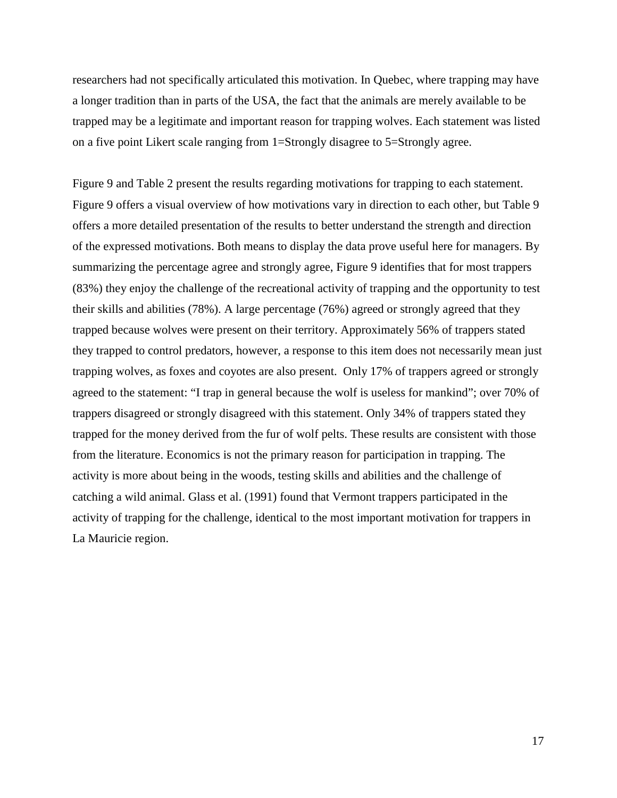researchers had not specifically articulated this motivation. In Quebec, where trapping may have a longer tradition than in parts of the USA, the fact that the animals are merely available to be trapped may be a legitimate and important reason for trapping wolves. Each statement was listed on a five point Likert scale ranging from 1=Strongly disagree to 5=Strongly agree.

Figure 9 and Table 2 present the results regarding motivations for trapping to each statement. Figure 9 offers a visual overview of how motivations vary in direction to each other, but Table 9 offers a more detailed presentation of the results to better understand the strength and direction of the expressed motivations. Both means to display the data prove useful here for managers. By summarizing the percentage agree and strongly agree, Figure 9 identifies that for most trappers (83%) they enjoy the challenge of the recreational activity of trapping and the opportunity to test their skills and abilities (78%). A large percentage (76%) agreed or strongly agreed that they trapped because wolves were present on their territory. Approximately 56% of trappers stated they trapped to control predators, however, a response to this item does not necessarily mean just trapping wolves, as foxes and coyotes are also present. Only 17% of trappers agreed or strongly agreed to the statement: "I trap in general because the wolf is useless for mankind"; over 70% of trappers disagreed or strongly disagreed with this statement. Only 34% of trappers stated they trapped for the money derived from the fur of wolf pelts. These results are consistent with those from the literature. Economics is not the primary reason for participation in trapping. The activity is more about being in the woods, testing skills and abilities and the challenge of catching a wild animal. Glass et al. (1991) found that Vermont trappers participated in the activity of trapping for the challenge, identical to the most important motivation for trappers in La Mauricie region.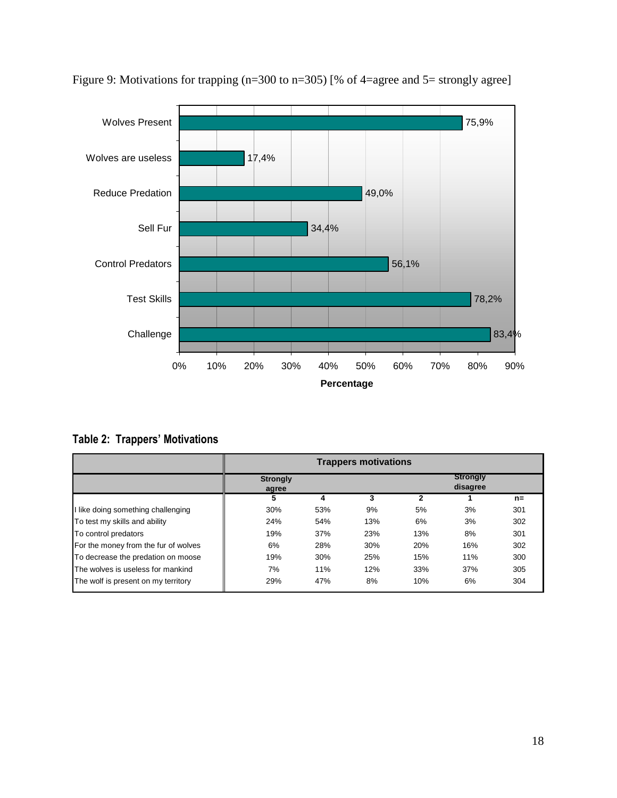

Figure 9: Motivations for trapping (n=300 to n=305) [% of 4=agree and 5= strongly agree]

Table 2: Trappers' Motivations

|                                      | <b>Trappers motivations</b> |     |     |                             |     |       |
|--------------------------------------|-----------------------------|-----|-----|-----------------------------|-----|-------|
|                                      | <b>Strongly</b><br>agree    |     |     | <b>Strongly</b><br>disagree |     |       |
|                                      | 5                           |     |     |                             |     | $n =$ |
| I like doing something challenging   | 30%                         | 53% | 9%  | 5%                          | 3%  | 301   |
| To test my skills and ability        | 24%                         | 54% | 13% | 6%                          | 3%  | 302   |
| To control predators                 | 19%                         | 37% | 23% | 13%                         | 8%  | 301   |
| For the money from the fur of wolves | 6%                          | 28% | 30% | 20%                         | 16% | 302   |
| To decrease the predation on moose   | 19%                         | 30% | 25% | 15%                         | 11% | 300   |
| The wolves is useless for mankind    | 7%                          | 11% | 12% | 33%                         | 37% | 305   |
| The wolf is present on my territory  | 29%                         | 47% | 8%  | 10%                         | 6%  | 304   |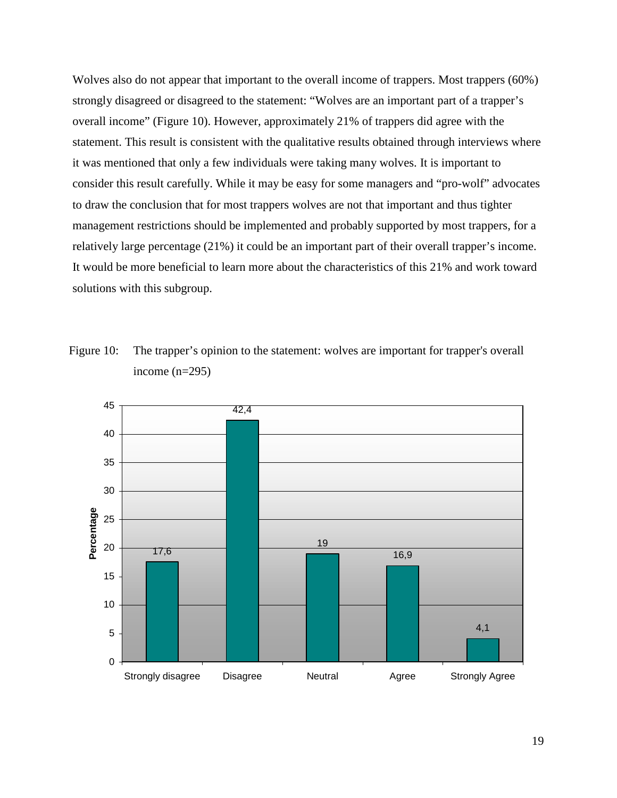Wolves also do not appear that important to the overall income of trappers. Most trappers (60%) strongly disagreed or disagreed to the statement: "Wolves are an important part of a trapper's overall income" (Figure 10). However, approximately 21% of trappers did agree with the statement. This result is consistent with the qualitative results obtained through interviews where it was mentioned that only a few individuals were taking many wolves. It is important to consider this result carefully. While it may be easy for some managers and "pro-wolf" advocates to draw the conclusion that for most trappers wolves are not that important and thus tighter management restrictions should be implemented and probably supported by most trappers, for a relatively large percentage (21%) it could be an important part of their overall trapper's income. It would be more beneficial to learn more about the characteristics of this 21% and work toward solutions with this subgroup.





19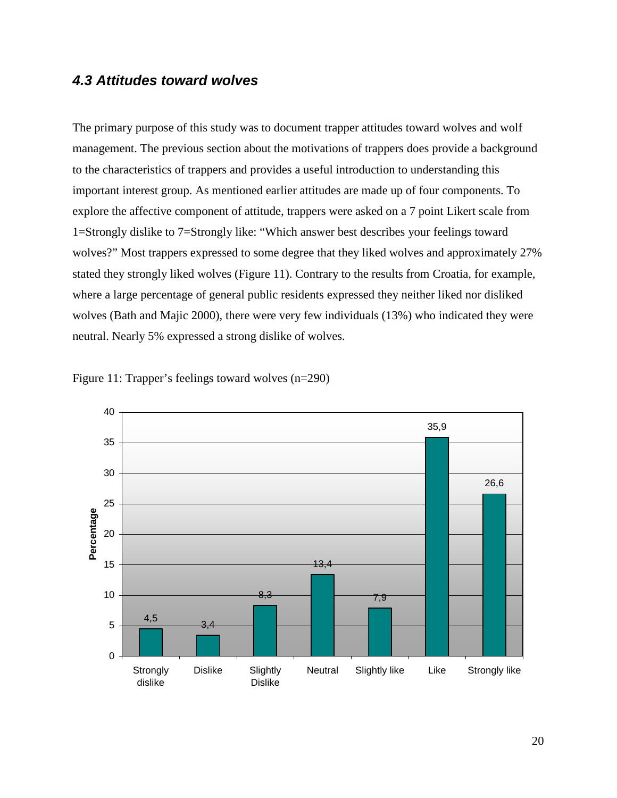### **4.3 Attitudes toward wolves**

The primary purpose of this study was to document trapper attitudes toward wolves and wolf management. The previous section about the motivations of trappers does provide a background to the characteristics of trappers and provides a useful introduction to understanding this important interest group. As mentioned earlier attitudes are made up of four components. To explore the affective component of attitude, trappers were asked on a 7 point Likert scale from 1=Strongly dislike to 7=Strongly like: "Which answer best describes your feelings toward wolves?" Most trappers expressed to some degree that they liked wolves and approximately 27% stated they strongly liked wolves (Figure 11). Contrary to the results from Croatia, for example, where a large percentage of general public residents expressed they neither liked nor disliked wolves (Bath and Majic 2000), there were very few individuals (13%) who indicated they were neutral. Nearly 5% expressed a strong dislike of wolves.



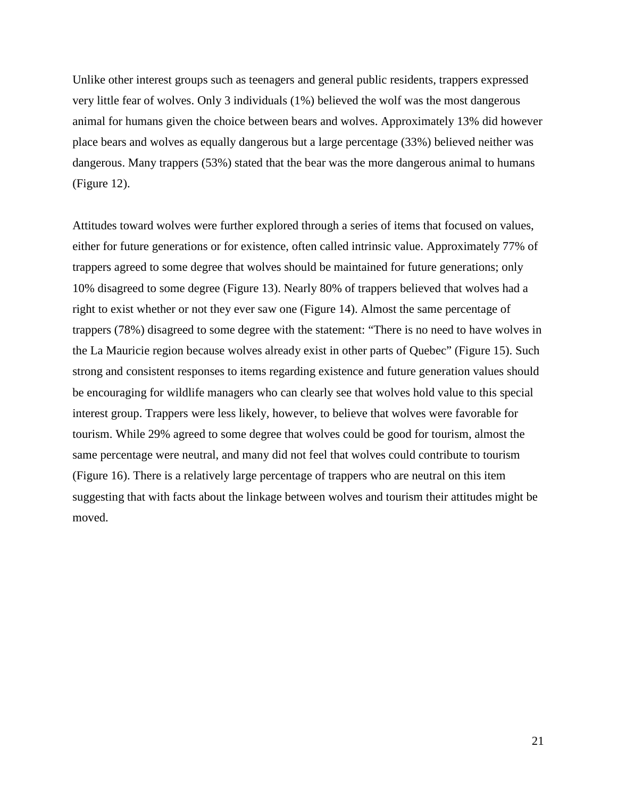Unlike other interest groups such as teenagers and general public residents, trappers expressed very little fear of wolves. Only 3 individuals (1%) believed the wolf was the most dangerous animal for humans given the choice between bears and wolves. Approximately 13% did however place bears and wolves as equally dangerous but a large percentage (33%) believed neither was dangerous. Many trappers (53%) stated that the bear was the more dangerous animal to humans (Figure 12).

Attitudes toward wolves were further explored through a series of items that focused on values, either for future generations or for existence, often called intrinsic value. Approximately 77% of trappers agreed to some degree that wolves should be maintained for future generations; only 10% disagreed to some degree (Figure 13). Nearly 80% of trappers believed that wolves had a right to exist whether or not they ever saw one (Figure 14). Almost the same percentage of trappers (78%) disagreed to some degree with the statement: "There is no need to have wolves in the La Mauricie region because wolves already exist in other parts of Quebec" (Figure 15). Such strong and consistent responses to items regarding existence and future generation values should be encouraging for wildlife managers who can clearly see that wolves hold value to this special interest group. Trappers were less likely, however, to believe that wolves were favorable for tourism. While 29% agreed to some degree that wolves could be good for tourism, almost the same percentage were neutral, and many did not feel that wolves could contribute to tourism (Figure 16). There is a relatively large percentage of trappers who are neutral on this item suggesting that with facts about the linkage between wolves and tourism their attitudes might be moved.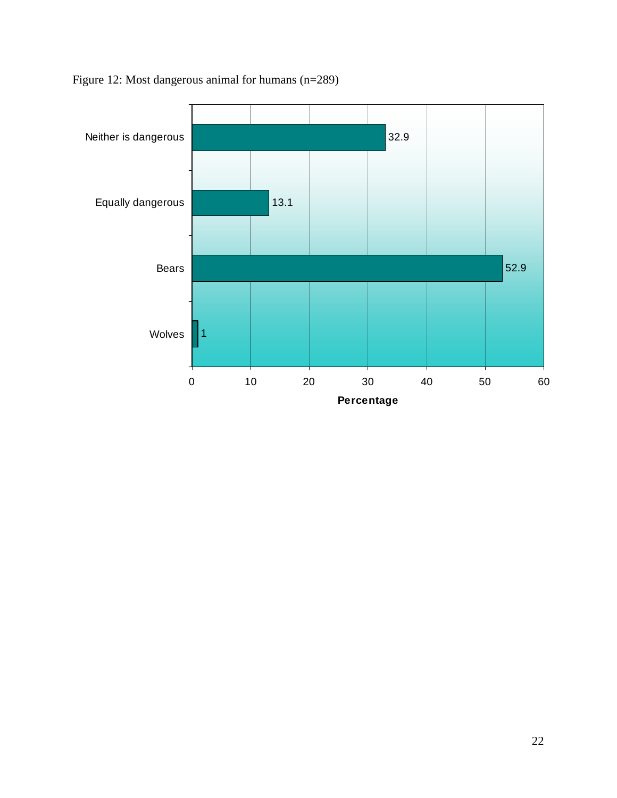

Figure 12: Most dangerous animal for humans (n=289)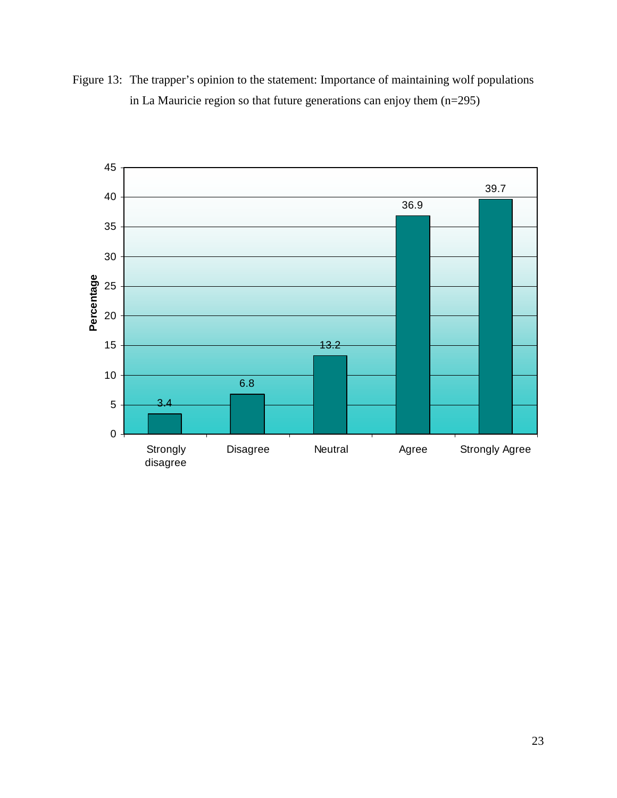Figure 13: The trapper's opinion to the statement: Importance of maintaining wolf populations in La Mauricie region so that future generations can enjoy them (n=295)

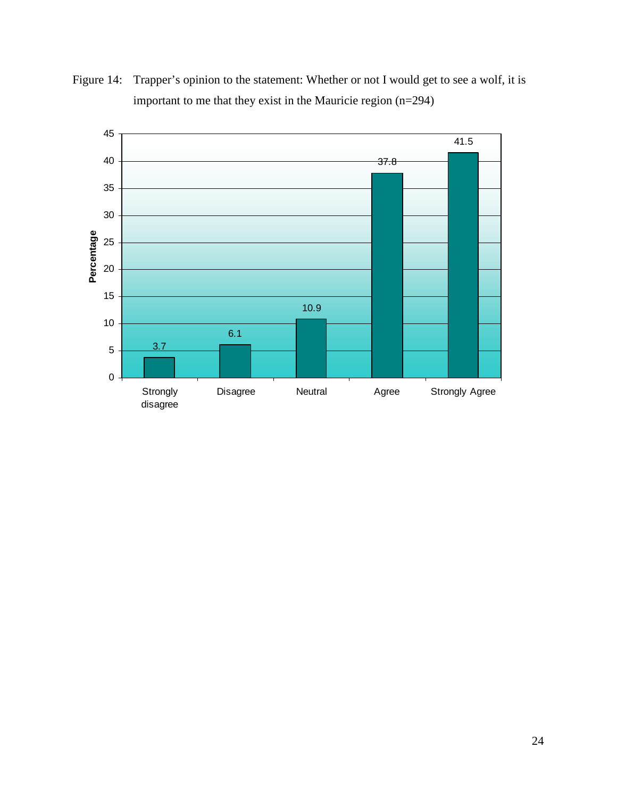

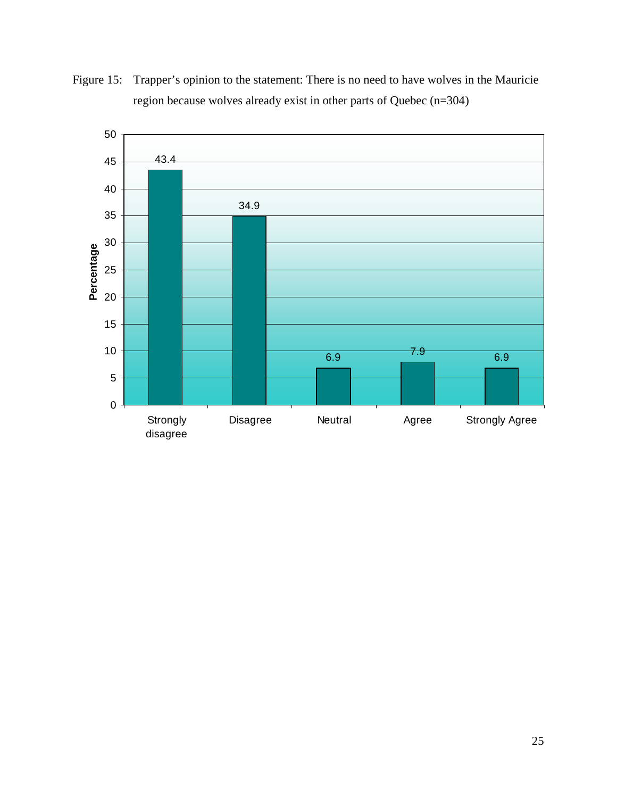

Figure 15: Trapper's opinion to the statement: There is no need to have wolves in the Mauricie region because wolves already exist in other parts of Quebec (n=304)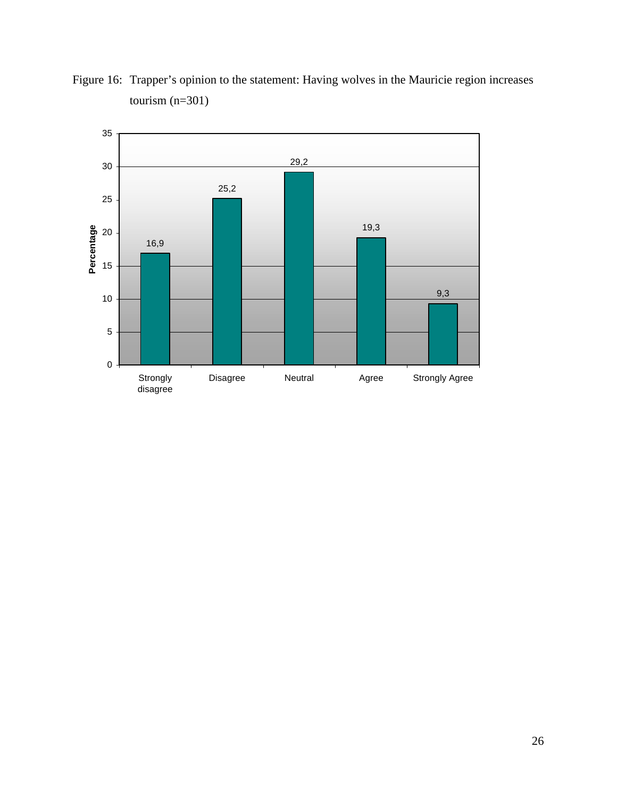

Figure 16: Trapper's opinion to the statement: Having wolves in the Mauricie region increases tourism (n=301)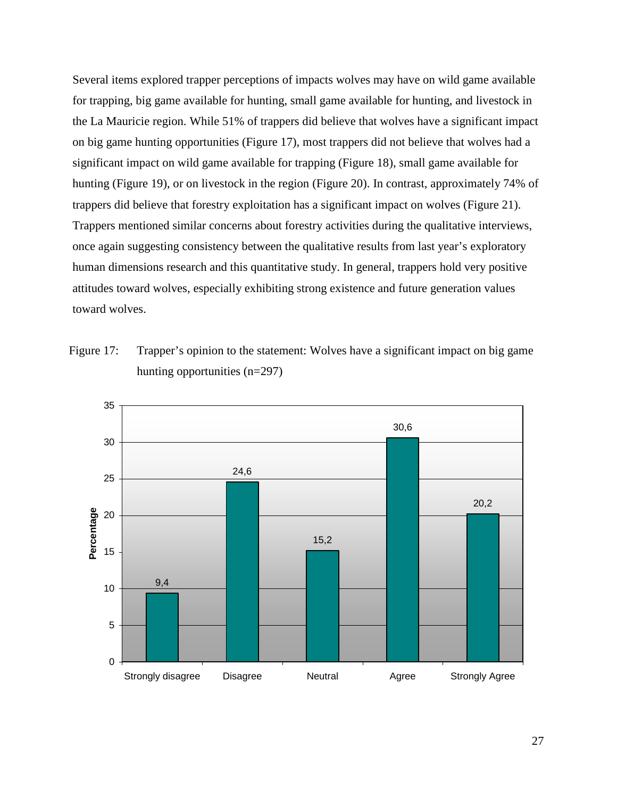Several items explored trapper perceptions of impacts wolves may have on wild game available for trapping, big game available for hunting, small game available for hunting, and livestock in the La Mauricie region. While 51% of trappers did believe that wolves have a significant impact on big game hunting opportunities (Figure 17), most trappers did not believe that wolves had a significant impact on wild game available for trapping (Figure 18), small game available for hunting (Figure 19), or on livestock in the region (Figure 20). In contrast, approximately 74% of trappers did believe that forestry exploitation has a significant impact on wolves (Figure 21). Trappers mentioned similar concerns about forestry activities during the qualitative interviews, once again suggesting consistency between the qualitative results from last year's exploratory human dimensions research and this quantitative study. In general, trappers hold very positive attitudes toward wolves, especially exhibiting strong existence and future generation values toward wolves.

Figure 17: Trapper's opinion to the statement: Wolves have a significant impact on big game hunting opportunities (n=297)

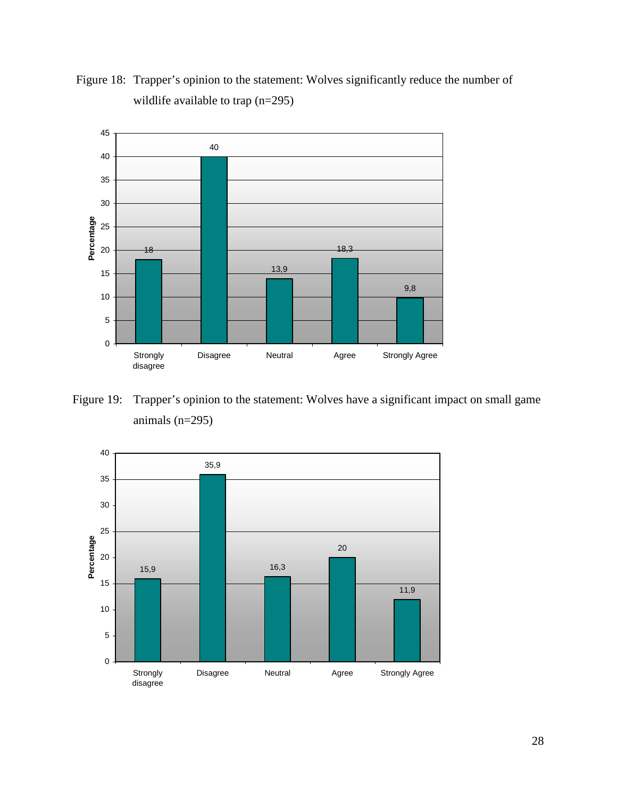

Figure 18: Trapper's opinion to the statement: Wolves significantly reduce the number of wildlife available to trap (n=295)

Figure 19: Trapper's opinion to the statement: Wolves have a significant impact on small game animals (n=295)

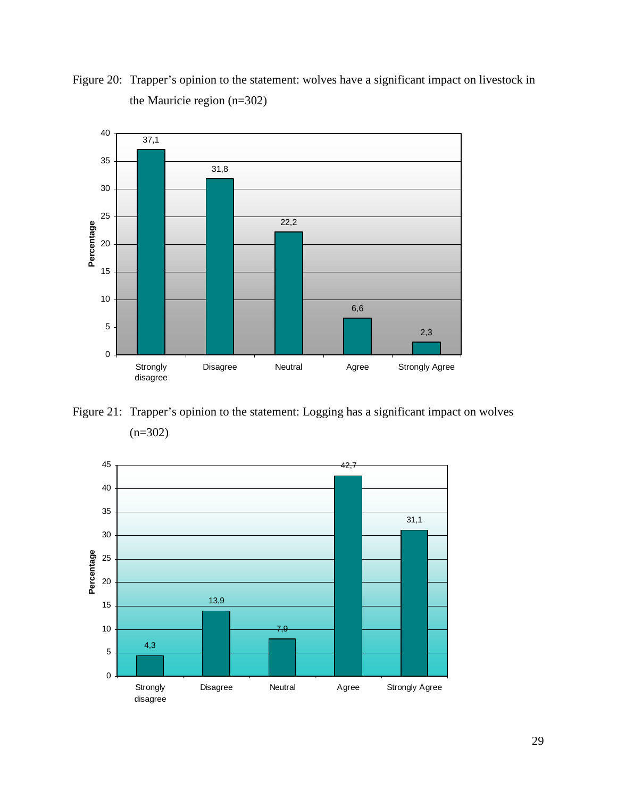



Figure 21: Trapper's opinion to the statement: Logging has a significant impact on wolves  $(n=302)$ 

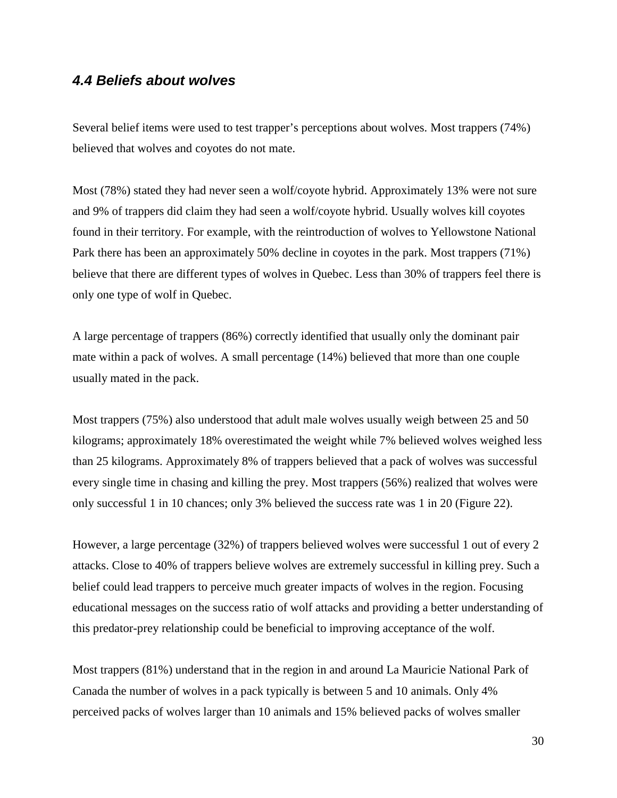### **4.4 Beliefs about wolves**

Several belief items were used to test trapper's perceptions about wolves. Most trappers (74%) believed that wolves and coyotes do not mate.

Most (78%) stated they had never seen a wolf/coyote hybrid. Approximately 13% were not sure and 9% of trappers did claim they had seen a wolf/coyote hybrid. Usually wolves kill coyotes found in their territory. For example, with the reintroduction of wolves to Yellowstone National Park there has been an approximately 50% decline in coyotes in the park. Most trappers (71%) believe that there are different types of wolves in Quebec. Less than 30% of trappers feel there is only one type of wolf in Quebec.

A large percentage of trappers (86%) correctly identified that usually only the dominant pair mate within a pack of wolves. A small percentage (14%) believed that more than one couple usually mated in the pack.

Most trappers (75%) also understood that adult male wolves usually weigh between 25 and 50 kilograms; approximately 18% overestimated the weight while 7% believed wolves weighed less than 25 kilograms. Approximately 8% of trappers believed that a pack of wolves was successful every single time in chasing and killing the prey. Most trappers (56%) realized that wolves were only successful 1 in 10 chances; only 3% believed the success rate was 1 in 20 (Figure 22).

However, a large percentage (32%) of trappers believed wolves were successful 1 out of every 2 attacks. Close to 40% of trappers believe wolves are extremely successful in killing prey. Such a belief could lead trappers to perceive much greater impacts of wolves in the region. Focusing educational messages on the success ratio of wolf attacks and providing a better understanding of this predator-prey relationship could be beneficial to improving acceptance of the wolf.

Most trappers (81%) understand that in the region in and around La Mauricie National Park of Canada the number of wolves in a pack typically is between 5 and 10 animals. Only 4% perceived packs of wolves larger than 10 animals and 15% believed packs of wolves smaller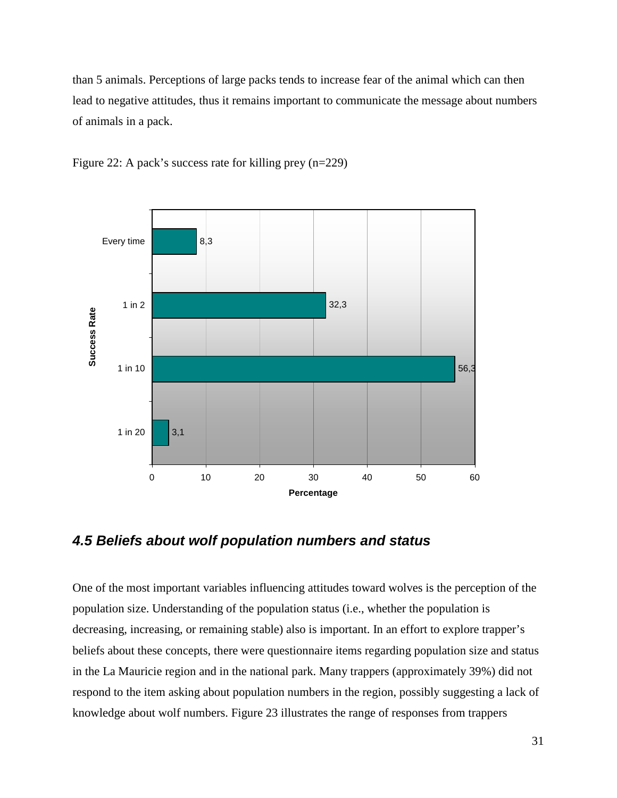than 5 animals. Perceptions of large packs tends to increase fear of the animal which can then lead to negative attitudes, thus it remains important to communicate the message about numbers of animals in a pack.



Figure 22: A pack's success rate for killing prey (n=229)

### **4.5 Beliefs about wolf population numbers and status**

One of the most important variables influencing attitudes toward wolves is the perception of the population size. Understanding of the population status (i.e., whether the population is decreasing, increasing, or remaining stable) also is important. In an effort to explore trapper's beliefs about these concepts, there were questionnaire items regarding population size and status in the La Mauricie region and in the national park. Many trappers (approximately 39%) did not respond to the item asking about population numbers in the region, possibly suggesting a lack of knowledge about wolf numbers. Figure 23 illustrates the range of responses from trappers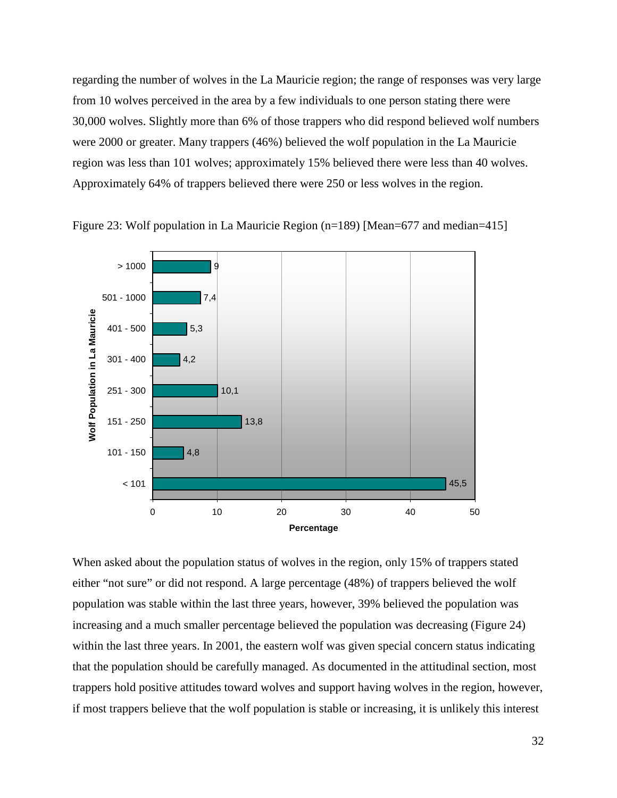regarding the number of wolves in the La Mauricie region; the range of responses was very large from 10 wolves perceived in the area by a few individuals to one person stating there were 30,000 wolves. Slightly more than 6% of those trappers who did respond believed wolf numbers were 2000 or greater. Many trappers (46%) believed the wolf population in the La Mauricie region was less than 101 wolves; approximately 15% believed there were less than 40 wolves. Approximately 64% of trappers believed there were 250 or less wolves in the region.





When asked about the population status of wolves in the region, only 15% of trappers stated either "not sure" or did not respond. A large percentage (48%) of trappers believed the wolf population was stable within the last three years, however, 39% believed the population was increasing and a much smaller percentage believed the population was decreasing (Figure 24) within the last three years. In 2001, the eastern wolf was given special concern status indicating that the population should be carefully managed. As documented in the attitudinal section, most trappers hold positive attitudes toward wolves and support having wolves in the region, however, if most trappers believe that the wolf population is stable or increasing, it is unlikely this interest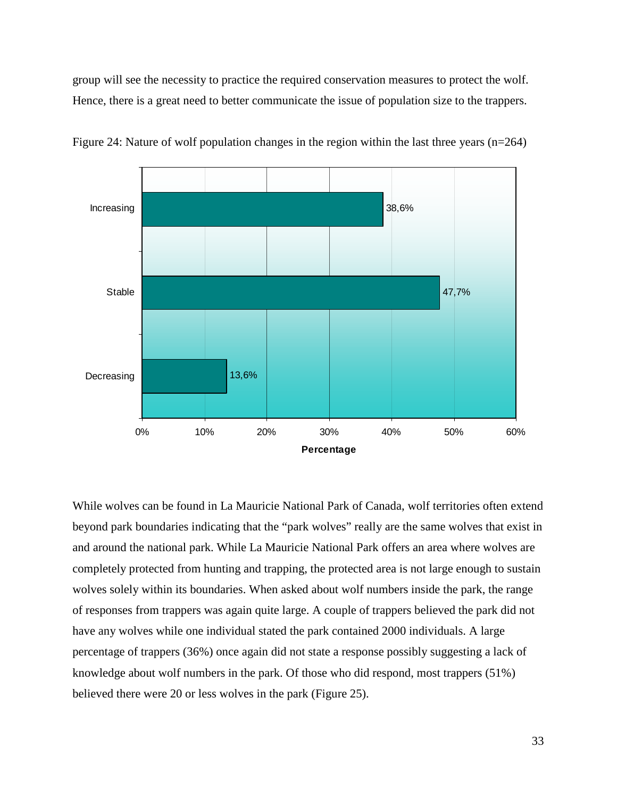group will see the necessity to practice the required conservation measures to protect the wolf. Hence, there is a great need to better communicate the issue of population size to the trappers.



Figure 24: Nature of wolf population changes in the region within the last three years (n=264)

While wolves can be found in La Mauricie National Park of Canada, wolf territories often extend beyond park boundaries indicating that the "park wolves" really are the same wolves that exist in and around the national park. While La Mauricie National Park offers an area where wolves are completely protected from hunting and trapping, the protected area is not large enough to sustain wolves solely within its boundaries. When asked about wolf numbers inside the park, the range of responses from trappers was again quite large. A couple of trappers believed the park did not have any wolves while one individual stated the park contained 2000 individuals. A large percentage of trappers (36%) once again did not state a response possibly suggesting a lack of knowledge about wolf numbers in the park. Of those who did respond, most trappers (51%) believed there were 20 or less wolves in the park (Figure 25).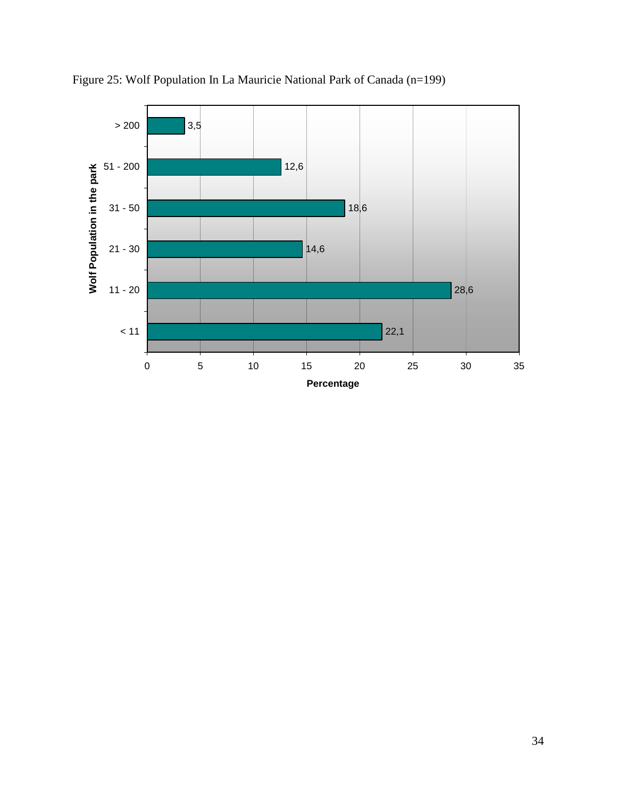

Figure 25: Wolf Population In La Mauricie National Park of Canada (n=199)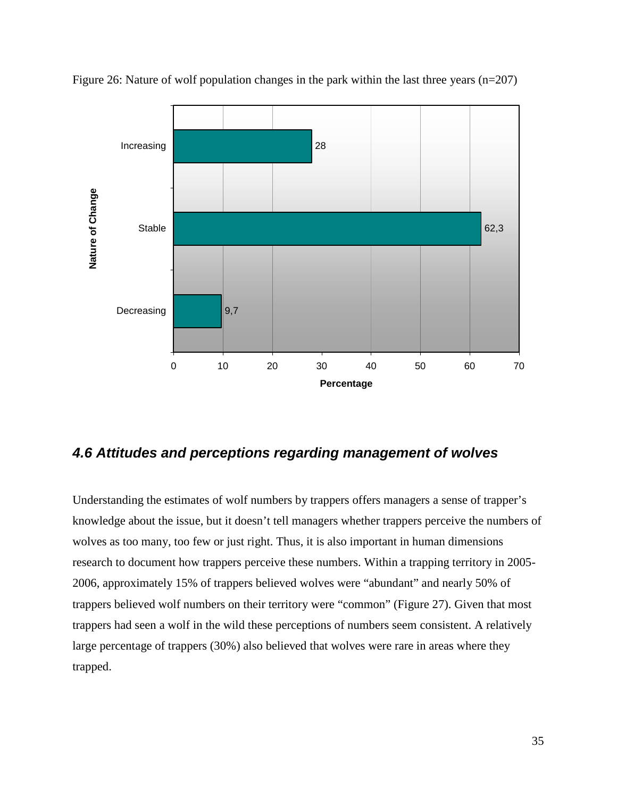

Figure 26: Nature of wolf population changes in the park within the last three years (n=207)

### **4.6 Attitudes and perceptions regarding management of wolves**

Understanding the estimates of wolf numbers by trappers offers managers a sense of trapper's knowledge about the issue, but it doesn't tell managers whether trappers perceive the numbers of wolves as too many, too few or just right. Thus, it is also important in human dimensions research to document how trappers perceive these numbers. Within a trapping territory in 2005- 2006, approximately 15% of trappers believed wolves were "abundant" and nearly 50% of trappers believed wolf numbers on their territory were "common" (Figure 27). Given that most trappers had seen a wolf in the wild these perceptions of numbers seem consistent. A relatively large percentage of trappers (30%) also believed that wolves were rare in areas where they trapped.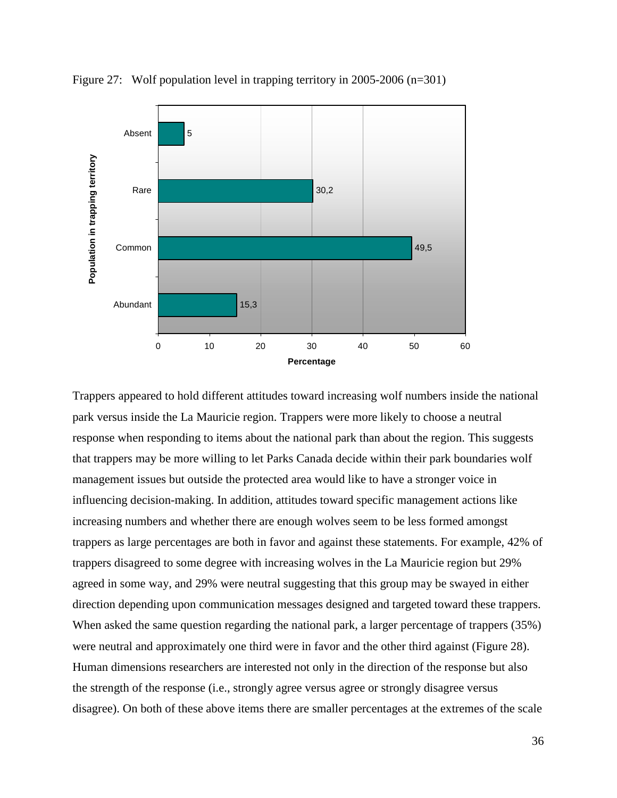

Figure 27: Wolf population level in trapping territory in 2005-2006 (n=301)

Trappers appeared to hold different attitudes toward increasing wolf numbers inside the national park versus inside the La Mauricie region. Trappers were more likely to choose a neutral response when responding to items about the national park than about the region. This suggests that trappers may be more willing to let Parks Canada decide within their park boundaries wolf management issues but outside the protected area would like to have a stronger voice in influencing decision-making. In addition, attitudes toward specific management actions like increasing numbers and whether there are enough wolves seem to be less formed amongst trappers as large percentages are both in favor and against these statements. For example, 42% of trappers disagreed to some degree with increasing wolves in the La Mauricie region but 29% agreed in some way, and 29% were neutral suggesting that this group may be swayed in either direction depending upon communication messages designed and targeted toward these trappers. When asked the same question regarding the national park, a larger percentage of trappers (35%) were neutral and approximately one third were in favor and the other third against (Figure 28). Human dimensions researchers are interested not only in the direction of the response but also the strength of the response (i.e., strongly agree versus agree or strongly disagree versus disagree). On both of these above items there are smaller percentages at the extremes of the scale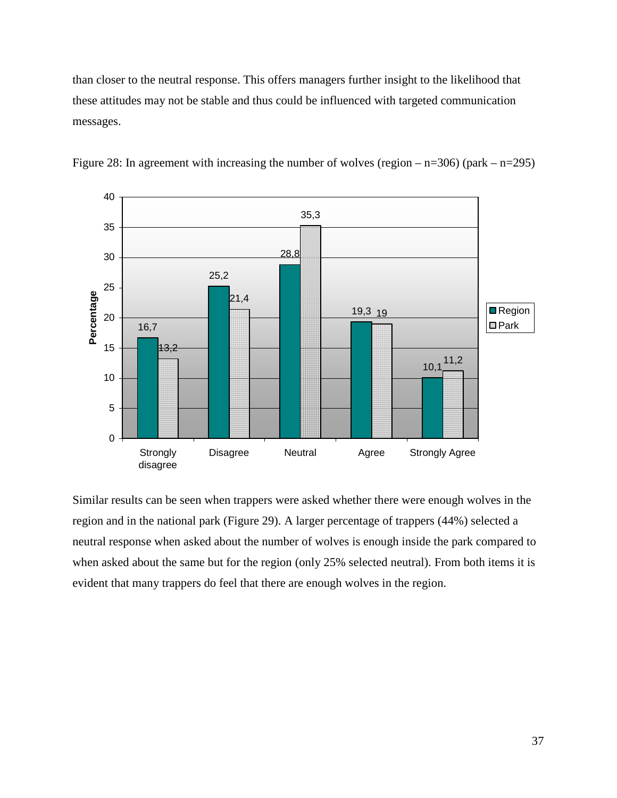than closer to the neutral response. This offers managers further insight to the likelihood that these attitudes may not be stable and thus could be influenced with targeted communication messages.



Figure 28: In agreement with increasing the number of wolves (region  $-$  n=306) (park  $-$  n=295)

Similar results can be seen when trappers were asked whether there were enough wolves in the region and in the national park (Figure 29). A larger percentage of trappers (44%) selected a neutral response when asked about the number of wolves is enough inside the park compared to when asked about the same but for the region (only 25% selected neutral). From both items it is evident that many trappers do feel that there are enough wolves in the region.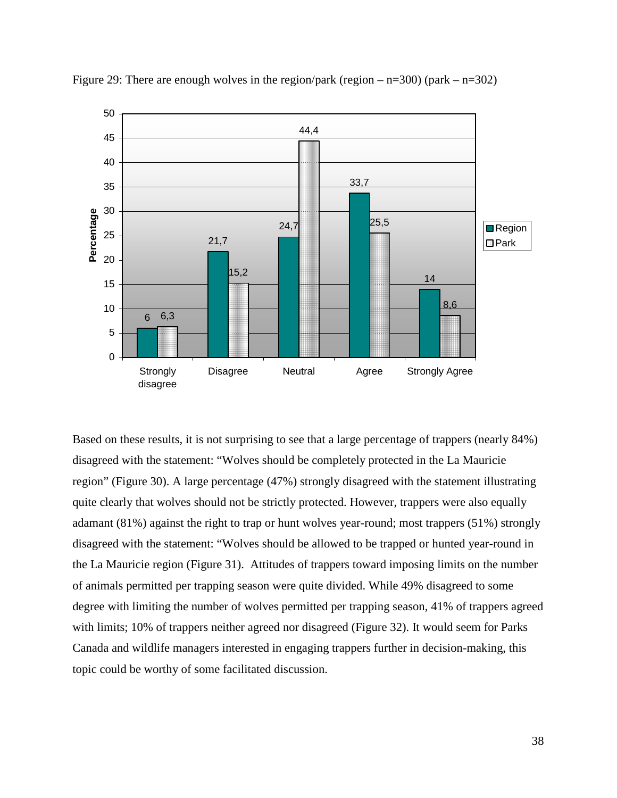

Figure 29: There are enough wolves in the region/park (region  $-$  n=300) (park  $-$  n=302)

Based on these results, it is not surprising to see that a large percentage of trappers (nearly 84%) disagreed with the statement: "Wolves should be completely protected in the La Mauricie region" (Figure 30). A large percentage (47%) strongly disagreed with the statement illustrating quite clearly that wolves should not be strictly protected. However, trappers were also equally adamant (81%) against the right to trap or hunt wolves year-round; most trappers (51%) strongly disagreed with the statement: "Wolves should be allowed to be trapped or hunted year-round in the La Mauricie region (Figure 31). Attitudes of trappers toward imposing limits on the number of animals permitted per trapping season were quite divided. While 49% disagreed to some degree with limiting the number of wolves permitted per trapping season, 41% of trappers agreed with limits; 10% of trappers neither agreed nor disagreed (Figure 32). It would seem for Parks Canada and wildlife managers interested in engaging trappers further in decision-making, this topic could be worthy of some facilitated discussion.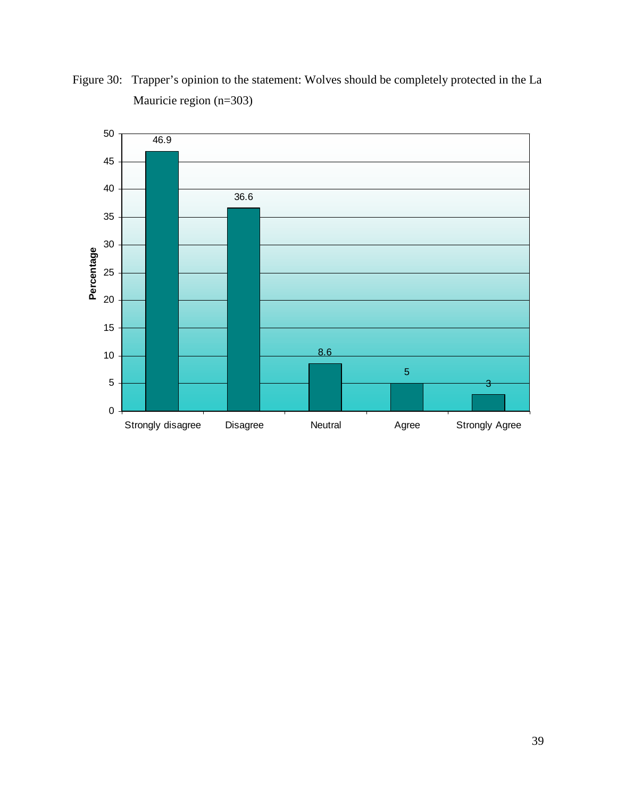

Figure 30: Trapper's opinion to the statement: Wolves should be completely protected in the La Mauricie region (n=303)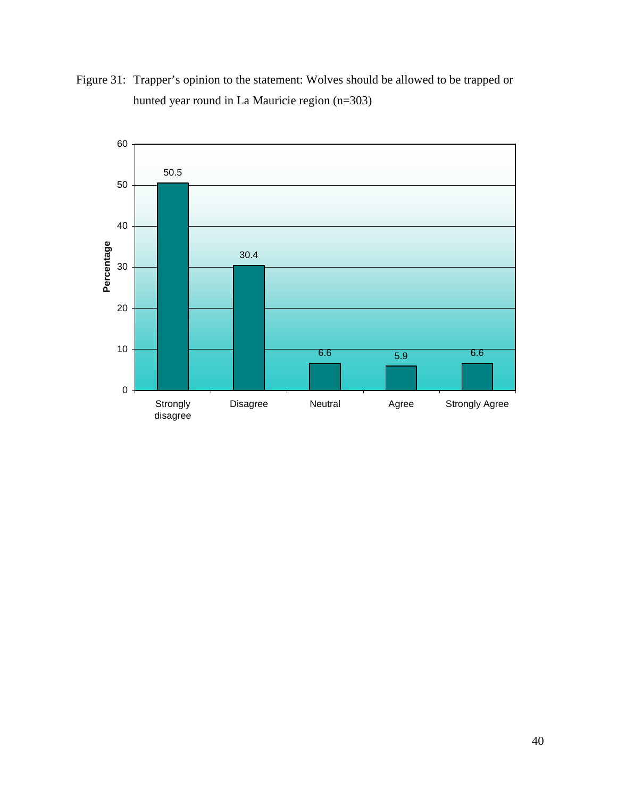

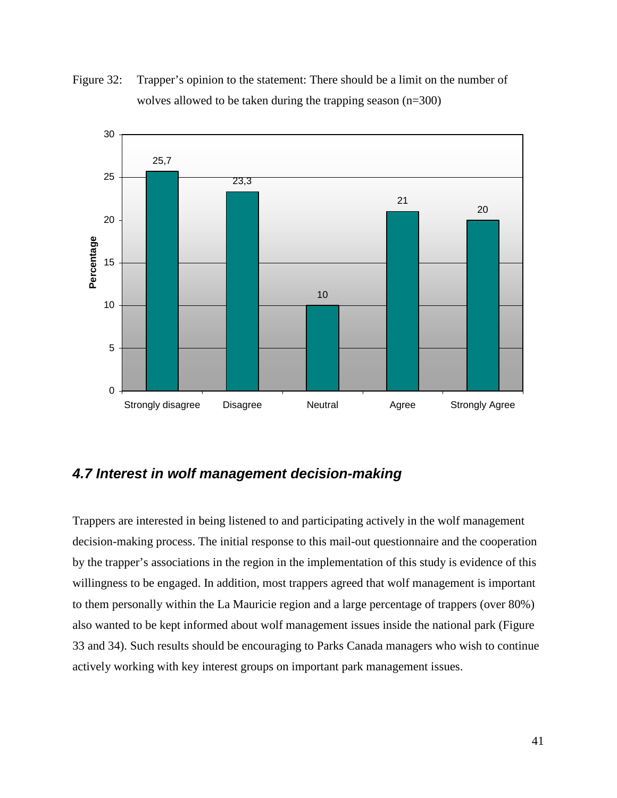



### **4.7 Interest in wolf management decision-making**

Trappers are interested in being listened to and participating actively in the wolf management decision-making process. The initial response to this mail-out questionnaire and the cooperation by the trapper's associations in the region in the implementation of this study is evidence of this willingness to be engaged. In addition, most trappers agreed that wolf management is important to them personally within the La Mauricie region and a large percentage of trappers (over 80%) also wanted to be kept informed about wolf management issues inside the national park (Figure 33 and 34). Such results should be encouraging to Parks Canada managers who wish to continue actively working with key interest groups on important park management issues.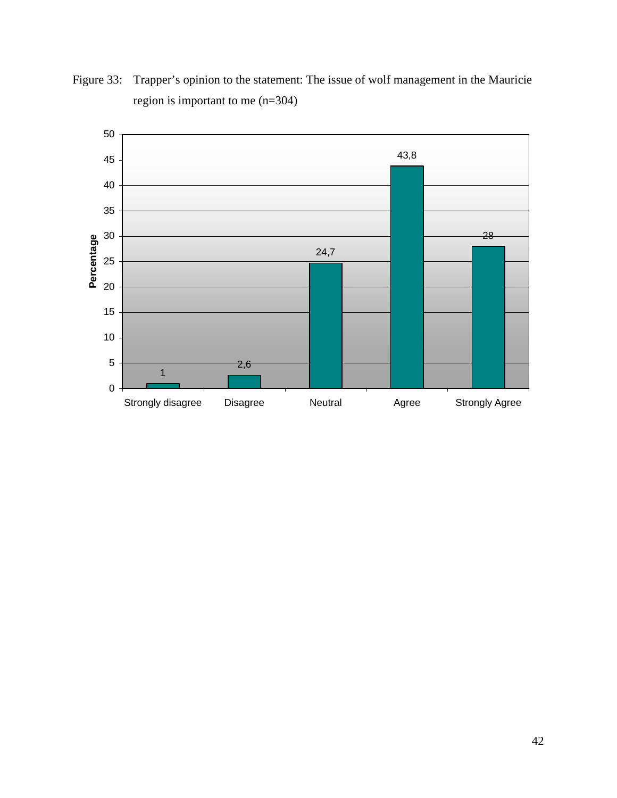

Figure 33: Trapper's opinion to the statement: The issue of wolf management in the Mauricie region is important to me (n=304)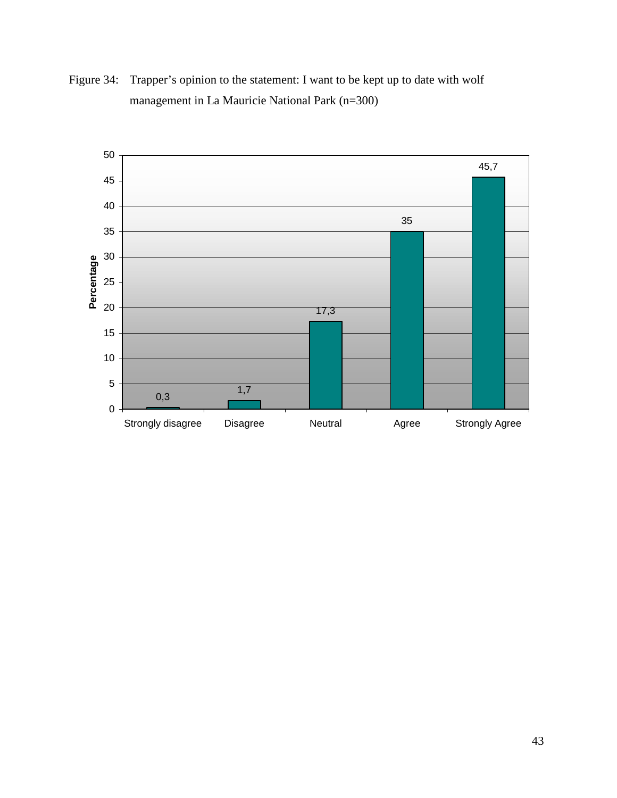

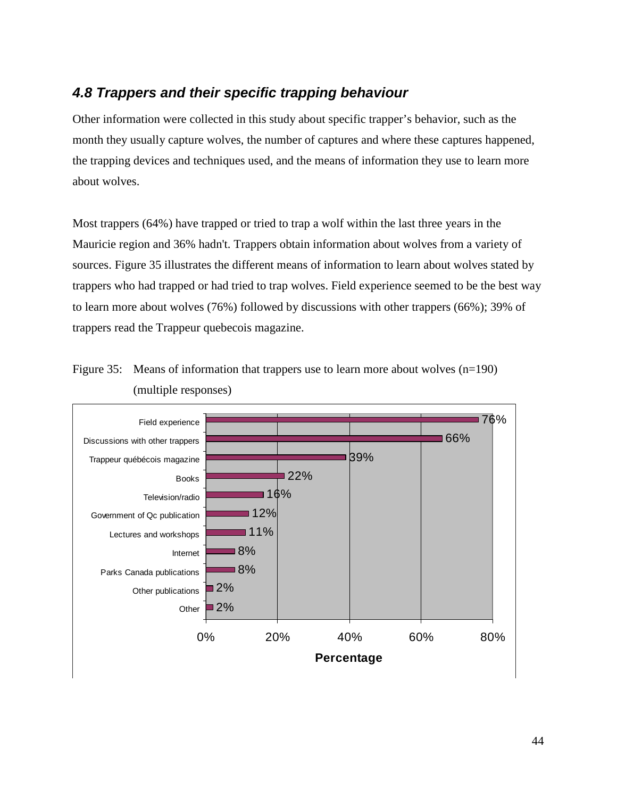### **4.8 Trappers and their specific trapping behaviour**

Other information were collected in this study about specific trapper's behavior, such as the month they usually capture wolves, the number of captures and where these captures happened, the trapping devices and techniques used, and the means of information they use to learn more about wolves.

Most trappers (64%) have trapped or tried to trap a wolf within the last three years in the Mauricie region and 36% hadn't. Trappers obtain information about wolves from a variety of sources. Figure 35 illustrates the different means of information to learn about wolves stated by trappers who had trapped or had tried to trap wolves. Field experience seemed to be the best way to learn more about wolves (76%) followed by discussions with other trappers (66%); 39% of trappers read the Trappeur quebecois magazine.



Figure 35: Means of information that trappers use to learn more about wolves (n=190) (multiple responses)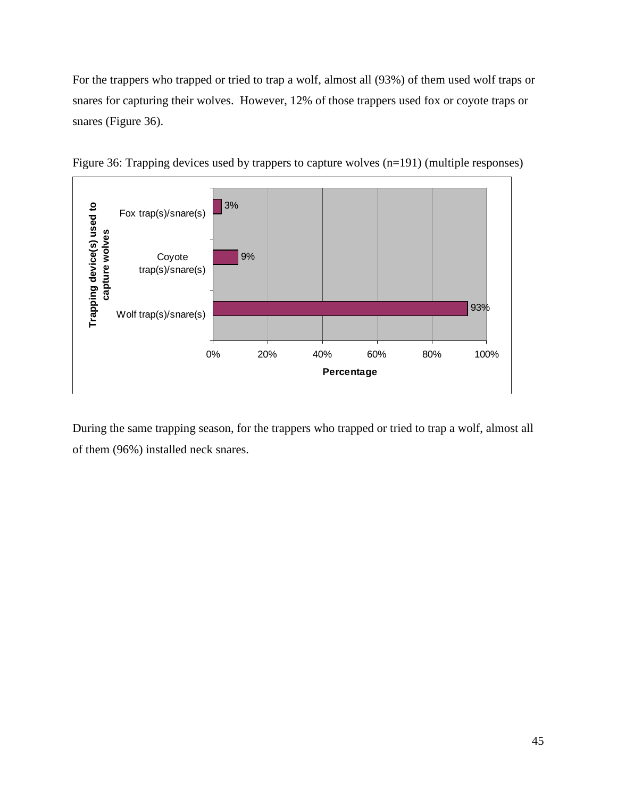For the trappers who trapped or tried to trap a wolf, almost all (93%) of them used wolf traps or snares for capturing their wolves. However, 12% of those trappers used fox or coyote traps or snares (Figure 36).



Figure 36: Trapping devices used by trappers to capture wolves (n=191) (multiple responses)

During the same trapping season, for the trappers who trapped or tried to trap a wolf, almost all of them (96%) installed neck snares.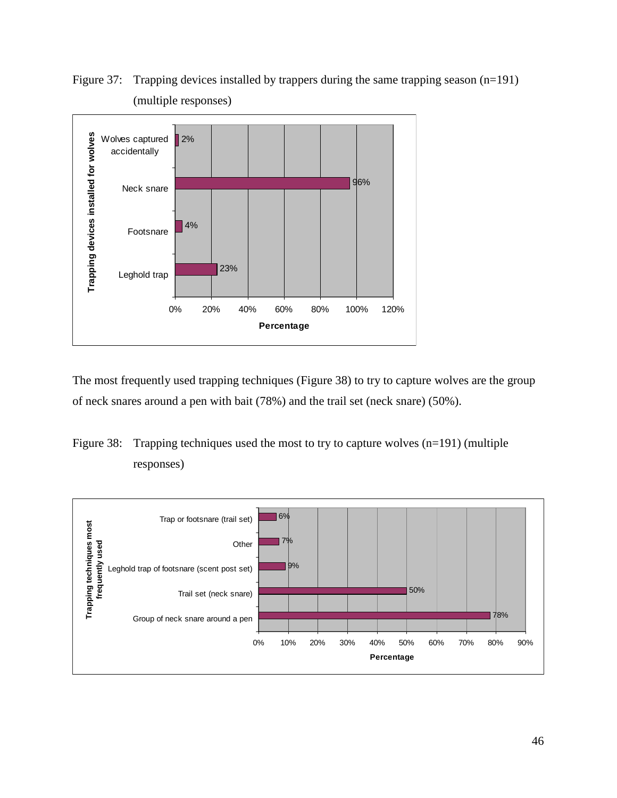

Figure 37: Trapping devices installed by trappers during the same trapping season (n=191) (multiple responses)

The most frequently used trapping techniques (Figure 38) to try to capture wolves are the group of neck snares around a pen with bait (78%) and the trail set (neck snare) (50%).



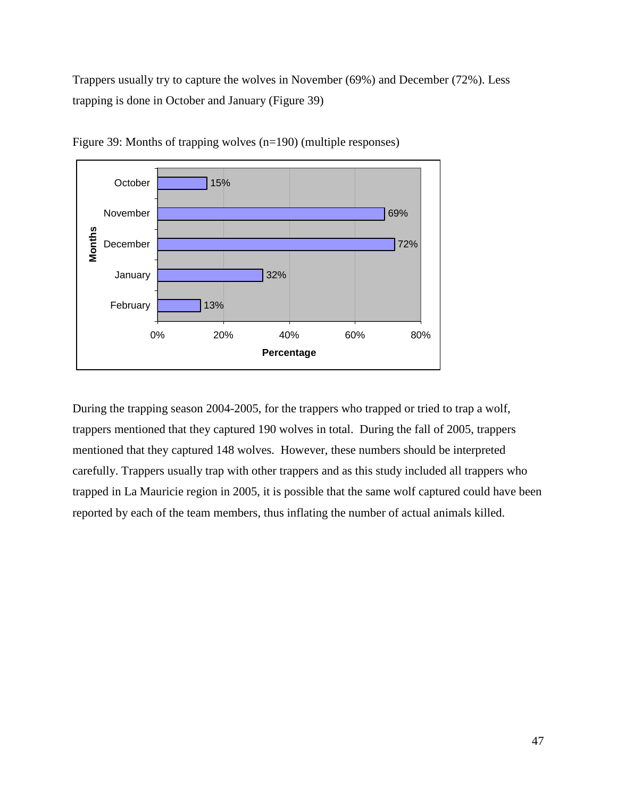Trappers usually try to capture the wolves in November (69%) and December (72%). Less trapping is done in October and January (Figure 39)



Figure 39: Months of trapping wolves (n=190) (multiple responses)

During the trapping season 2004-2005, for the trappers who trapped or tried to trap a wolf, trappers mentioned that they captured 190 wolves in total. During the fall of 2005, trappers mentioned that they captured 148 wolves. However, these numbers should be interpreted carefully. Trappers usually trap with other trappers and as this study included all trappers who trapped in La Mauricie region in 2005, it is possible that the same wolf captured could have been reported by each of the team members, thus inflating the number of actual animals killed.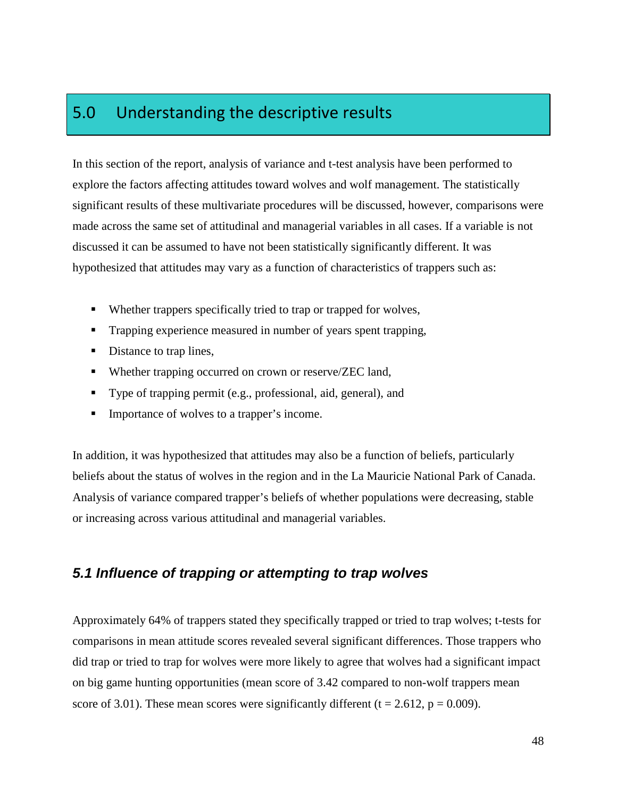## 5.0 Understanding the descriptive results

In this section of the report, analysis of variance and t-test analysis have been performed to explore the factors affecting attitudes toward wolves and wolf management. The statistically significant results of these multivariate procedures will be discussed, however, comparisons were made across the same set of attitudinal and managerial variables in all cases. If a variable is not discussed it can be assumed to have not been statistically significantly different. It was hypothesized that attitudes may vary as a function of characteristics of trappers such as:

- Whether trappers specifically tried to trap or trapped for wolves,
- **Trapping experience measured in number of years spent trapping,**
- Distance to trap lines,
- Whether trapping occurred on crown or reserve/ZEC land,
- Type of trapping permit (e.g., professional, aid, general), and
- **Importance of wolves to a trapper's income.**

In addition, it was hypothesized that attitudes may also be a function of beliefs, particularly beliefs about the status of wolves in the region and in the La Mauricie National Park of Canada. Analysis of variance compared trapper's beliefs of whether populations were decreasing, stable or increasing across various attitudinal and managerial variables.

### **5.1 Influence of trapping or attempting to trap wolves**

Approximately 64% of trappers stated they specifically trapped or tried to trap wolves; t-tests for comparisons in mean attitude scores revealed several significant differences. Those trappers who did trap or tried to trap for wolves were more likely to agree that wolves had a significant impact on big game hunting opportunities (mean score of 3.42 compared to non-wolf trappers mean score of 3.01). These mean scores were significantly different ( $t = 2.612$ ,  $p = 0.009$ ).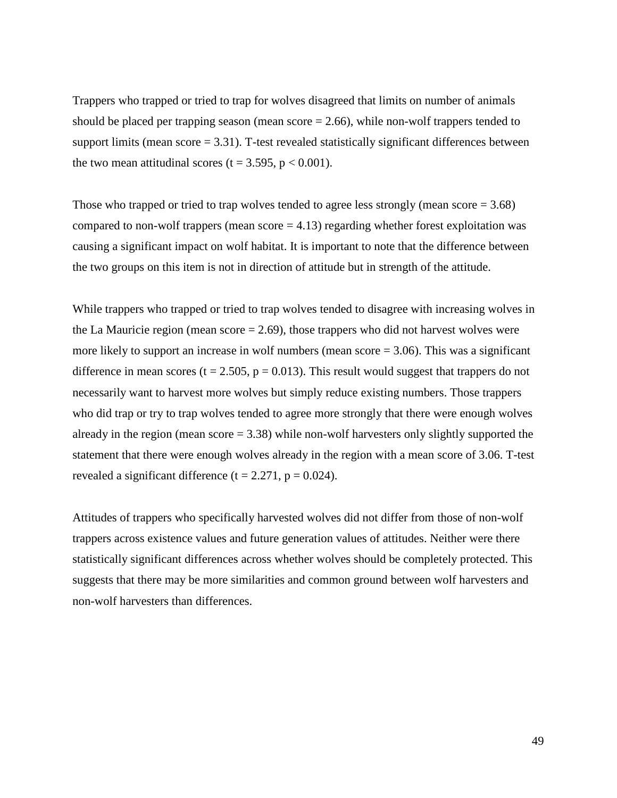Trappers who trapped or tried to trap for wolves disagreed that limits on number of animals should be placed per trapping season (mean score  $= 2.66$ ), while non-wolf trappers tended to support limits (mean  $score = 3.31$ ). T-test revealed statistically significant differences between the two mean attitudinal scores (t = 3.595,  $p < 0.001$ ).

Those who trapped or tried to trap wolves tended to agree less strongly (mean score  $= 3.68$ ) compared to non-wolf trappers (mean score  $= 4.13$ ) regarding whether forest exploitation was causing a significant impact on wolf habitat. It is important to note that the difference between the two groups on this item is not in direction of attitude but in strength of the attitude.

While trappers who trapped or tried to trap wolves tended to disagree with increasing wolves in the La Mauricie region (mean score  $= 2.69$ ), those trappers who did not harvest wolves were more likely to support an increase in wolf numbers (mean score  $= 3.06$ ). This was a significant difference in mean scores ( $t = 2.505$ ,  $p = 0.013$ ). This result would suggest that trappers do not necessarily want to harvest more wolves but simply reduce existing numbers. Those trappers who did trap or try to trap wolves tended to agree more strongly that there were enough wolves already in the region (mean score  $= 3.38$ ) while non-wolf harvesters only slightly supported the statement that there were enough wolves already in the region with a mean score of 3.06. T-test revealed a significant difference ( $t = 2.271$ ,  $p = 0.024$ ).

Attitudes of trappers who specifically harvested wolves did not differ from those of non-wolf trappers across existence values and future generation values of attitudes. Neither were there statistically significant differences across whether wolves should be completely protected. This suggests that there may be more similarities and common ground between wolf harvesters and non-wolf harvesters than differences.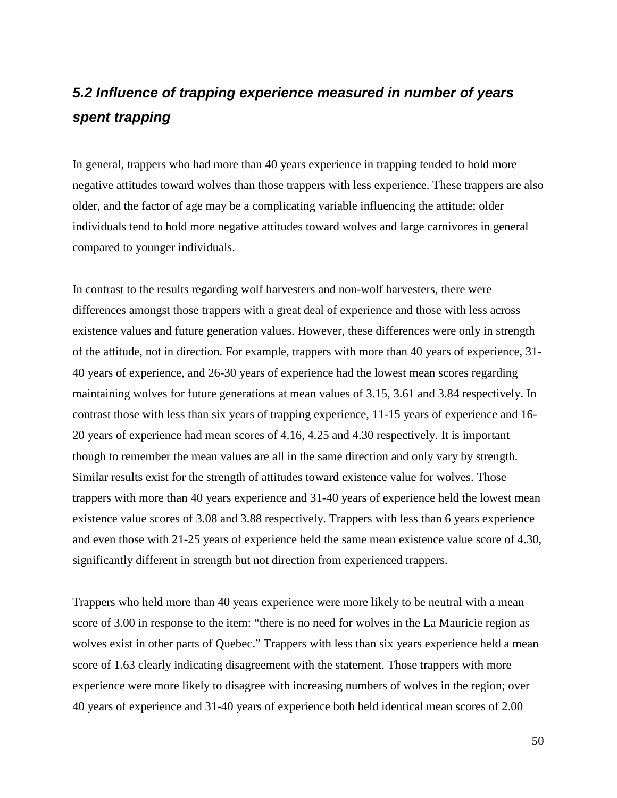# **5.2 Influence of trapping experience measured in number of years spent trapping**

In general, trappers who had more than 40 years experience in trapping tended to hold more negative attitudes toward wolves than those trappers with less experience. These trappers are also older, and the factor of age may be a complicating variable influencing the attitude; older individuals tend to hold more negative attitudes toward wolves and large carnivores in general compared to younger individuals.

In contrast to the results regarding wolf harvesters and non-wolf harvesters, there were differences amongst those trappers with a great deal of experience and those with less across existence values and future generation values. However, these differences were only in strength of the attitude, not in direction. For example, trappers with more than 40 years of experience, 31- 40 years of experience, and 26-30 years of experience had the lowest mean scores regarding maintaining wolves for future generations at mean values of 3.15, 3.61 and 3.84 respectively. In contrast those with less than six years of trapping experience, 11-15 years of experience and 16- 20 years of experience had mean scores of 4.16, 4.25 and 4.30 respectively. It is important though to remember the mean values are all in the same direction and only vary by strength. Similar results exist for the strength of attitudes toward existence value for wolves. Those trappers with more than 40 years experience and 31-40 years of experience held the lowest mean existence value scores of 3.08 and 3.88 respectively. Trappers with less than 6 years experience and even those with 21-25 years of experience held the same mean existence value score of 4.30, significantly different in strength but not direction from experienced trappers.

Trappers who held more than 40 years experience were more likely to be neutral with a mean score of 3.00 in response to the item: "there is no need for wolves in the La Mauricie region as wolves exist in other parts of Quebec." Trappers with less than six years experience held a mean score of 1.63 clearly indicating disagreement with the statement. Those trappers with more experience were more likely to disagree with increasing numbers of wolves in the region; over 40 years of experience and 31-40 years of experience both held identical mean scores of 2.00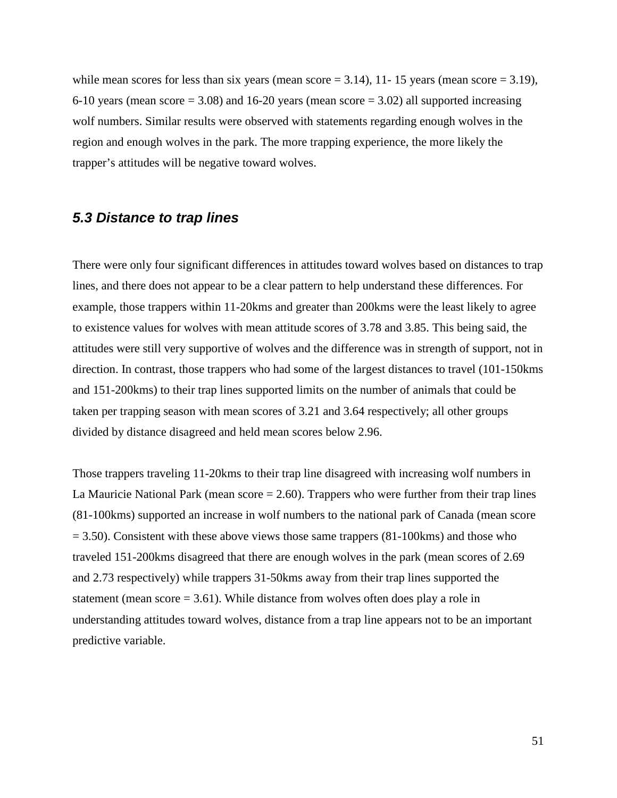while mean scores for less than six years (mean score  $= 3.14$ ), 11- 15 years (mean score  $= 3.19$ ), 6-10 years (mean score  $= 3.08$ ) and 16-20 years (mean score  $= 3.02$ ) all supported increasing wolf numbers. Similar results were observed with statements regarding enough wolves in the region and enough wolves in the park. The more trapping experience, the more likely the trapper's attitudes will be negative toward wolves.

### **5.3 Distance to trap lines**

There were only four significant differences in attitudes toward wolves based on distances to trap lines, and there does not appear to be a clear pattern to help understand these differences. For example, those trappers within 11-20kms and greater than 200kms were the least likely to agree to existence values for wolves with mean attitude scores of 3.78 and 3.85. This being said, the attitudes were still very supportive of wolves and the difference was in strength of support, not in direction. In contrast, those trappers who had some of the largest distances to travel (101-150kms and 151-200kms) to their trap lines supported limits on the number of animals that could be taken per trapping season with mean scores of 3.21 and 3.64 respectively; all other groups divided by distance disagreed and held mean scores below 2.96.

Those trappers traveling 11-20kms to their trap line disagreed with increasing wolf numbers in La Mauricie National Park (mean  $score = 2.60$ ). Trappers who were further from their trap lines (81-100kms) supported an increase in wolf numbers to the national park of Canada (mean score  $= 3.50$ ). Consistent with these above views those same trappers (81-100 kms) and those who traveled 151-200kms disagreed that there are enough wolves in the park (mean scores of 2.69 and 2.73 respectively) while trappers 31-50kms away from their trap lines supported the statement (mean score  $= 3.61$ ). While distance from wolves often does play a role in understanding attitudes toward wolves, distance from a trap line appears not to be an important predictive variable.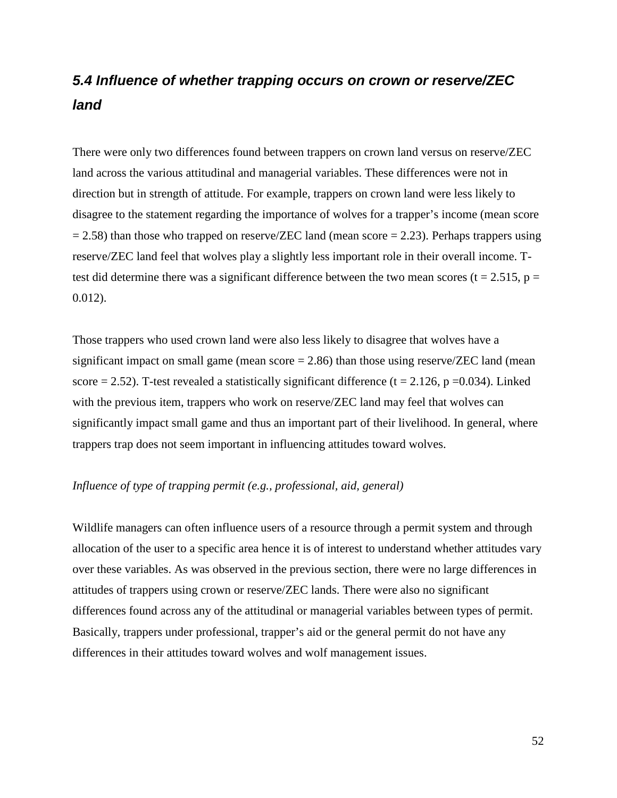# **5.4 Influence of whether trapping occurs on crown or reserve/ZEC land**

There were only two differences found between trappers on crown land versus on reserve/ZEC land across the various attitudinal and managerial variables. These differences were not in direction but in strength of attitude. For example, trappers on crown land were less likely to disagree to the statement regarding the importance of wolves for a trapper's income (mean score  $= 2.58$ ) than those who trapped on reserve/ZEC land (mean score  $= 2.23$ ). Perhaps trappers using reserve/ZEC land feel that wolves play a slightly less important role in their overall income. Ttest did determine there was a significant difference between the two mean scores ( $t = 2.515$ ,  $p =$ 0.012).

Those trappers who used crown land were also less likely to disagree that wolves have a significant impact on small game (mean score  $= 2.86$ ) than those using reserve/ZEC land (mean score = 2.52). T-test revealed a statistically significant difference ( $t = 2.126$ ,  $p = 0.034$ ). Linked with the previous item, trappers who work on reserve/ZEC land may feel that wolves can significantly impact small game and thus an important part of their livelihood. In general, where trappers trap does not seem important in influencing attitudes toward wolves.

#### *Influence of type of trapping permit (e.g., professional, aid, general)*

Wildlife managers can often influence users of a resource through a permit system and through allocation of the user to a specific area hence it is of interest to understand whether attitudes vary over these variables. As was observed in the previous section, there were no large differences in attitudes of trappers using crown or reserve/ZEC lands. There were also no significant differences found across any of the attitudinal or managerial variables between types of permit. Basically, trappers under professional, trapper's aid or the general permit do not have any differences in their attitudes toward wolves and wolf management issues.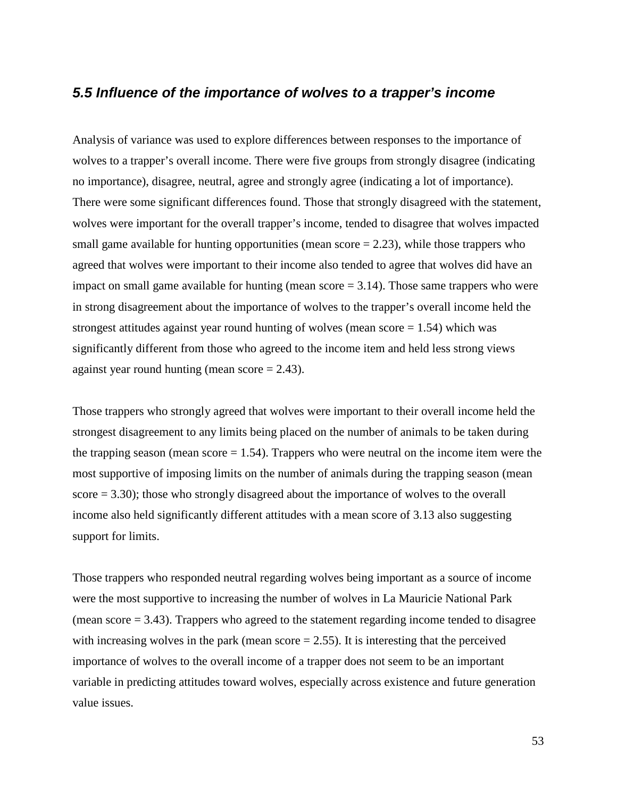### **5.5 Influence of the importance of wolves to a trapper's income**

Analysis of variance was used to explore differences between responses to the importance of wolves to a trapper's overall income. There were five groups from strongly disagree (indicating no importance), disagree, neutral, agree and strongly agree (indicating a lot of importance). There were some significant differences found. Those that strongly disagreed with the statement, wolves were important for the overall trapper's income, tended to disagree that wolves impacted small game available for hunting opportunities (mean score  $= 2.23$ ), while those trappers who agreed that wolves were important to their income also tended to agree that wolves did have an impact on small game available for hunting (mean score  $= 3.14$ ). Those same trappers who were in strong disagreement about the importance of wolves to the trapper's overall income held the strongest attitudes against year round hunting of wolves (mean score  $= 1.54$ ) which was significantly different from those who agreed to the income item and held less strong views against year round hunting (mean score  $= 2.43$ ).

Those trappers who strongly agreed that wolves were important to their overall income held the strongest disagreement to any limits being placed on the number of animals to be taken during the trapping season (mean score  $= 1.54$ ). Trappers who were neutral on the income item were the most supportive of imposing limits on the number of animals during the trapping season (mean score = 3.30); those who strongly disagreed about the importance of wolves to the overall income also held significantly different attitudes with a mean score of 3.13 also suggesting support for limits.

Those trappers who responded neutral regarding wolves being important as a source of income were the most supportive to increasing the number of wolves in La Mauricie National Park (mean score  $= 3.43$ ). Trappers who agreed to the statement regarding income tended to disagree with increasing wolves in the park (mean score  $= 2.55$ ). It is interesting that the perceived importance of wolves to the overall income of a trapper does not seem to be an important variable in predicting attitudes toward wolves, especially across existence and future generation value issues.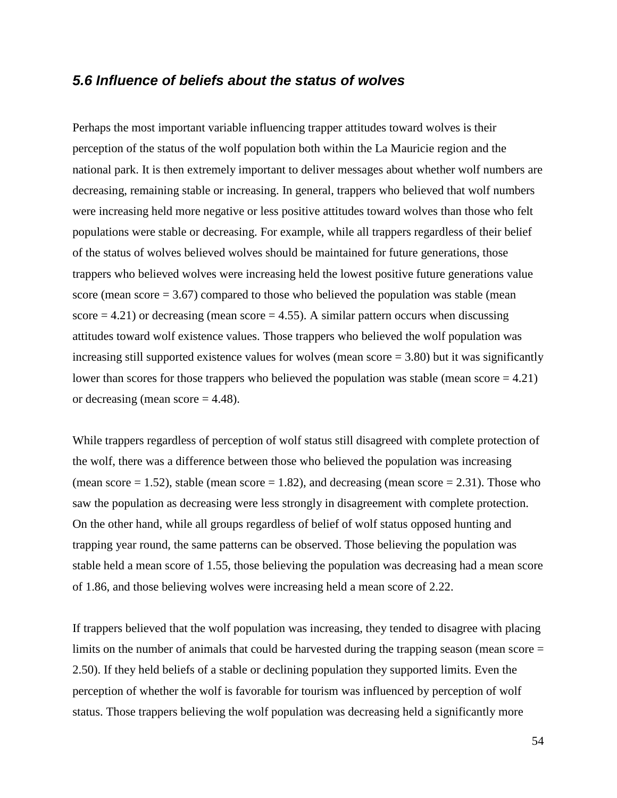#### **5.6 Influence of beliefs about the status of wolves**

Perhaps the most important variable influencing trapper attitudes toward wolves is their perception of the status of the wolf population both within the La Mauricie region and the national park. It is then extremely important to deliver messages about whether wolf numbers are decreasing, remaining stable or increasing. In general, trappers who believed that wolf numbers were increasing held more negative or less positive attitudes toward wolves than those who felt populations were stable or decreasing. For example, while all trappers regardless of their belief of the status of wolves believed wolves should be maintained for future generations, those trappers who believed wolves were increasing held the lowest positive future generations value score (mean score  $= 3.67$ ) compared to those who believed the population was stable (mean score  $= 4.21$ ) or decreasing (mean score  $= 4.55$ ). A similar pattern occurs when discussing attitudes toward wolf existence values. Those trappers who believed the wolf population was increasing still supported existence values for wolves (mean score = 3.80) but it was significantly lower than scores for those trappers who believed the population was stable (mean score  $= 4.21$ ) or decreasing (mean score  $= 4.48$ ).

While trappers regardless of perception of wolf status still disagreed with complete protection of the wolf, there was a difference between those who believed the population was increasing (mean score  $= 1.52$ ), stable (mean score  $= 1.82$ ), and decreasing (mean score  $= 2.31$ ). Those who saw the population as decreasing were less strongly in disagreement with complete protection. On the other hand, while all groups regardless of belief of wolf status opposed hunting and trapping year round, the same patterns can be observed. Those believing the population was stable held a mean score of 1.55, those believing the population was decreasing had a mean score of 1.86, and those believing wolves were increasing held a mean score of 2.22.

If trappers believed that the wolf population was increasing, they tended to disagree with placing limits on the number of animals that could be harvested during the trapping season (mean score = 2.50). If they held beliefs of a stable or declining population they supported limits. Even the perception of whether the wolf is favorable for tourism was influenced by perception of wolf status. Those trappers believing the wolf population was decreasing held a significantly more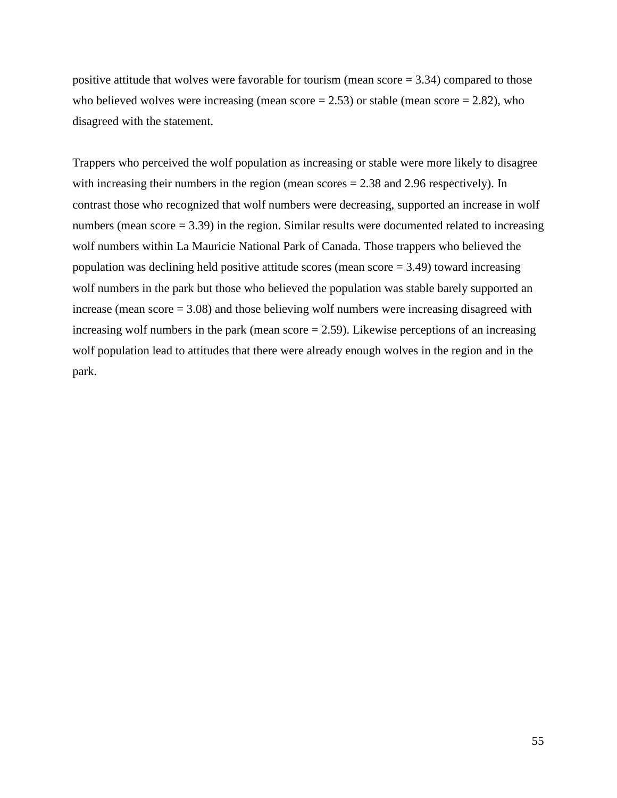positive attitude that wolves were favorable for tourism (mean score = 3.34) compared to those who believed wolves were increasing (mean score  $= 2.53$ ) or stable (mean score  $= 2.82$ ), who disagreed with the statement.

Trappers who perceived the wolf population as increasing or stable were more likely to disagree with increasing their numbers in the region (mean scores = 2.38 and 2.96 respectively). In contrast those who recognized that wolf numbers were decreasing, supported an increase in wolf numbers (mean score  $= 3.39$ ) in the region. Similar results were documented related to increasing wolf numbers within La Mauricie National Park of Canada. Those trappers who believed the population was declining held positive attitude scores (mean score  $= 3.49$ ) toward increasing wolf numbers in the park but those who believed the population was stable barely supported an increase (mean score = 3.08) and those believing wolf numbers were increasing disagreed with increasing wolf numbers in the park (mean score  $= 2.59$ ). Likewise perceptions of an increasing wolf population lead to attitudes that there were already enough wolves in the region and in the park.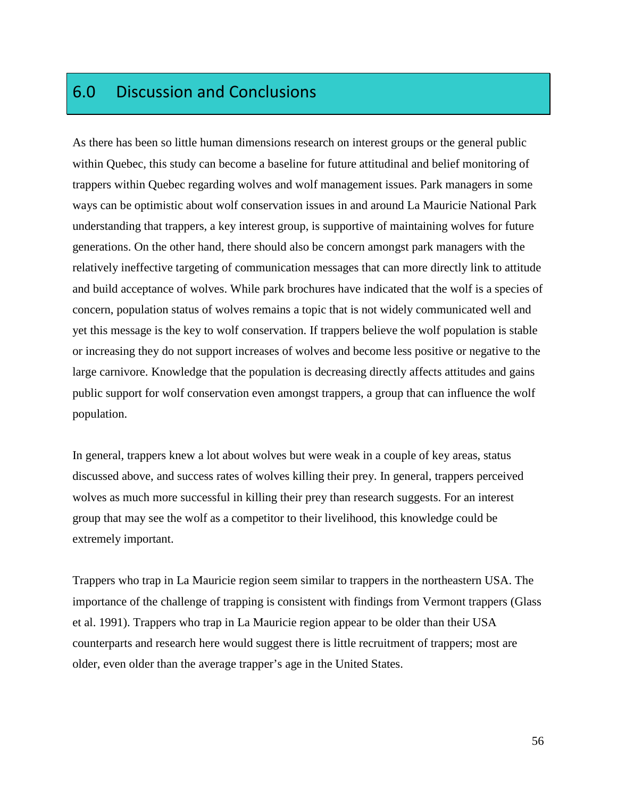# 6.0 Discussion and Conclusions

As there has been so little human dimensions research on interest groups or the general public within Quebec, this study can become a baseline for future attitudinal and belief monitoring of trappers within Quebec regarding wolves and wolf management issues. Park managers in some ways can be optimistic about wolf conservation issues in and around La Mauricie National Park understanding that trappers, a key interest group, is supportive of maintaining wolves for future generations. On the other hand, there should also be concern amongst park managers with the relatively ineffective targeting of communication messages that can more directly link to attitude and build acceptance of wolves. While park brochures have indicated that the wolf is a species of concern, population status of wolves remains a topic that is not widely communicated well and yet this message is the key to wolf conservation. If trappers believe the wolf population is stable or increasing they do not support increases of wolves and become less positive or negative to the large carnivore. Knowledge that the population is decreasing directly affects attitudes and gains public support for wolf conservation even amongst trappers, a group that can influence the wolf population.

In general, trappers knew a lot about wolves but were weak in a couple of key areas, status discussed above, and success rates of wolves killing their prey. In general, trappers perceived wolves as much more successful in killing their prey than research suggests. For an interest group that may see the wolf as a competitor to their livelihood, this knowledge could be extremely important.

Trappers who trap in La Mauricie region seem similar to trappers in the northeastern USA. The importance of the challenge of trapping is consistent with findings from Vermont trappers (Glass et al. 1991). Trappers who trap in La Mauricie region appear to be older than their USA counterparts and research here would suggest there is little recruitment of trappers; most are older, even older than the average trapper's age in the United States.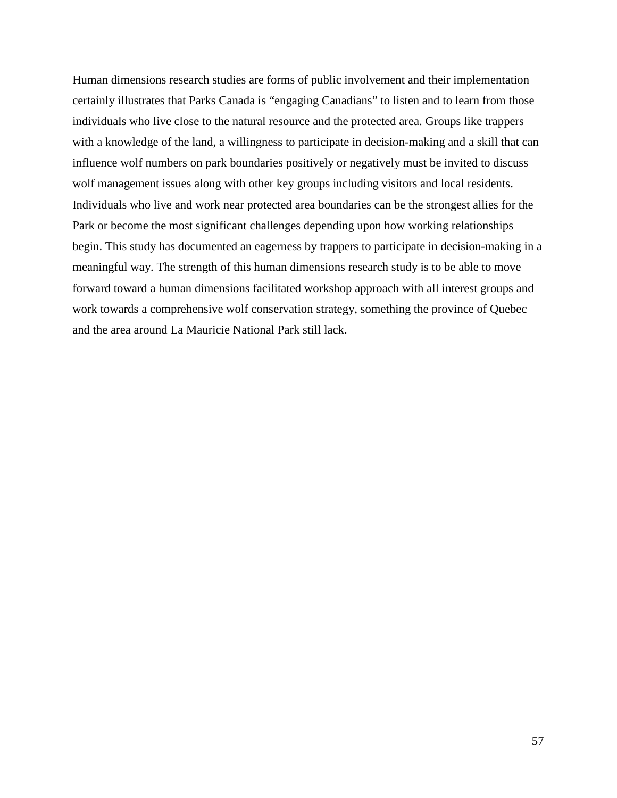Human dimensions research studies are forms of public involvement and their implementation certainly illustrates that Parks Canada is "engaging Canadians" to listen and to learn from those individuals who live close to the natural resource and the protected area. Groups like trappers with a knowledge of the land, a willingness to participate in decision-making and a skill that can influence wolf numbers on park boundaries positively or negatively must be invited to discuss wolf management issues along with other key groups including visitors and local residents. Individuals who live and work near protected area boundaries can be the strongest allies for the Park or become the most significant challenges depending upon how working relationships begin. This study has documented an eagerness by trappers to participate in decision-making in a meaningful way. The strength of this human dimensions research study is to be able to move forward toward a human dimensions facilitated workshop approach with all interest groups and work towards a comprehensive wolf conservation strategy, something the province of Quebec and the area around La Mauricie National Park still lack.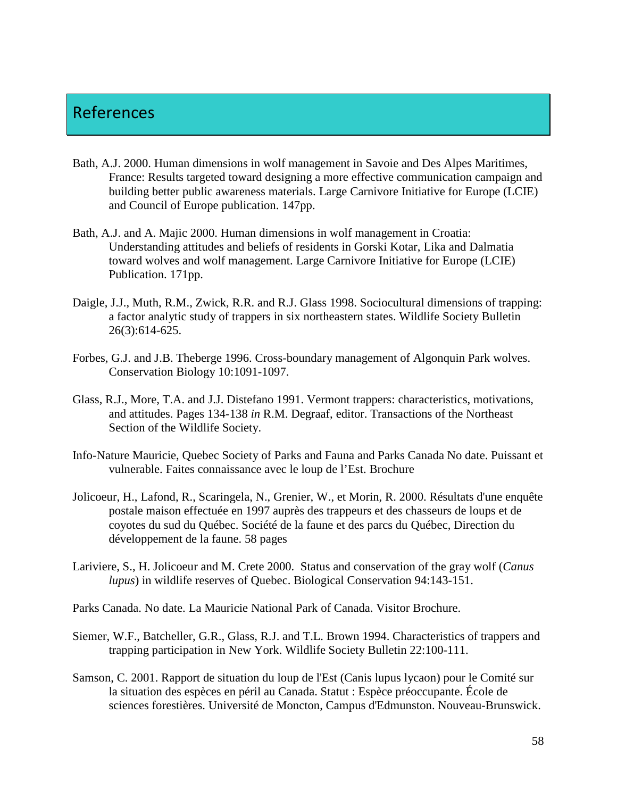## References

- Bath, A.J. 2000. Human dimensions in wolf management in Savoie and Des Alpes Maritimes, France: Results targeted toward designing a more effective communication campaign and building better public awareness materials. Large Carnivore Initiative for Europe (LCIE) and Council of Europe publication. 147pp.
- Bath, A.J. and A. Majic 2000. Human dimensions in wolf management in Croatia: Understanding attitudes and beliefs of residents in Gorski Kotar, Lika and Dalmatia toward wolves and wolf management. Large Carnivore Initiative for Europe (LCIE) Publication. 171pp.
- Daigle, J.J., Muth, R.M., Zwick, R.R. and R.J. Glass 1998. Sociocultural dimensions of trapping: a factor analytic study of trappers in six northeastern states. Wildlife Society Bulletin 26(3):614-625.
- Forbes, G.J. and J.B. Theberge 1996. Cross-boundary management of Algonquin Park wolves. Conservation Biology 10:1091-1097.
- Glass, R.J., More, T.A. and J.J. Distefano 1991. Vermont trappers: characteristics, motivations, and attitudes. Pages 134-138 *in* R.M. Degraaf, editor. Transactions of the Northeast Section of the Wildlife Society.
- Info-Nature Mauricie, Quebec Society of Parks and Fauna and Parks Canada No date. Puissant et vulnerable. Faites connaissance avec le loup de l'Est. Brochure
- Jolicoeur, H., Lafond, R., Scaringela, N., Grenier, W., et Morin, R. 2000. Résultats d'une enquête postale maison effectuée en 1997 auprès des trappeurs et des chasseurs de loups et de coyotes du sud du Québec. Société de la faune et des parcs du Québec, Direction du développement de la faune. 58 pages
- Lariviere, S., H. Jolicoeur and M. Crete 2000. Status and conservation of the gray wolf (*Canus lupus*) in wildlife reserves of Quebec. Biological Conservation 94:143-151.
- Parks Canada. No date. La Mauricie National Park of Canada. Visitor Brochure.
- Siemer, W.F., Batcheller, G.R., Glass, R.J. and T.L. Brown 1994. Characteristics of trappers and trapping participation in New York. Wildlife Society Bulletin 22:100-111.
- Samson, C. 2001. Rapport de situation du loup de l'Est (Canis lupus lycaon) pour le Comité sur la situation des espèces en péril au Canada. Statut : Espèce préoccupante. École de sciences forestières. Université de Moncton, Campus d'Edmunston. Nouveau-Brunswick.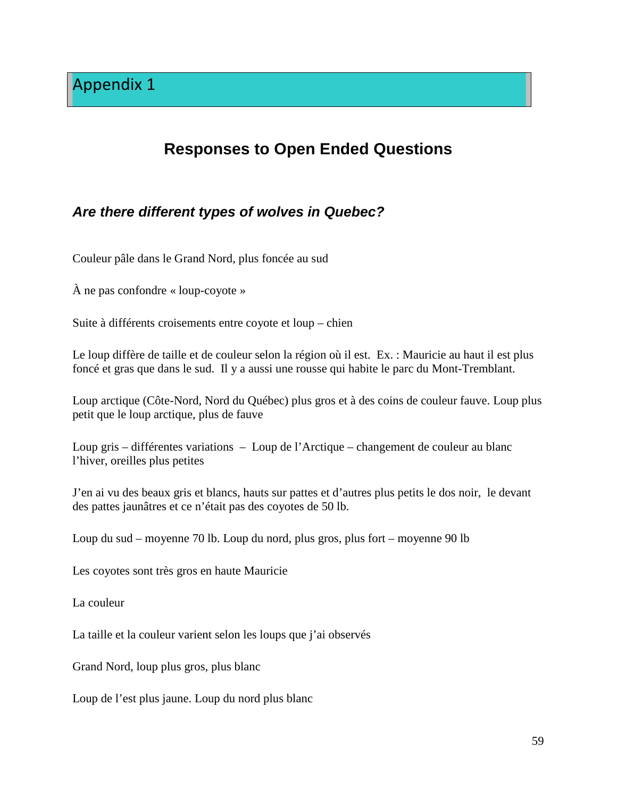# **Responses to Open Ended Questions**

### **Are there different types of wolves in Quebec?**

Couleur pâle dans le Grand Nord, plus foncée au sud

À ne pas confondre « loup-coyote »

Suite à différents croisements entre coyote et loup – chien

Le loup diffère de taille et de couleur selon la région où il est. Ex. : Mauricie au haut il est plus foncé et gras que dans le sud. Il y a aussi une rousse qui habite le parc du Mont-Tremblant.

Loup arctique (Côte-Nord, Nord du Québec) plus gros et à des coins de couleur fauve. Loup plus petit que le loup arctique, plus de fauve

Loup gris – différentes variations – Loup de l'Arctique – changement de couleur au blanc l'hiver, oreilles plus petites

J'en ai vu des beaux gris et blancs, hauts sur pattes et d'autres plus petits le dos noir, le devant des pattes jaunâtres et ce n'était pas des coyotes de 50 lb.

Loup du sud – moyenne 70 lb. Loup du nord, plus gros, plus fort – moyenne 90 lb

Les coyotes sont très gros en haute Mauricie

La couleur

La taille et la couleur varient selon les loups que j'ai observés

Grand Nord, loup plus gros, plus blanc

Loup de l'est plus jaune. Loup du nord plus blanc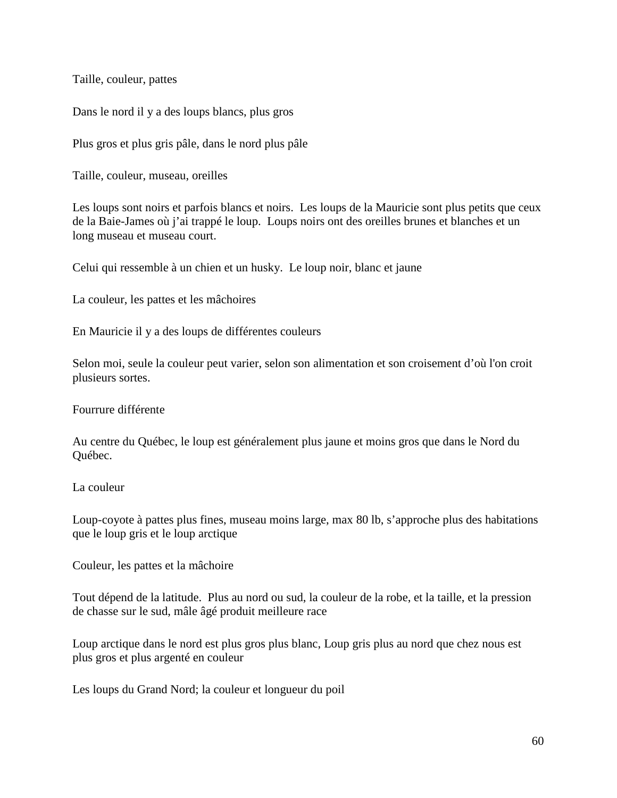Taille, couleur, pattes

Dans le nord il y a des loups blancs, plus gros

Plus gros et plus gris pâle, dans le nord plus pâle

Taille, couleur, museau, oreilles

Les loups sont noirs et parfois blancs et noirs. Les loups de la Mauricie sont plus petits que ceux de la Baie-James où j'ai trappé le loup. Loups noirs ont des oreilles brunes et blanches et un long museau et museau court.

Celui qui ressemble à un chien et un husky. Le loup noir, blanc et jaune

La couleur, les pattes et les mâchoires

En Mauricie il y a des loups de différentes couleurs

Selon moi, seule la couleur peut varier, selon son alimentation et son croisement d'où l'on croit plusieurs sortes.

Fourrure différente

Au centre du Québec, le loup est généralement plus jaune et moins gros que dans le Nord du Québec.

La couleur

Loup-coyote à pattes plus fines, museau moins large, max 80 lb, s'approche plus des habitations que le loup gris et le loup arctique

Couleur, les pattes et la mâchoire

Tout dépend de la latitude. Plus au nord ou sud, la couleur de la robe, et la taille, et la pression de chasse sur le sud, mâle âgé produit meilleure race

Loup arctique dans le nord est plus gros plus blanc, Loup gris plus au nord que chez nous est plus gros et plus argenté en couleur

Les loups du Grand Nord; la couleur et longueur du poil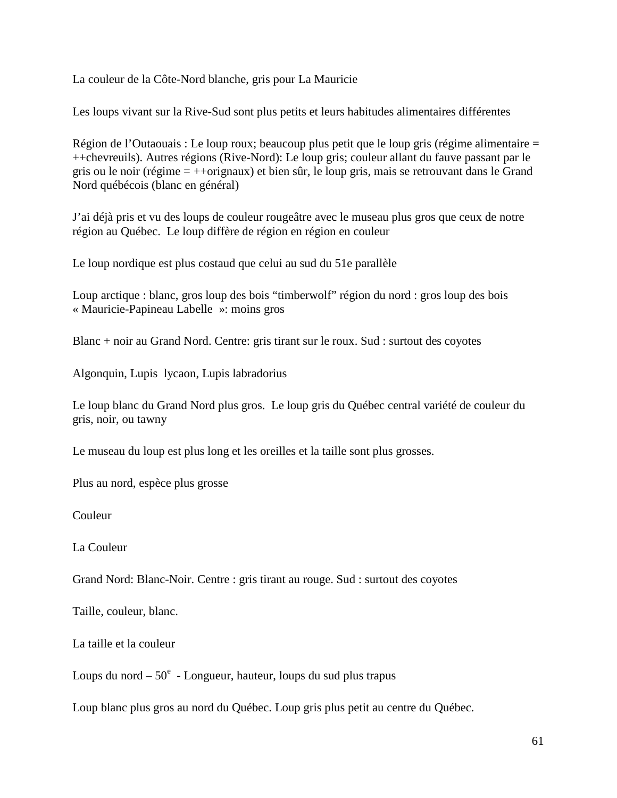La couleur de la Côte-Nord blanche, gris pour La Mauricie

Les loups vivant sur la Rive-Sud sont plus petits et leurs habitudes alimentaires différentes

Région de l'Outaouais : Le loup roux; beaucoup plus petit que le loup gris (régime alimentaire = ++chevreuils). Autres régions (Rive-Nord): Le loup gris; couleur allant du fauve passant par le gris ou le noir (régime = ++orignaux) et bien sûr, le loup gris, mais se retrouvant dans le Grand Nord québécois (blanc en général)

J'ai déjà pris et vu des loups de couleur rougeâtre avec le museau plus gros que ceux de notre région au Québec. Le loup diffère de région en région en couleur

Le loup nordique est plus costaud que celui au sud du 51e parallèle

Loup arctique : blanc, gros loup des bois "timberwolf" région du nord : gros loup des bois « Mauricie-Papineau Labelle »: moins gros

Blanc + noir au Grand Nord. Centre: gris tirant sur le roux. Sud : surtout des coyotes

Algonquin, Lupis lycaon, Lupis labradorius

Le loup blanc du Grand Nord plus gros. Le loup gris du Québec central variété de couleur du gris, noir, ou tawny

Le museau du loup est plus long et les oreilles et la taille sont plus grosses.

Plus au nord, espèce plus grosse

Couleur

La Couleur

Grand Nord: Blanc-Noir. Centre : gris tirant au rouge. Sud : surtout des coyotes

Taille, couleur, blanc.

La taille et la couleur

Loups du nord  $-50^e$  - Longueur, hauteur, loups du sud plus trapus

Loup blanc plus gros au nord du Québec. Loup gris plus petit au centre du Québec.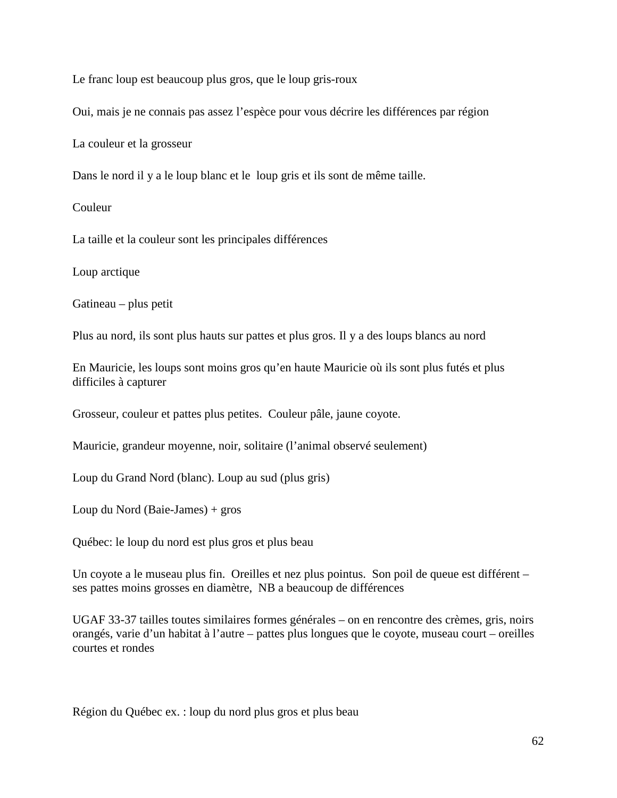Le franc loup est beaucoup plus gros, que le loup gris-roux

Oui, mais je ne connais pas assez l'espèce pour vous décrire les différences par région

La couleur et la grosseur

Dans le nord il y a le loup blanc et le loup gris et ils sont de même taille.

Couleur

La taille et la couleur sont les principales différences

Loup arctique

Gatineau – plus petit

Plus au nord, ils sont plus hauts sur pattes et plus gros. Il y a des loups blancs au nord

En Mauricie, les loups sont moins gros qu'en haute Mauricie où ils sont plus futés et plus difficiles à capturer

Grosseur, couleur et pattes plus petites. Couleur pâle, jaune coyote.

Mauricie, grandeur moyenne, noir, solitaire (l'animal observé seulement)

Loup du Grand Nord (blanc). Loup au sud (plus gris)

Loup du Nord (Baie-James) + gros

Québec: le loup du nord est plus gros et plus beau

Un coyote a le museau plus fin. Oreilles et nez plus pointus. Son poil de queue est différent – ses pattes moins grosses en diamètre, NB a beaucoup de différences

UGAF 33-37 tailles toutes similaires formes générales – on en rencontre des crèmes, gris, noirs orangés, varie d'un habitat à l'autre – pattes plus longues que le coyote, museau court – oreilles courtes et rondes

Région du Québec ex. : loup du nord plus gros et plus beau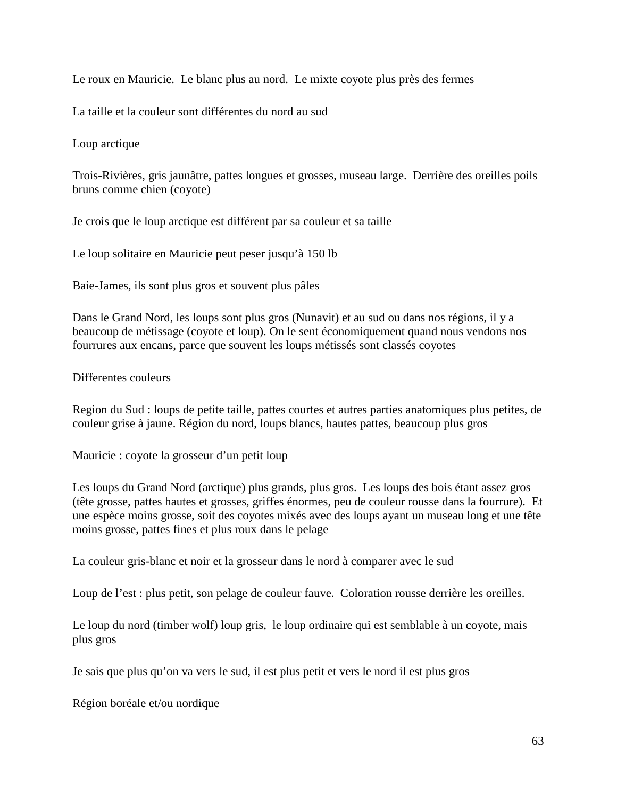Le roux en Mauricie. Le blanc plus au nord. Le mixte coyote plus près des fermes

La taille et la couleur sont différentes du nord au sud

Loup arctique

Trois-Rivières, gris jaunâtre, pattes longues et grosses, museau large. Derrière des oreilles poils bruns comme chien (coyote)

Je crois que le loup arctique est différent par sa couleur et sa taille

Le loup solitaire en Mauricie peut peser jusqu'à 150 lb

Baie-James, ils sont plus gros et souvent plus pâles

Dans le Grand Nord, les loups sont plus gros (Nunavit) et au sud ou dans nos régions, il y a beaucoup de métissage (coyote et loup). On le sent économiquement quand nous vendons nos fourrures aux encans, parce que souvent les loups métissés sont classés coyotes

Differentes couleurs

Region du Sud : loups de petite taille, pattes courtes et autres parties anatomiques plus petites, de couleur grise à jaune. Région du nord, loups blancs, hautes pattes, beaucoup plus gros

Mauricie : coyote la grosseur d'un petit loup

Les loups du Grand Nord (arctique) plus grands, plus gros. Les loups des bois étant assez gros (tête grosse, pattes hautes et grosses, griffes énormes, peu de couleur rousse dans la fourrure). Et une espèce moins grosse, soit des coyotes mixés avec des loups ayant un museau long et une tête moins grosse, pattes fines et plus roux dans le pelage

La couleur gris-blanc et noir et la grosseur dans le nord à comparer avec le sud

Loup de l'est : plus petit, son pelage de couleur fauve. Coloration rousse derrière les oreilles.

Le loup du nord (timber wolf) loup gris, le loup ordinaire qui est semblable à un coyote, mais plus gros

Je sais que plus qu'on va vers le sud, il est plus petit et vers le nord il est plus gros

Région boréale et/ou nordique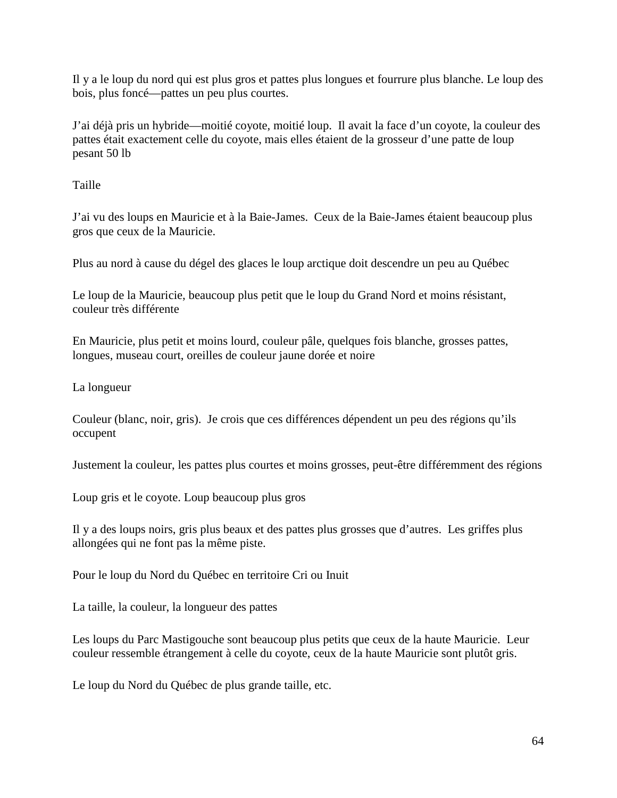Il y a le loup du nord qui est plus gros et pattes plus longues et fourrure plus blanche. Le loup des bois, plus foncé—pattes un peu plus courtes.

J'ai déjà pris un hybride—moitié coyote, moitié loup. Il avait la face d'un coyote, la couleur des pattes était exactement celle du coyote, mais elles étaient de la grosseur d'une patte de loup pesant 50 lb

Taille

J'ai vu des loups en Mauricie et à la Baie-James. Ceux de la Baie-James étaient beaucoup plus gros que ceux de la Mauricie.

Plus au nord à cause du dégel des glaces le loup arctique doit descendre un peu au Québec

Le loup de la Mauricie, beaucoup plus petit que le loup du Grand Nord et moins résistant, couleur très différente

En Mauricie, plus petit et moins lourd, couleur pâle, quelques fois blanche, grosses pattes, longues, museau court, oreilles de couleur jaune dorée et noire

La longueur

Couleur (blanc, noir, gris). Je crois que ces différences dépendent un peu des régions qu'ils occupent

Justement la couleur, les pattes plus courtes et moins grosses, peut-être différemment des régions

Loup gris et le coyote. Loup beaucoup plus gros

Il y a des loups noirs, gris plus beaux et des pattes plus grosses que d'autres. Les griffes plus allongées qui ne font pas la même piste.

Pour le loup du Nord du Québec en territoire Cri ou Inuit

La taille, la couleur, la longueur des pattes

Les loups du Parc Mastigouche sont beaucoup plus petits que ceux de la haute Mauricie. Leur couleur ressemble étrangement à celle du coyote, ceux de la haute Mauricie sont plutôt gris.

Le loup du Nord du Québec de plus grande taille, etc.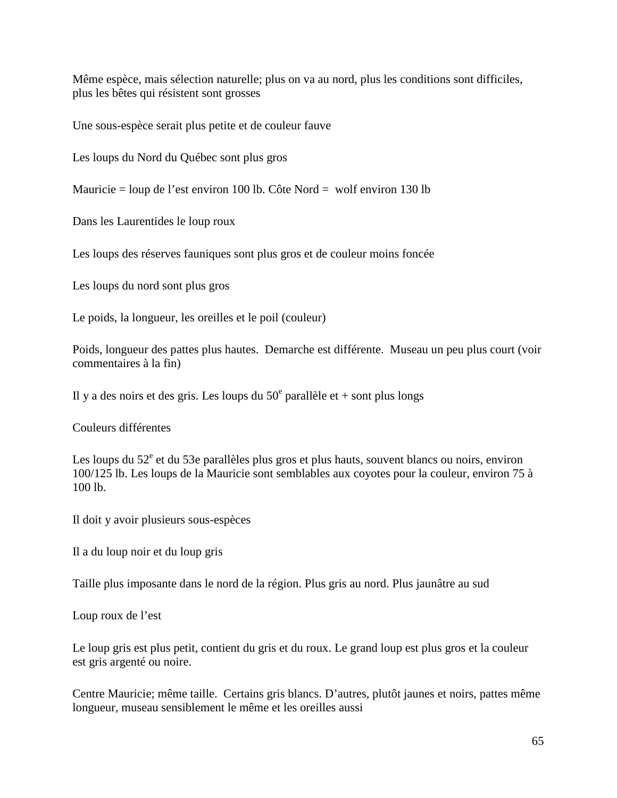Même espèce, mais sélection naturelle; plus on va au nord, plus les conditions sont difficiles, plus les bêtes qui résistent sont grosses

Une sous-espèce serait plus petite et de couleur fauve

Les loups du Nord du Québec sont plus gros

Mauricie = loup de l'est environ 100 lb. Côte Nord = wolf environ 130 lb

Dans les Laurentides le loup roux

Les loups des réserves fauniques sont plus gros et de couleur moins foncée

Les loups du nord sont plus gros

Le poids, la longueur, les oreilles et le poil (couleur)

Poids, longueur des pattes plus hautes. Demarche est différente. Museau un peu plus court (voir commentaires à la fin)

Il y a des noirs et des gris. Les loups du  $50^{\circ}$  parallèle et + sont plus longs

Couleurs différentes

Les loups du 52<sup>e</sup> et du 53e parallèles plus gros et plus hauts, souvent blancs ou noirs, environ 100/125 lb. Les loups de la Mauricie sont semblables aux coyotes pour la couleur, environ 75 à 100 lb.

Il doit y avoir plusieurs sous-espèces

Il a du loup noir et du loup gris

Taille plus imposante dans le nord de la région. Plus gris au nord. Plus jaunâtre au sud

Loup roux de l'est

Le loup gris est plus petit, contient du gris et du roux. Le grand loup est plus gros et la couleur est gris argenté ou noire.

Centre Mauricie; même taille. Certains gris blancs. D'autres, plutôt jaunes et noirs, pattes même longueur, museau sensiblement le même et les oreilles aussi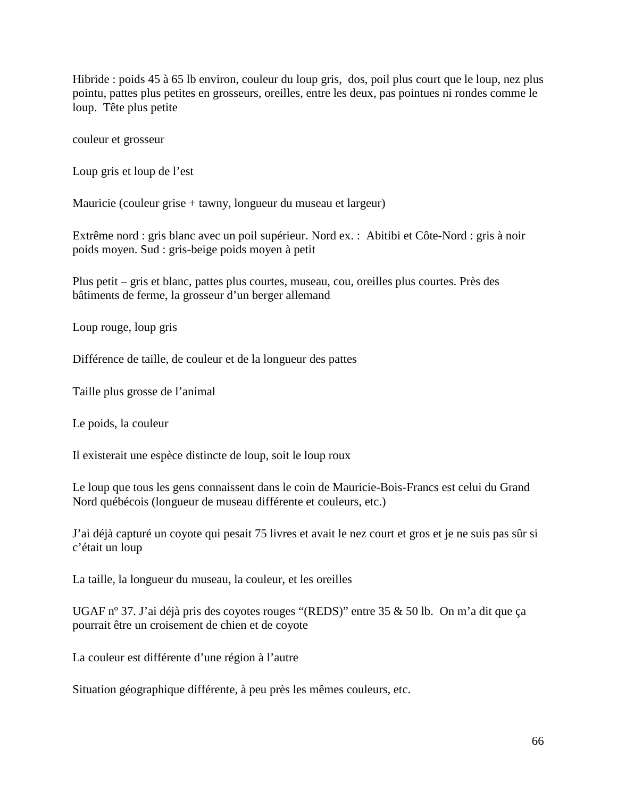Hibride : poids 45 à 65 lb environ, couleur du loup gris, dos, poil plus court que le loup, nez plus pointu, pattes plus petites en grosseurs, oreilles, entre les deux, pas pointues ni rondes comme le loup. Tête plus petite

couleur et grosseur

Loup gris et loup de l'est

Mauricie (couleur grise + tawny, longueur du museau et largeur)

Extrême nord : gris blanc avec un poil supérieur. Nord ex. : Abitibi et Côte-Nord : gris à noir poids moyen. Sud : gris-beige poids moyen à petit

Plus petit – gris et blanc, pattes plus courtes, museau, cou, oreilles plus courtes. Près des bâtiments de ferme, la grosseur d'un berger allemand

Loup rouge, loup gris

Différence de taille, de couleur et de la longueur des pattes

Taille plus grosse de l'animal

Le poids, la couleur

Il existerait une espèce distincte de loup, soit le loup roux

Le loup que tous les gens connaissent dans le coin de Mauricie-Bois-Francs est celui du Grand Nord québécois (longueur de museau différente et couleurs, etc.)

J'ai déjà capturé un coyote qui pesait 75 livres et avait le nez court et gros et je ne suis pas sûr si c'était un loup

La taille, la longueur du museau, la couleur, et les oreilles

UGAF nº 37. J'ai déjà pris des coyotes rouges "(REDS)" entre 35 & 50 lb. On m'a dit que ça pourrait être un croisement de chien et de coyote

La couleur est différente d'une région à l'autre

Situation géographique différente, à peu près les mêmes couleurs, etc.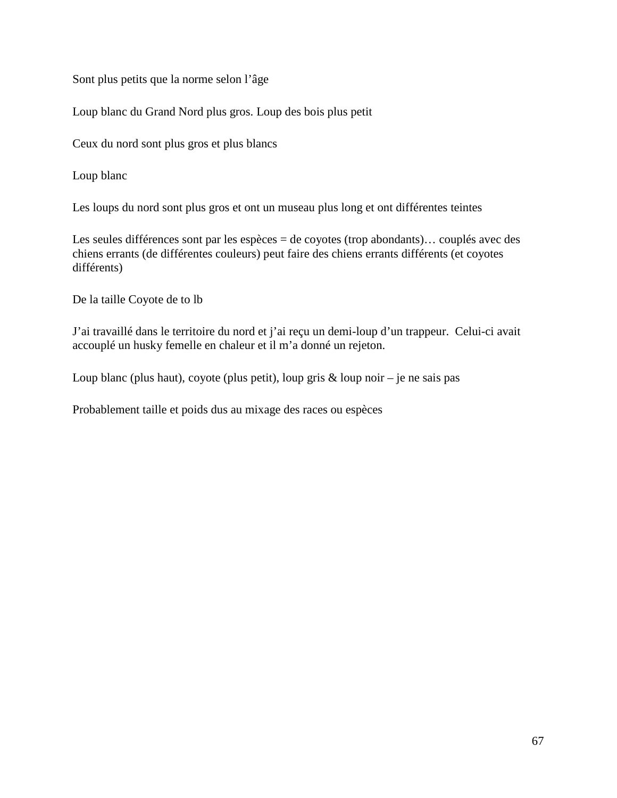Sont plus petits que la norme selon l'âge

Loup blanc du Grand Nord plus gros. Loup des bois plus petit

Ceux du nord sont plus gros et plus blancs

Loup blanc

Les loups du nord sont plus gros et ont un museau plus long et ont différentes teintes

Les seules différences sont par les espèces = de coyotes (trop abondants)... couplés avec des chiens errants (de différentes couleurs) peut faire des chiens errants différents (et coyotes différents)

De la taille Coyote de to lb

J'ai travaillé dans le territoire du nord et j'ai reçu un demi-loup d'un trappeur. Celui-ci avait accouplé un husky femelle en chaleur et il m'a donné un rejeton.

Loup blanc (plus haut), coyote (plus petit), loup gris  $\&$  loup noir – je ne sais pas

Probablement taille et poids dus au mixage des races ou espèces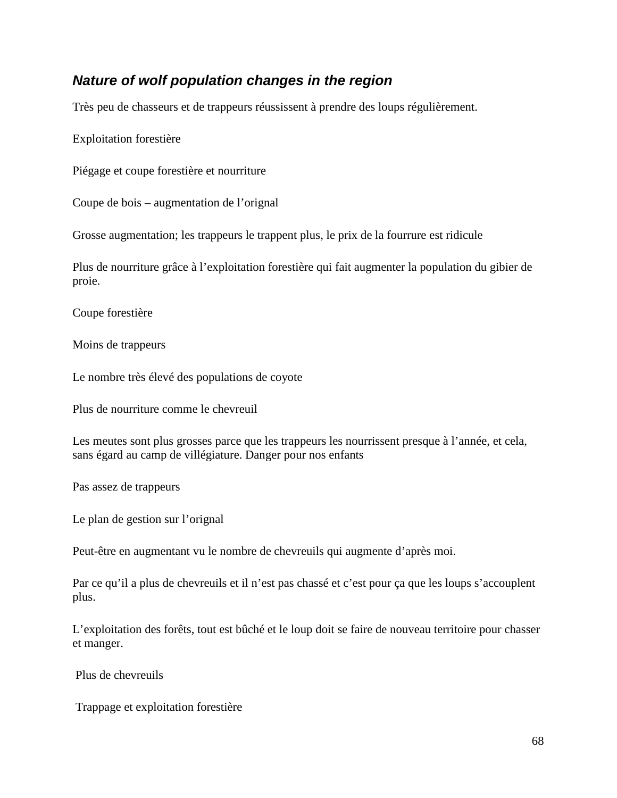## **Nature of wolf population changes in the region**

Très peu de chasseurs et de trappeurs réussissent à prendre des loups régulièrement.

Exploitation forestière

Piégage et coupe forestière et nourriture

Coupe de bois – augmentation de l'orignal

Grosse augmentation; les trappeurs le trappent plus, le prix de la fourrure est ridicule

Plus de nourriture grâce à l'exploitation forestière qui fait augmenter la population du gibier de proie.

Coupe forestière

Moins de trappeurs

Le nombre très élevé des populations de coyote

Plus de nourriture comme le chevreuil

Les meutes sont plus grosses parce que les trappeurs les nourrissent presque à l'année, et cela, sans égard au camp de villégiature. Danger pour nos enfants

Pas assez de trappeurs

Le plan de gestion sur l'orignal

Peut-être en augmentant vu le nombre de chevreuils qui augmente d'après moi.

Par ce qu'il a plus de chevreuils et il n'est pas chassé et c'est pour ça que les loups s'accouplent plus.

L'exploitation des forêts, tout est bûché et le loup doit se faire de nouveau territoire pour chasser et manger.

Plus de chevreuils

Trappage et exploitation forestière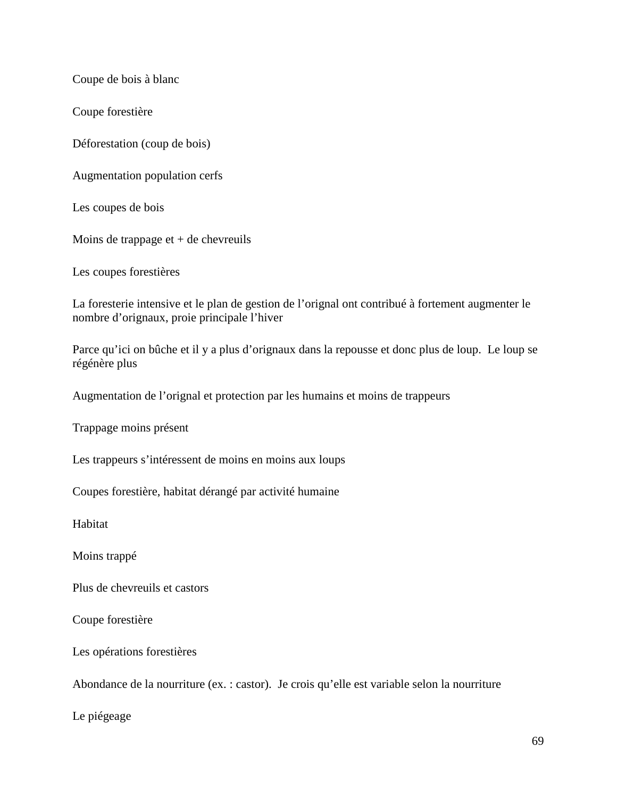Coupe de bois à blanc

Coupe forestière

Déforestation (coup de bois)

Augmentation population cerfs

Les coupes de bois

Moins de trappage  $et + de$  chevreuils

Les coupes forestières

La foresterie intensive et le plan de gestion de l'orignal ont contribué à fortement augmenter le nombre d'orignaux, proie principale l'hiver

Parce qu'ici on bûche et il y a plus d'orignaux dans la repousse et donc plus de loup. Le loup se régénère plus

Augmentation de l'orignal et protection par les humains et moins de trappeurs

Trappage moins présent

Les trappeurs s'intéressent de moins en moins aux loups

Coupes forestière, habitat dérangé par activité humaine

Habitat

Moins trappé

Plus de chevreuils et castors

Coupe forestière

Les opérations forestières

Abondance de la nourriture (ex. : castor). Je crois qu'elle est variable selon la nourriture

Le piégeage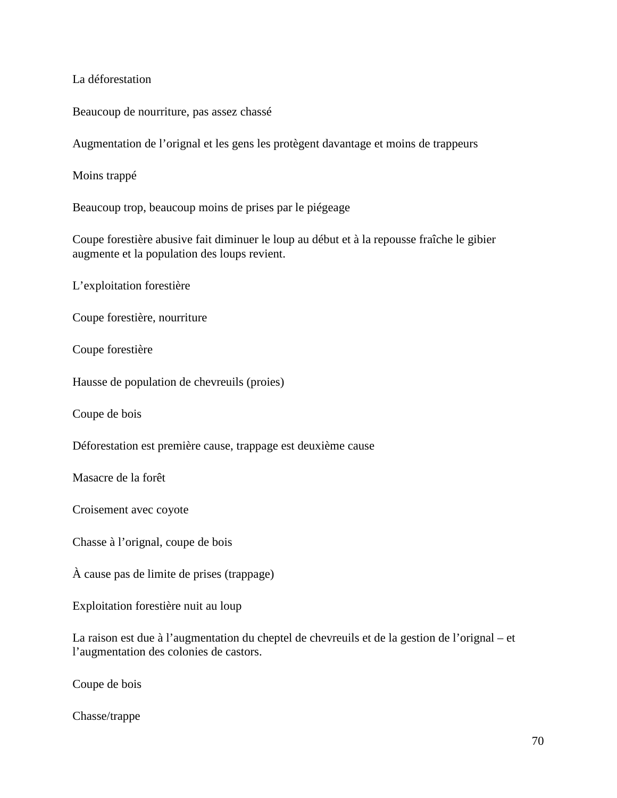La déforestation

Beaucoup de nourriture, pas assez chassé

Augmentation de l'orignal et les gens les protègent davantage et moins de trappeurs

Moins trappé

Beaucoup trop, beaucoup moins de prises par le piégeage

Coupe forestière abusive fait diminuer le loup au début et à la repousse fraîche le gibier augmente et la population des loups revient.

L'exploitation forestière

Coupe forestière, nourriture

Coupe forestière

Hausse de population de chevreuils (proies)

Coupe de bois

Déforestation est première cause, trappage est deuxième cause

Masacre de la forêt

Croisement avec coyote

Chasse à l'orignal, coupe de bois

À cause pas de limite de prises (trappage)

Exploitation forestière nuit au loup

La raison est due à l'augmentation du cheptel de chevreuils et de la gestion de l'orignal – et l'augmentation des colonies de castors.

Coupe de bois

Chasse/trappe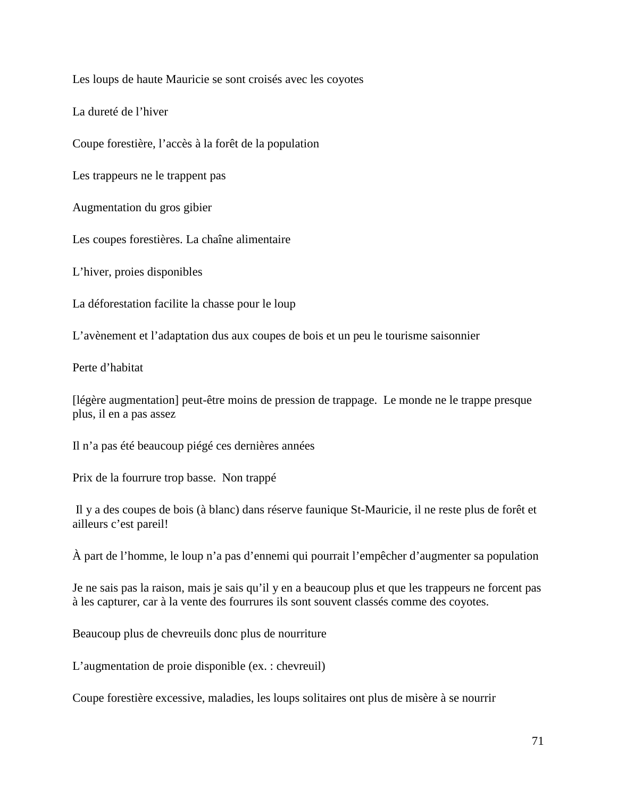Les loups de haute Mauricie se sont croisés avec les coyotes

La dureté de l'hiver

Coupe forestière, l'accès à la forêt de la population

Les trappeurs ne le trappent pas

Augmentation du gros gibier

Les coupes forestières. La chaîne alimentaire

L'hiver, proies disponibles

La déforestation facilite la chasse pour le loup

L'avènement et l'adaptation dus aux coupes de bois et un peu le tourisme saisonnier

Perte d'habitat

[légère augmentation] peut-être moins de pression de trappage. Le monde ne le trappe presque plus, il en a pas assez

Il n'a pas été beaucoup piégé ces dernières années

Prix de la fourrure trop basse. Non trappé

 Il y a des coupes de bois (à blanc) dans réserve faunique St-Mauricie, il ne reste plus de forêt et ailleurs c'est pareil!

À part de l'homme, le loup n'a pas d'ennemi qui pourrait l'empêcher d'augmenter sa population

Je ne sais pas la raison, mais je sais qu'il y en a beaucoup plus et que les trappeurs ne forcent pas à les capturer, car à la vente des fourrures ils sont souvent classés comme des coyotes.

Beaucoup plus de chevreuils donc plus de nourriture

L'augmentation de proie disponible (ex. : chevreuil)

Coupe forestière excessive, maladies, les loups solitaires ont plus de misère à se nourrir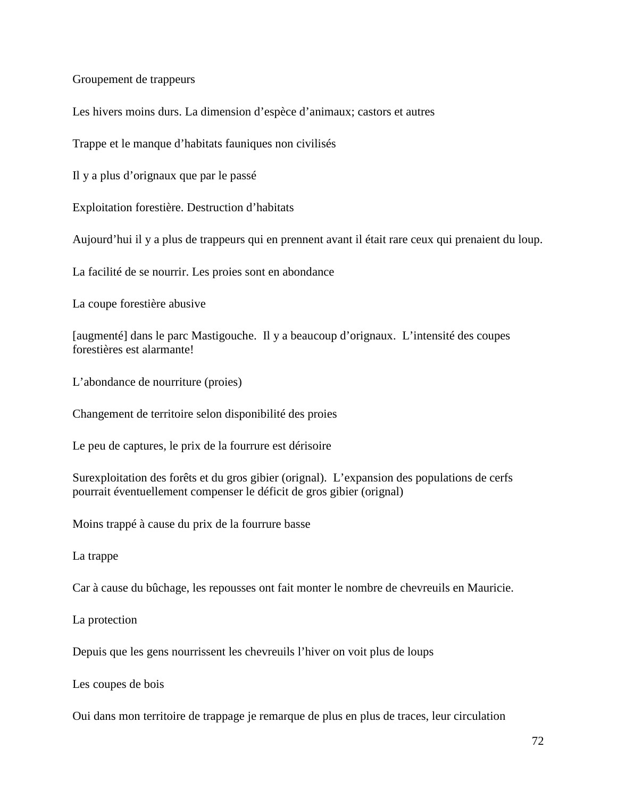Groupement de trappeurs

Les hivers moins durs. La dimension d'espèce d'animaux; castors et autres

Trappe et le manque d'habitats fauniques non civilisés

Il y a plus d'orignaux que par le passé

Exploitation forestière. Destruction d'habitats

Aujourd'hui il y a plus de trappeurs qui en prennent avant il était rare ceux qui prenaient du loup.

La facilité de se nourrir. Les proies sont en abondance

La coupe forestière abusive

[augmenté] dans le parc Mastigouche. Il y a beaucoup d'orignaux. L'intensité des coupes forestières est alarmante!

L'abondance de nourriture (proies)

Changement de territoire selon disponibilité des proies

Le peu de captures, le prix de la fourrure est dérisoire

Surexploitation des forêts et du gros gibier (orignal). L'expansion des populations de cerfs pourrait éventuellement compenser le déficit de gros gibier (orignal)

Moins trappé à cause du prix de la fourrure basse

La trappe

Car à cause du bûchage, les repousses ont fait monter le nombre de chevreuils en Mauricie.

La protection

Depuis que les gens nourrissent les chevreuils l'hiver on voit plus de loups

Les coupes de bois

Oui dans mon territoire de trappage je remarque de plus en plus de traces, leur circulation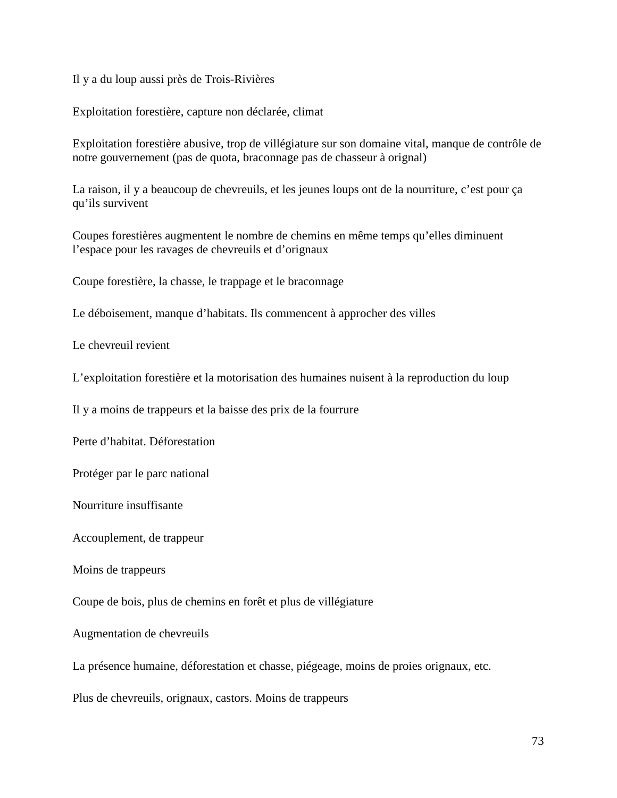Il y a du loup aussi près de Trois-Rivières

Exploitation forestière, capture non déclarée, climat

Exploitation forestière abusive, trop de villégiature sur son domaine vital, manque de contrôle de notre gouvernement (pas de quota, braconnage pas de chasseur à orignal)

La raison, il y a beaucoup de chevreuils, et les jeunes loups ont de la nourriture, c'est pour ça qu'ils survivent

Coupes forestières augmentent le nombre de chemins en même temps qu'elles diminuent l'espace pour les ravages de chevreuils et d'orignaux

Coupe forestière, la chasse, le trappage et le braconnage

Le déboisement, manque d'habitats. Ils commencent à approcher des villes

Le chevreuil revient

L'exploitation forestière et la motorisation des humaines nuisent à la reproduction du loup

Il y a moins de trappeurs et la baisse des prix de la fourrure

Perte d'habitat. Déforestation

Protéger par le parc national

Nourriture insuffisante

Accouplement, de trappeur

Moins de trappeurs

Coupe de bois, plus de chemins en forêt et plus de villégiature

Augmentation de chevreuils

La présence humaine, déforestation et chasse, piégeage, moins de proies orignaux, etc.

Plus de chevreuils, orignaux, castors. Moins de trappeurs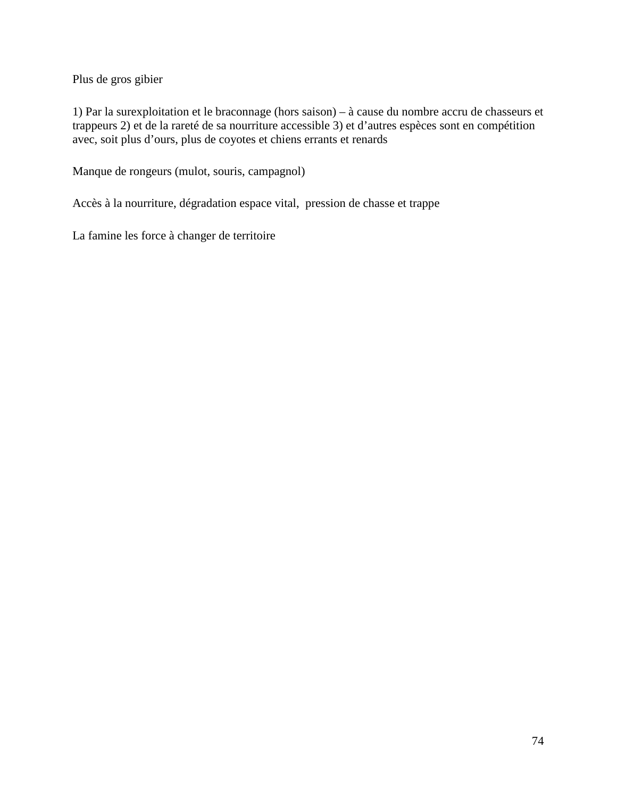Plus de gros gibier

1) Par la surexploitation et le braconnage (hors saison) – à cause du nombre accru de chasseurs et trappeurs 2) et de la rareté de sa nourriture accessible 3) et d'autres espèces sont en compétition avec, soit plus d'ours, plus de coyotes et chiens errants et renards

Manque de rongeurs (mulot, souris, campagnol)

Accès à la nourriture, dégradation espace vital, pression de chasse et trappe

La famine les force à changer de territoire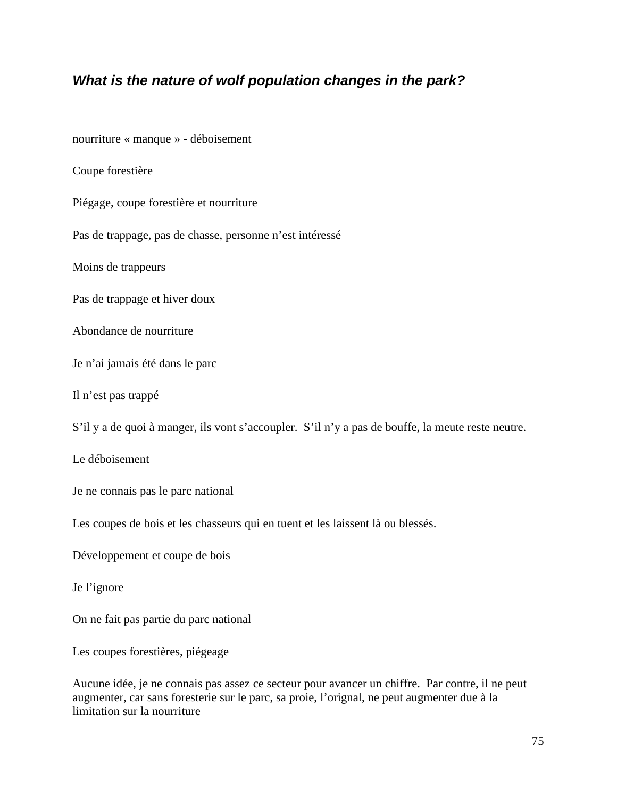### **What is the nature of wolf population changes in the park?**

nourriture « manque » - déboisement

Coupe forestière

Piégage, coupe forestière et nourriture

Pas de trappage, pas de chasse, personne n'est intéressé

Moins de trappeurs

Pas de trappage et hiver doux

Abondance de nourriture

Je n'ai jamais été dans le parc

Il n'est pas trappé

S'il y a de quoi à manger, ils vont s'accoupler. S'il n'y a pas de bouffe, la meute reste neutre.

Le déboisement

Je ne connais pas le parc national

Les coupes de bois et les chasseurs qui en tuent et les laissent là ou blessés.

Développement et coupe de bois

Je l'ignore

On ne fait pas partie du parc national

Les coupes forestières, piégeage

Aucune idée, je ne connais pas assez ce secteur pour avancer un chiffre. Par contre, il ne peut augmenter, car sans foresterie sur le parc, sa proie, l'orignal, ne peut augmenter due à la limitation sur la nourriture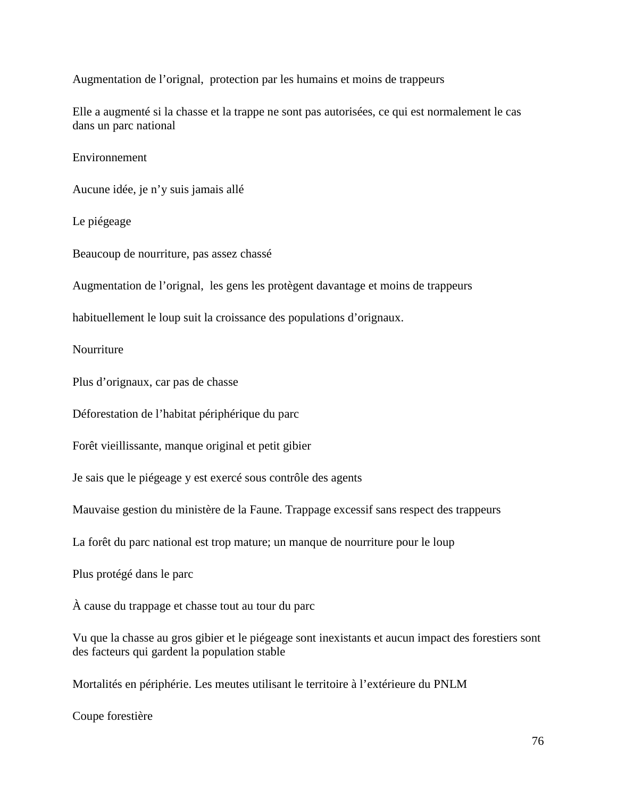Augmentation de l'orignal, protection par les humains et moins de trappeurs

Elle a augmenté si la chasse et la trappe ne sont pas autorisées, ce qui est normalement le cas dans un parc national

Environnement

Aucune idée, je n'y suis jamais allé

Le piégeage

Beaucoup de nourriture, pas assez chassé

Augmentation de l'orignal, les gens les protègent davantage et moins de trappeurs

habituellement le loup suit la croissance des populations d'orignaux.

Nourriture

Plus d'orignaux, car pas de chasse

Déforestation de l'habitat périphérique du parc

Forêt vieillissante, manque original et petit gibier

Je sais que le piégeage y est exercé sous contrôle des agents

Mauvaise gestion du ministère de la Faune. Trappage excessif sans respect des trappeurs

La forêt du parc national est trop mature; un manque de nourriture pour le loup

Plus protégé dans le parc

À cause du trappage et chasse tout au tour du parc

Vu que la chasse au gros gibier et le piégeage sont inexistants et aucun impact des forestiers sont des facteurs qui gardent la population stable

Mortalités en périphérie. Les meutes utilisant le territoire à l'extérieure du PNLM

Coupe forestière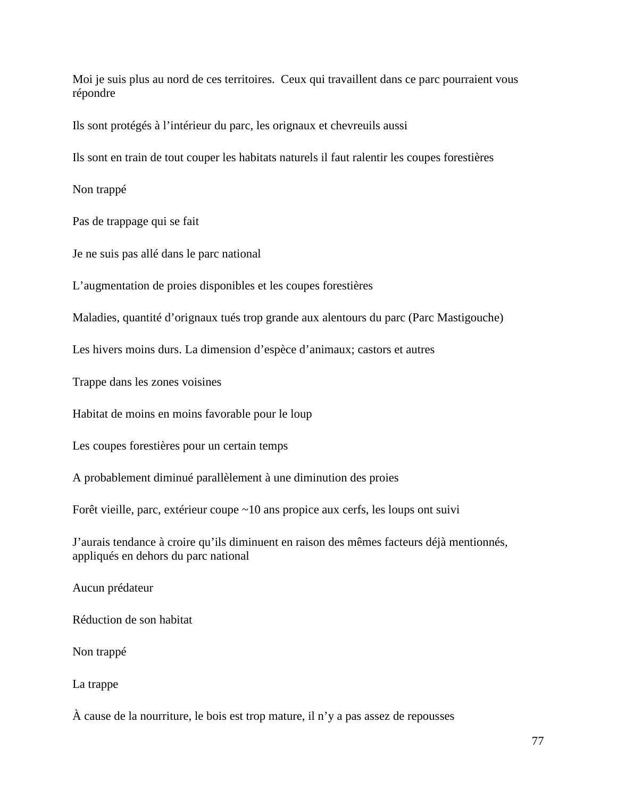Moi je suis plus au nord de ces territoires. Ceux qui travaillent dans ce parc pourraient vous répondre

Ils sont protégés à l'intérieur du parc, les orignaux et chevreuils aussi

Ils sont en train de tout couper les habitats naturels il faut ralentir les coupes forestières

Non trappé

Pas de trappage qui se fait

Je ne suis pas allé dans le parc national

L'augmentation de proies disponibles et les coupes forestières

Maladies, quantité d'orignaux tués trop grande aux alentours du parc (Parc Mastigouche)

Les hivers moins durs. La dimension d'espèce d'animaux; castors et autres

Trappe dans les zones voisines

Habitat de moins en moins favorable pour le loup

Les coupes forestières pour un certain temps

A probablement diminué parallèlement à une diminution des proies

Forêt vieille, parc, extérieur coupe ~10 ans propice aux cerfs, les loups ont suivi

J'aurais tendance à croire qu'ils diminuent en raison des mêmes facteurs déjà mentionnés, appliqués en dehors du parc national

Aucun prédateur

Réduction de son habitat

Non trappé

La trappe

À cause de la nourriture, le bois est trop mature, il n'y a pas assez de repousses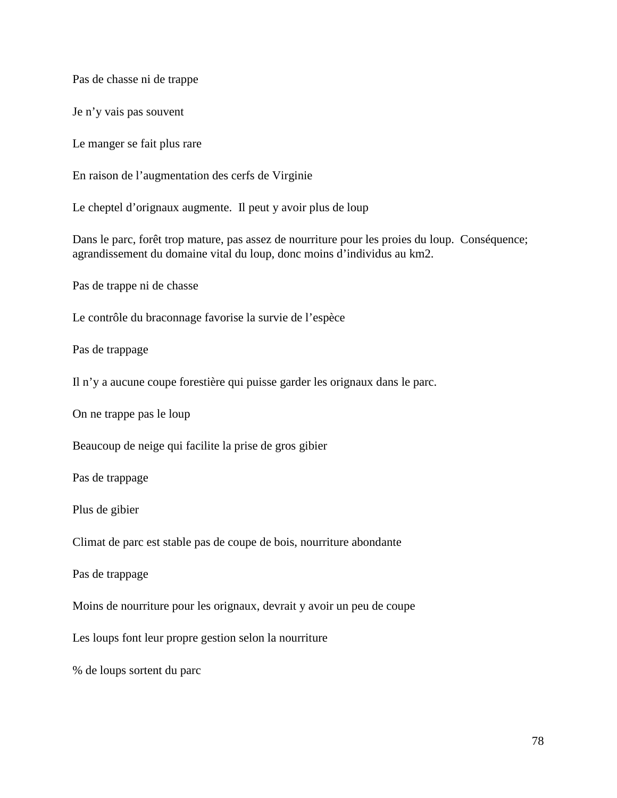Pas de chasse ni de trappe

Je n'y vais pas souvent

Le manger se fait plus rare

En raison de l'augmentation des cerfs de Virginie

Le cheptel d'orignaux augmente. Il peut y avoir plus de loup

Dans le parc, forêt trop mature, pas assez de nourriture pour les proies du loup. Conséquence; agrandissement du domaine vital du loup, donc moins d'individus au km2.

Pas de trappe ni de chasse

Le contrôle du braconnage favorise la survie de l'espèce

Pas de trappage

Il n'y a aucune coupe forestière qui puisse garder les orignaux dans le parc.

On ne trappe pas le loup

Beaucoup de neige qui facilite la prise de gros gibier

Pas de trappage

Plus de gibier

Climat de parc est stable pas de coupe de bois, nourriture abondante

Pas de trappage

Moins de nourriture pour les orignaux, devrait y avoir un peu de coupe

Les loups font leur propre gestion selon la nourriture

% de loups sortent du parc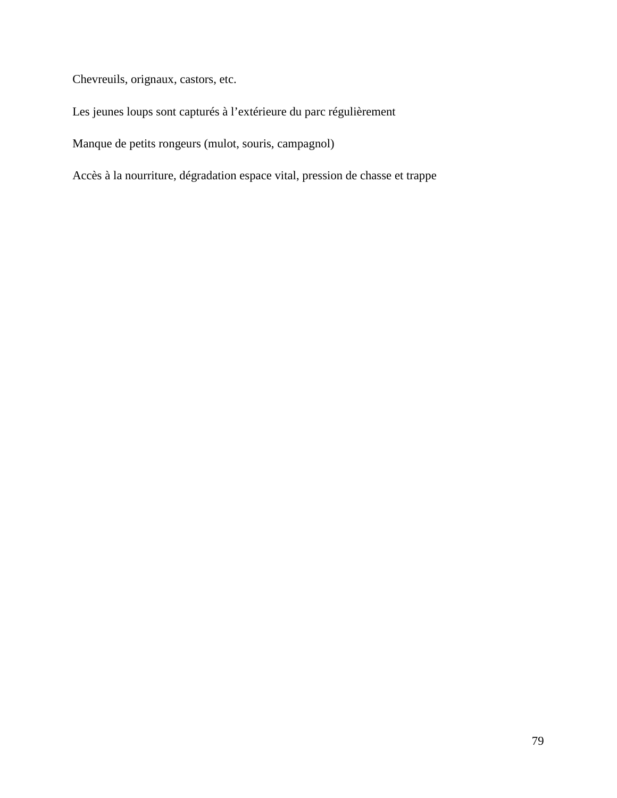Chevreuils, orignaux, castors, etc.

Les jeunes loups sont capturés à l'extérieure du parc régulièrement

Manque de petits rongeurs (mulot, souris, campagnol)

Accès à la nourriture, dégradation espace vital, pression de chasse et trappe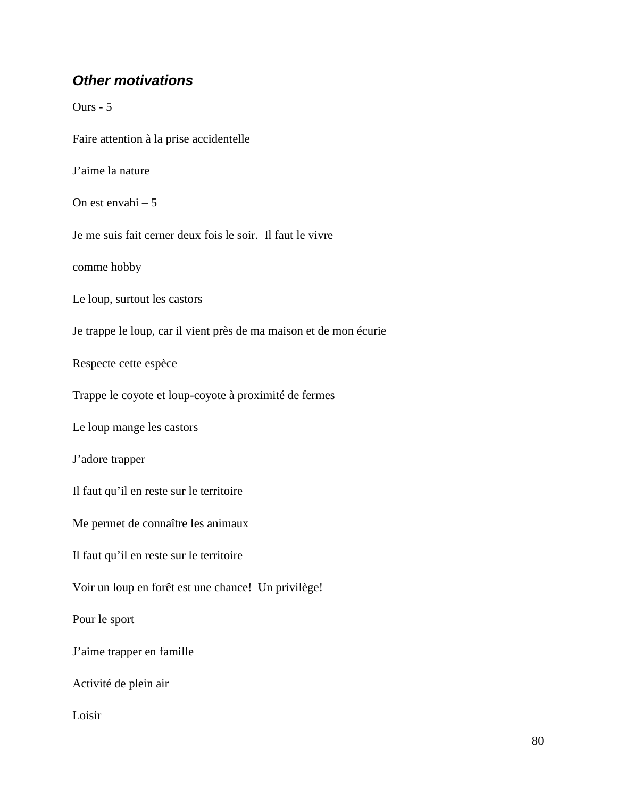## **Other motivations**

Ours - 5 Faire attention à la prise accidentelle J'aime la nature On est envahi – 5 Je me suis fait cerner deux fois le soir. Il faut le vivre comme hobby Le loup, surtout les castors Je trappe le loup, car il vient près de ma maison et de mon écurie Respecte cette espèce Trappe le coyote et loup-coyote à proximité de fermes Le loup mange les castors J'adore trapper Il faut qu'il en reste sur le territoire Me permet de connaître les animaux Il faut qu'il en reste sur le territoire Voir un loup en forêt est une chance! Un privilège! Pour le sport J'aime trapper en famille Activité de plein air Loisir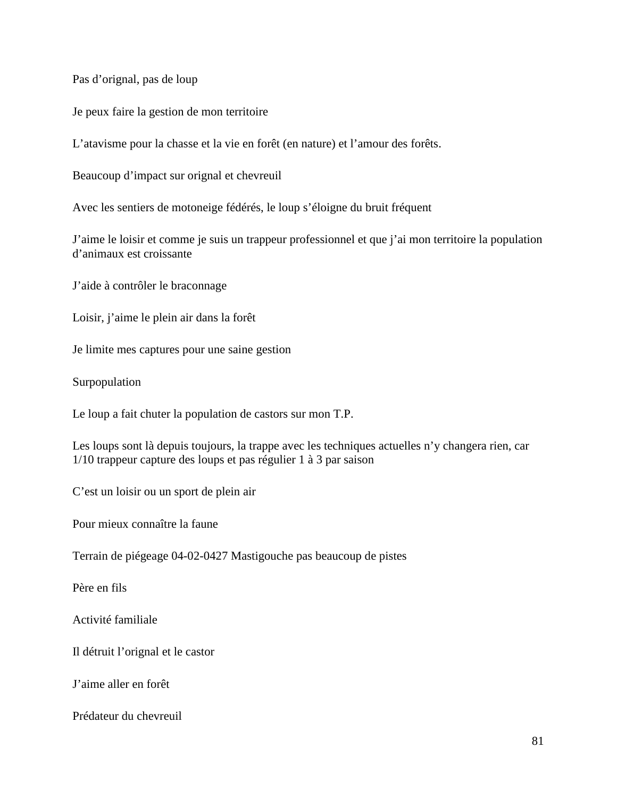Pas d'orignal, pas de loup

Je peux faire la gestion de mon territoire

L'atavisme pour la chasse et la vie en forêt (en nature) et l'amour des forêts.

Beaucoup d'impact sur orignal et chevreuil

Avec les sentiers de motoneige fédérés, le loup s'éloigne du bruit fréquent

J'aime le loisir et comme je suis un trappeur professionnel et que j'ai mon territoire la population d'animaux est croissante

J'aide à contrôler le braconnage

Loisir, j'aime le plein air dans la forêt

Je limite mes captures pour une saine gestion

Surpopulation

Le loup a fait chuter la population de castors sur mon T.P.

Les loups sont là depuis toujours, la trappe avec les techniques actuelles n'y changera rien, car 1/10 trappeur capture des loups et pas régulier 1 à 3 par saison

C'est un loisir ou un sport de plein air

Pour mieux connaître la faune

Terrain de piégeage 04-02-0427 Mastigouche pas beaucoup de pistes

Père en fils

Activité familiale

Il détruit l'orignal et le castor

J'aime aller en forêt

Prédateur du chevreuil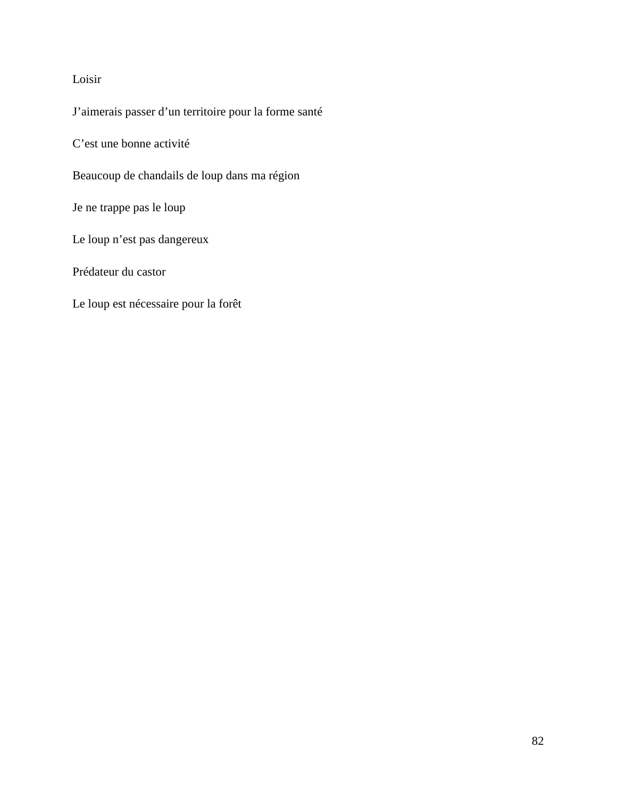#### Loisir

J'aimerais passer d'un territoire pour la forme santé

C'est une bonne activité

Beaucoup de chandails de loup dans ma région

Je ne trappe pas le loup

Le loup n'est pas dangereux

Prédateur du castor

Le loup est nécessaire pour la forêt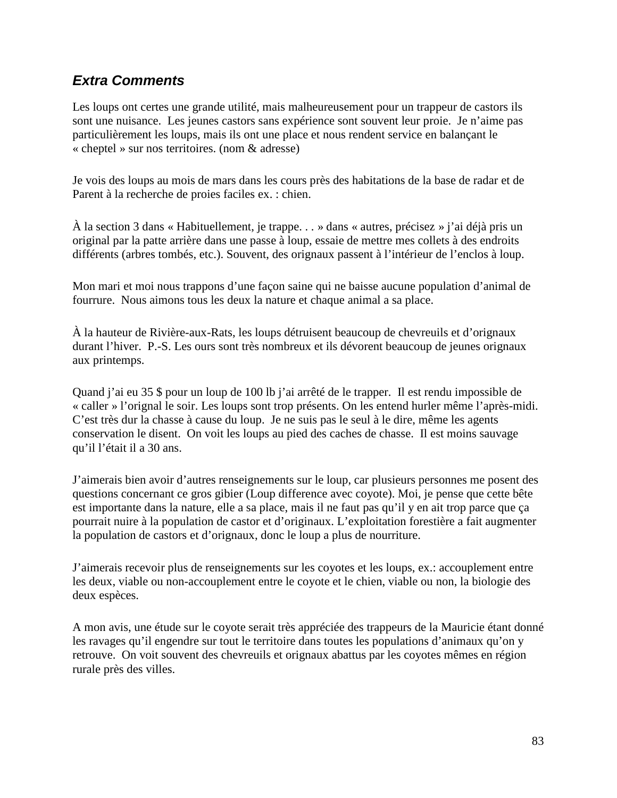## **Extra Comments**

Les loups ont certes une grande utilité, mais malheureusement pour un trappeur de castors ils sont une nuisance. Les jeunes castors sans expérience sont souvent leur proie. Je n'aime pas particulièrement les loups, mais ils ont une place et nous rendent service en balançant le « cheptel » sur nos territoires. (nom & adresse)

Je vois des loups au mois de mars dans les cours près des habitations de la base de radar et de Parent à la recherche de proies faciles ex. : chien.

À la section 3 dans « Habituellement, je trappe. . . » dans « autres, précisez » j'ai déjà pris un original par la patte arrière dans une passe à loup, essaie de mettre mes collets à des endroits différents (arbres tombés, etc.). Souvent, des orignaux passent à l'intérieur de l'enclos à loup.

Mon mari et moi nous trappons d'une façon saine qui ne baisse aucune population d'animal de fourrure. Nous aimons tous les deux la nature et chaque animal a sa place.

À la hauteur de Rivière-aux-Rats, les loups détruisent beaucoup de chevreuils et d'orignaux durant l'hiver. P.-S. Les ours sont très nombreux et ils dévorent beaucoup de jeunes orignaux aux printemps.

Quand j'ai eu 35 \$ pour un loup de 100 lb j'ai arrêté de le trapper. Il est rendu impossible de « caller » l'orignal le soir. Les loups sont trop présents. On les entend hurler même l'après-midi. C'est très dur la chasse à cause du loup. Je ne suis pas le seul à le dire, même les agents conservation le disent. On voit les loups au pied des caches de chasse. Il est moins sauvage qu'il l'était il a 30 ans.

J'aimerais bien avoir d'autres renseignements sur le loup, car plusieurs personnes me posent des questions concernant ce gros gibier (Loup difference avec coyote). Moi, je pense que cette bête est importante dans la nature, elle a sa place, mais il ne faut pas qu'il y en ait trop parce que ça pourrait nuire à la population de castor et d'originaux. L'exploitation forestière a fait augmenter la population de castors et d'orignaux, donc le loup a plus de nourriture.

J'aimerais recevoir plus de renseignements sur les coyotes et les loups, ex.: accouplement entre les deux, viable ou non-accouplement entre le coyote et le chien, viable ou non, la biologie des deux espèces.

A mon avis, une étude sur le coyote serait très appréciée des trappeurs de la Mauricie étant donné les ravages qu'il engendre sur tout le territoire dans toutes les populations d'animaux qu'on y retrouve. On voit souvent des chevreuils et orignaux abattus par les coyotes mêmes en région rurale près des villes.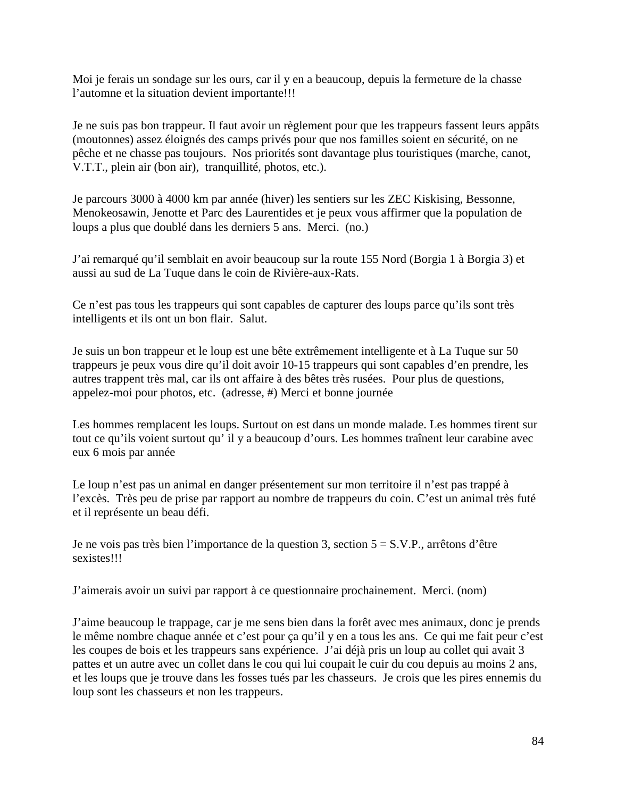Moi je ferais un sondage sur les ours, car il y en a beaucoup, depuis la fermeture de la chasse l'automne et la situation devient importante!!!

Je ne suis pas bon trappeur. Il faut avoir un règlement pour que les trappeurs fassent leurs appâts (moutonnes) assez éloignés des camps privés pour que nos familles soient en sécurité, on ne pêche et ne chasse pas toujours. Nos priorités sont davantage plus touristiques (marche, canot, V.T.T., plein air (bon air), tranquillité, photos, etc.).

Je parcours 3000 à 4000 km par année (hiver) les sentiers sur les ZEC Kiskising, Bessonne, Menokeosawin, Jenotte et Parc des Laurentides et je peux vous affirmer que la population de loups a plus que doublé dans les derniers 5 ans. Merci. (no.)

J'ai remarqué qu'il semblait en avoir beaucoup sur la route 155 Nord (Borgia 1 à Borgia 3) et aussi au sud de La Tuque dans le coin de Rivière-aux-Rats.

Ce n'est pas tous les trappeurs qui sont capables de capturer des loups parce qu'ils sont très intelligents et ils ont un bon flair. Salut.

Je suis un bon trappeur et le loup est une bête extrêmement intelligente et à La Tuque sur 50 trappeurs je peux vous dire qu'il doit avoir 10-15 trappeurs qui sont capables d'en prendre, les autres trappent très mal, car ils ont affaire à des bêtes très rusées. Pour plus de questions, appelez-moi pour photos, etc. (adresse, #) Merci et bonne journée

Les hommes remplacent les loups. Surtout on est dans un monde malade. Les hommes tirent sur tout ce qu'ils voient surtout qu' il y a beaucoup d'ours. Les hommes traînent leur carabine avec eux 6 mois par année

Le loup n'est pas un animal en danger présentement sur mon territoire il n'est pas trappé à l'excès. Très peu de prise par rapport au nombre de trappeurs du coin. C'est un animal très futé et il représente un beau défi.

Je ne vois pas très bien l'importance de la question 3, section 5 = S.V.P., arrêtons d'être sexistes!!!

J'aimerais avoir un suivi par rapport à ce questionnaire prochainement. Merci. (nom)

J'aime beaucoup le trappage, car je me sens bien dans la forêt avec mes animaux, donc je prends le même nombre chaque année et c'est pour ça qu'il y en a tous les ans. Ce qui me fait peur c'est les coupes de bois et les trappeurs sans expérience. J'ai déjà pris un loup au collet qui avait 3 pattes et un autre avec un collet dans le cou qui lui coupait le cuir du cou depuis au moins 2 ans, et les loups que je trouve dans les fosses tués par les chasseurs. Je crois que les pires ennemis du loup sont les chasseurs et non les trappeurs.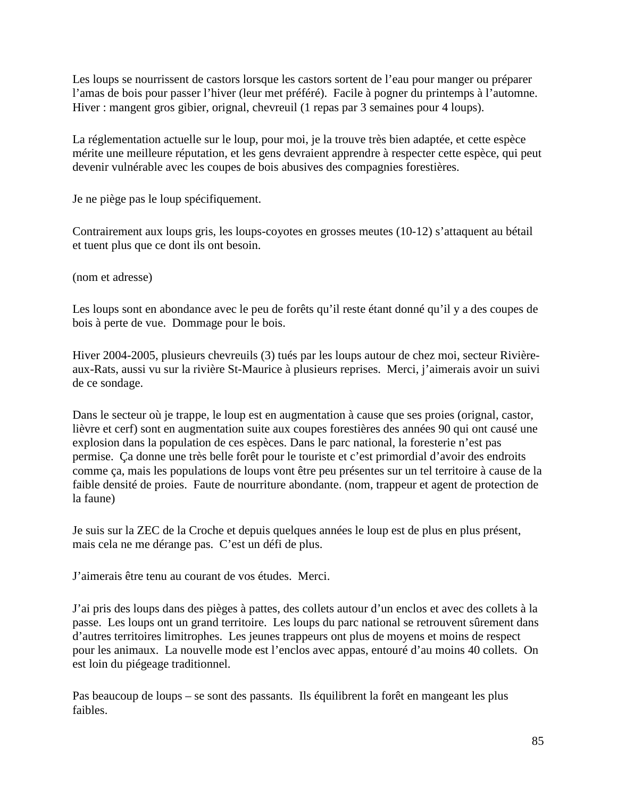Les loups se nourrissent de castors lorsque les castors sortent de l'eau pour manger ou préparer l'amas de bois pour passer l'hiver (leur met préféré). Facile à pogner du printemps à l'automne. Hiver : mangent gros gibier, orignal, chevreuil (1 repas par 3 semaines pour 4 loups).

La réglementation actuelle sur le loup, pour moi, je la trouve très bien adaptée, et cette espèce mérite une meilleure réputation, et les gens devraient apprendre à respecter cette espèce, qui peut devenir vulnérable avec les coupes de bois abusives des compagnies forestières.

Je ne piège pas le loup spécifiquement.

Contrairement aux loups gris, les loups-coyotes en grosses meutes (10-12) s'attaquent au bétail et tuent plus que ce dont ils ont besoin.

(nom et adresse)

Les loups sont en abondance avec le peu de forêts qu'il reste étant donné qu'il y a des coupes de bois à perte de vue. Dommage pour le bois.

Hiver 2004-2005, plusieurs chevreuils (3) tués par les loups autour de chez moi, secteur Rivièreaux-Rats, aussi vu sur la rivière St-Maurice à plusieurs reprises. Merci, j'aimerais avoir un suivi de ce sondage.

Dans le secteur où je trappe, le loup est en augmentation à cause que ses proies (orignal, castor, lièvre et cerf) sont en augmentation suite aux coupes forestières des années 90 qui ont causé une explosion dans la population de ces espèces. Dans le parc national, la foresterie n'est pas permise. Ça donne une très belle forêt pour le touriste et c'est primordial d'avoir des endroits comme ça, mais les populations de loups vont être peu présentes sur un tel territoire à cause de la faible densité de proies. Faute de nourriture abondante. (nom, trappeur et agent de protection de la faune)

Je suis sur la ZEC de la Croche et depuis quelques années le loup est de plus en plus présent, mais cela ne me dérange pas. C'est un défi de plus.

J'aimerais être tenu au courant de vos études. Merci.

J'ai pris des loups dans des pièges à pattes, des collets autour d'un enclos et avec des collets à la passe. Les loups ont un grand territoire. Les loups du parc national se retrouvent sûrement dans d'autres territoires limitrophes. Les jeunes trappeurs ont plus de moyens et moins de respect pour les animaux. La nouvelle mode est l'enclos avec appas, entouré d'au moins 40 collets. On est loin du piégeage traditionnel.

Pas beaucoup de loups – se sont des passants. Ils équilibrent la forêt en mangeant les plus faibles.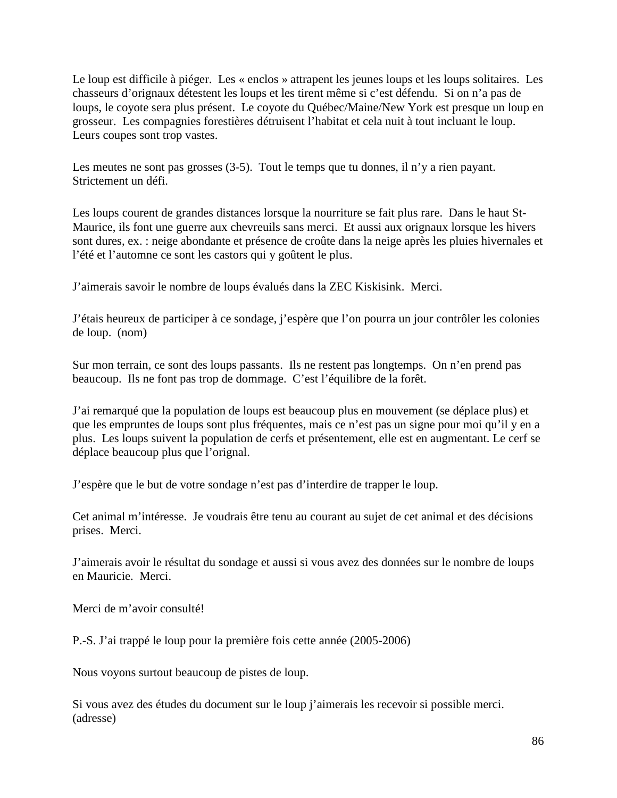Le loup est difficile à piéger. Les « enclos » attrapent les jeunes loups et les loups solitaires. Les chasseurs d'orignaux détestent les loups et les tirent même si c'est défendu. Si on n'a pas de loups, le coyote sera plus présent. Le coyote du Québec/Maine/New York est presque un loup en grosseur. Les compagnies forestières détruisent l'habitat et cela nuit à tout incluant le loup. Leurs coupes sont trop vastes.

Les meutes ne sont pas grosses (3-5). Tout le temps que tu donnes, il n'y a rien payant. Strictement un défi.

Les loups courent de grandes distances lorsque la nourriture se fait plus rare. Dans le haut St-Maurice, ils font une guerre aux chevreuils sans merci. Et aussi aux orignaux lorsque les hivers sont dures, ex. : neige abondante et présence de croûte dans la neige après les pluies hivernales et l'été et l'automne ce sont les castors qui y goûtent le plus.

J'aimerais savoir le nombre de loups évalués dans la ZEC Kiskisink. Merci.

J'étais heureux de participer à ce sondage, j'espère que l'on pourra un jour contrôler les colonies de loup. (nom)

Sur mon terrain, ce sont des loups passants. Ils ne restent pas longtemps. On n'en prend pas beaucoup. Ils ne font pas trop de dommage. C'est l'équilibre de la forêt.

J'ai remarqué que la population de loups est beaucoup plus en mouvement (se déplace plus) et que les empruntes de loups sont plus fréquentes, mais ce n'est pas un signe pour moi qu'il y en a plus. Les loups suivent la population de cerfs et présentement, elle est en augmentant. Le cerf se déplace beaucoup plus que l'orignal.

J'espère que le but de votre sondage n'est pas d'interdire de trapper le loup.

Cet animal m'intéresse. Je voudrais être tenu au courant au sujet de cet animal et des décisions prises. Merci.

J'aimerais avoir le résultat du sondage et aussi si vous avez des données sur le nombre de loups en Mauricie. Merci.

Merci de m'avoir consulté!

P.-S. J'ai trappé le loup pour la première fois cette année (2005-2006)

Nous voyons surtout beaucoup de pistes de loup.

Si vous avez des études du document sur le loup j'aimerais les recevoir si possible merci. (adresse)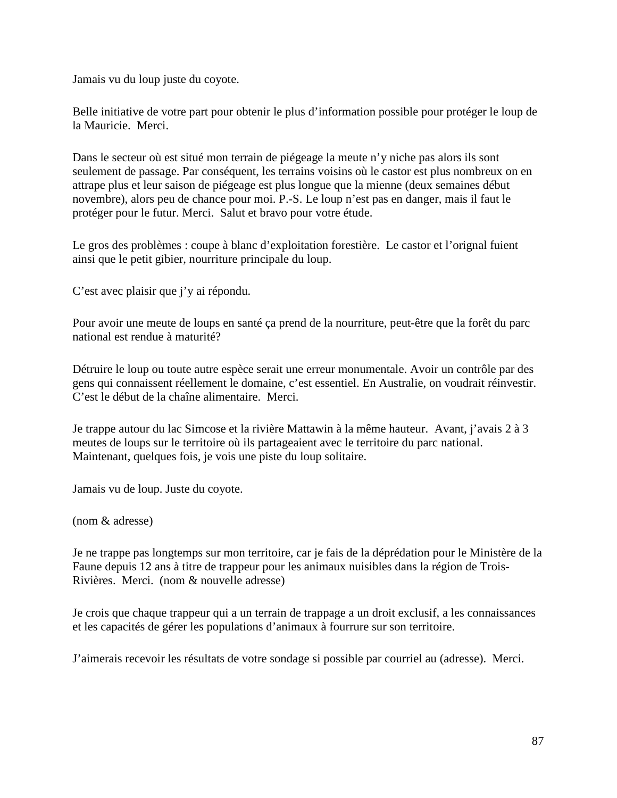Jamais vu du loup juste du coyote.

Belle initiative de votre part pour obtenir le plus d'information possible pour protéger le loup de la Mauricie. Merci.

Dans le secteur où est situé mon terrain de piégeage la meute n'y niche pas alors ils sont seulement de passage. Par conséquent, les terrains voisins où le castor est plus nombreux on en attrape plus et leur saison de piégeage est plus longue que la mienne (deux semaines début novembre), alors peu de chance pour moi. P.-S. Le loup n'est pas en danger, mais il faut le protéger pour le futur. Merci. Salut et bravo pour votre étude.

Le gros des problèmes : coupe à blanc d'exploitation forestière. Le castor et l'orignal fuient ainsi que le petit gibier, nourriture principale du loup.

C'est avec plaisir que j'y ai répondu.

Pour avoir une meute de loups en santé ça prend de la nourriture, peut-être que la forêt du parc national est rendue à maturité?

Détruire le loup ou toute autre espèce serait une erreur monumentale. Avoir un contrôle par des gens qui connaissent réellement le domaine, c'est essentiel. En Australie, on voudrait réinvestir. C'est le début de la chaîne alimentaire. Merci.

Je trappe autour du lac Simcose et la rivière Mattawin à la même hauteur. Avant, j'avais 2 à 3 meutes de loups sur le territoire où ils partageaient avec le territoire du parc national. Maintenant, quelques fois, je vois une piste du loup solitaire.

Jamais vu de loup. Juste du coyote.

(nom & adresse)

Je ne trappe pas longtemps sur mon territoire, car je fais de la déprédation pour le Ministère de la Faune depuis 12 ans à titre de trappeur pour les animaux nuisibles dans la région de Trois-Rivières. Merci. (nom & nouvelle adresse)

Je crois que chaque trappeur qui a un terrain de trappage a un droit exclusif, a les connaissances et les capacités de gérer les populations d'animaux à fourrure sur son territoire.

J'aimerais recevoir les résultats de votre sondage si possible par courriel au (adresse). Merci.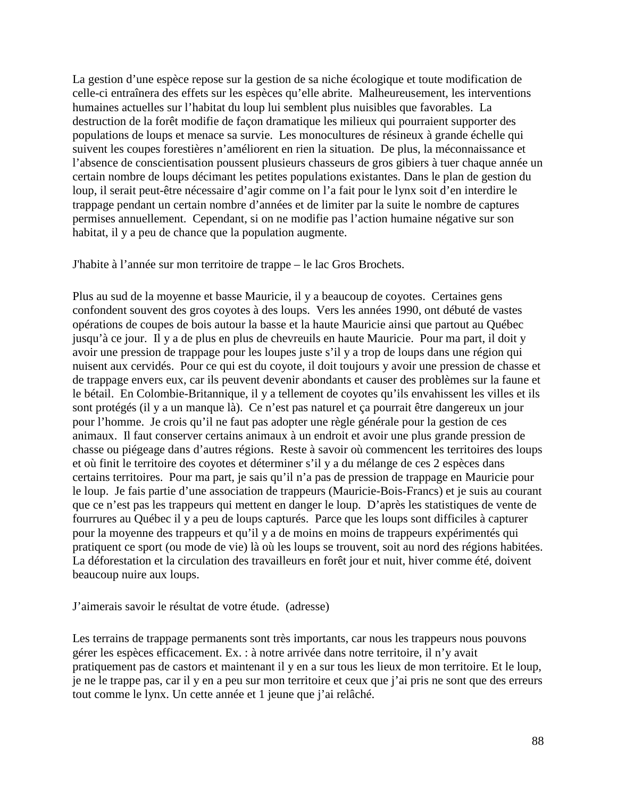La gestion d'une espèce repose sur la gestion de sa niche écologique et toute modification de celle-ci entraînera des effets sur les espèces qu'elle abrite. Malheureusement, les interventions humaines actuelles sur l'habitat du loup lui semblent plus nuisibles que favorables. La destruction de la forêt modifie de façon dramatique les milieux qui pourraient supporter des populations de loups et menace sa survie. Les monocultures de résineux à grande échelle qui suivent les coupes forestières n'améliorent en rien la situation. De plus, la méconnaissance et l'absence de conscientisation poussent plusieurs chasseurs de gros gibiers à tuer chaque année un certain nombre de loups décimant les petites populations existantes. Dans le plan de gestion du loup, il serait peut-être nécessaire d'agir comme on l'a fait pour le lynx soit d'en interdire le trappage pendant un certain nombre d'années et de limiter par la suite le nombre de captures permises annuellement. Cependant, si on ne modifie pas l'action humaine négative sur son habitat, il y a peu de chance que la population augmente.

J'habite à l'année sur mon territoire de trappe – le lac Gros Brochets.

Plus au sud de la moyenne et basse Mauricie, il y a beaucoup de coyotes. Certaines gens confondent souvent des gros coyotes à des loups. Vers les années 1990, ont débuté de vastes opérations de coupes de bois autour la basse et la haute Mauricie ainsi que partout au Québec jusqu'à ce jour. Il y a de plus en plus de chevreuils en haute Mauricie. Pour ma part, il doit y avoir une pression de trappage pour les loupes juste s'il y a trop de loups dans une région qui nuisent aux cervidés. Pour ce qui est du coyote, il doit toujours y avoir une pression de chasse et de trappage envers eux, car ils peuvent devenir abondants et causer des problèmes sur la faune et le bétail. En Colombie-Britannique, il y a tellement de coyotes qu'ils envahissent les villes et ils sont protégés (il y a un manque là). Ce n'est pas naturel et ça pourrait être dangereux un jour pour l'homme. Je crois qu'il ne faut pas adopter une règle générale pour la gestion de ces animaux. Il faut conserver certains animaux à un endroit et avoir une plus grande pression de chasse ou piégeage dans d'autres régions. Reste à savoir où commencent les territoires des loups et où finit le territoire des coyotes et déterminer s'il y a du mélange de ces 2 espèces dans certains territoires. Pour ma part, je sais qu'il n'a pas de pression de trappage en Mauricie pour le loup. Je fais partie d'une association de trappeurs (Mauricie-Bois-Francs) et je suis au courant que ce n'est pas les trappeurs qui mettent en danger le loup. D'après les statistiques de vente de fourrures au Québec il y a peu de loups capturés. Parce que les loups sont difficiles à capturer pour la moyenne des trappeurs et qu'il y a de moins en moins de trappeurs expérimentés qui pratiquent ce sport (ou mode de vie) là où les loups se trouvent, soit au nord des régions habitées. La déforestation et la circulation des travailleurs en forêt jour et nuit, hiver comme été, doivent beaucoup nuire aux loups.

J'aimerais savoir le résultat de votre étude. (adresse)

Les terrains de trappage permanents sont très importants, car nous les trappeurs nous pouvons gérer les espèces efficacement. Ex. : à notre arrivée dans notre territoire, il n'y avait pratiquement pas de castors et maintenant il y en a sur tous les lieux de mon territoire. Et le loup, je ne le trappe pas, car il y en a peu sur mon territoire et ceux que j'ai pris ne sont que des erreurs tout comme le lynx. Un cette année et 1 jeune que j'ai relâché.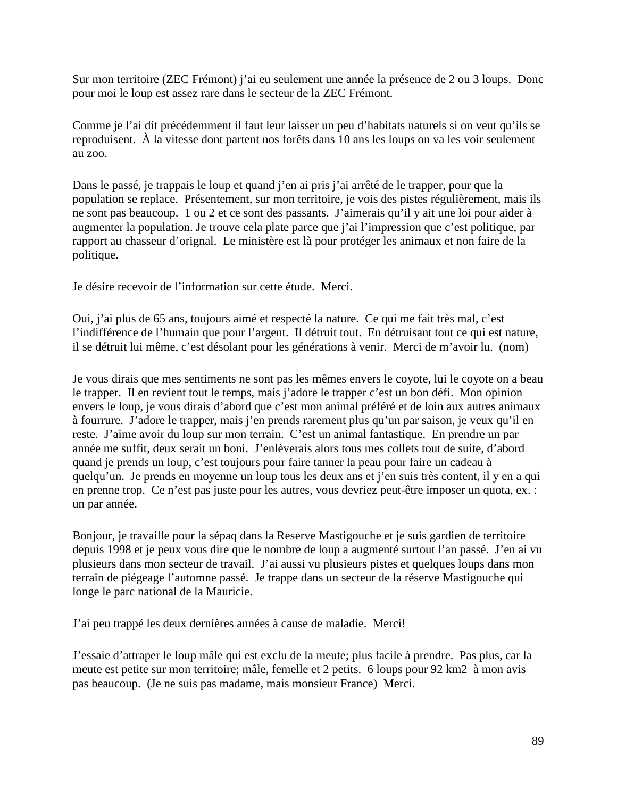Sur mon territoire (ZEC Frémont) j'ai eu seulement une année la présence de 2 ou 3 loups. Donc pour moi le loup est assez rare dans le secteur de la ZEC Frémont.

Comme je l'ai dit précédemment il faut leur laisser un peu d'habitats naturels si on veut qu'ils se reproduisent. À la vitesse dont partent nos forêts dans 10 ans les loups on va les voir seulement au zoo.

Dans le passé, je trappais le loup et quand j'en ai pris j'ai arrêté de le trapper, pour que la population se replace. Présentement, sur mon territoire, je vois des pistes régulièrement, mais ils ne sont pas beaucoup. 1 ou 2 et ce sont des passants. J'aimerais qu'il y ait une loi pour aider à augmenter la population. Je trouve cela plate parce que j'ai l'impression que c'est politique, par rapport au chasseur d'orignal. Le ministère est là pour protéger les animaux et non faire de la politique.

Je désire recevoir de l'information sur cette étude. Merci.

Oui, j'ai plus de 65 ans, toujours aimé et respecté la nature. Ce qui me fait très mal, c'est l'indifférence de l'humain que pour l'argent. Il détruit tout. En détruisant tout ce qui est nature, il se détruit lui même, c'est désolant pour les générations à venir. Merci de m'avoir lu. (nom)

Je vous dirais que mes sentiments ne sont pas les mêmes envers le coyote, lui le coyote on a beau le trapper. Il en revient tout le temps, mais j'adore le trapper c'est un bon défi. Mon opinion envers le loup, je vous dirais d'abord que c'est mon animal préféré et de loin aux autres animaux à fourrure. J'adore le trapper, mais j'en prends rarement plus qu'un par saison, je veux qu'il en reste. J'aime avoir du loup sur mon terrain. C'est un animal fantastique. En prendre un par année me suffit, deux serait un boni. J'enlèverais alors tous mes collets tout de suite, d'abord quand je prends un loup, c'est toujours pour faire tanner la peau pour faire un cadeau à quelqu'un. Je prends en moyenne un loup tous les deux ans et j'en suis très content, il y en a qui en prenne trop. Ce n'est pas juste pour les autres, vous devriez peut-être imposer un quota, ex. : un par année.

Bonjour, je travaille pour la sépaq dans la Reserve Mastigouche et je suis gardien de territoire depuis 1998 et je peux vous dire que le nombre de loup a augmenté surtout l'an passé. J'en ai vu plusieurs dans mon secteur de travail. J'ai aussi vu plusieurs pistes et quelques loups dans mon terrain de piégeage l'automne passé. Je trappe dans un secteur de la réserve Mastigouche qui longe le parc national de la Mauricie.

J'ai peu trappé les deux dernières années à cause de maladie. Merci!

J'essaie d'attraper le loup mâle qui est exclu de la meute; plus facile à prendre. Pas plus, car la meute est petite sur mon territoire; mâle, femelle et 2 petits. 6 loups pour 92 km2 à mon avis pas beaucoup. (Je ne suis pas madame, mais monsieur France) Merci.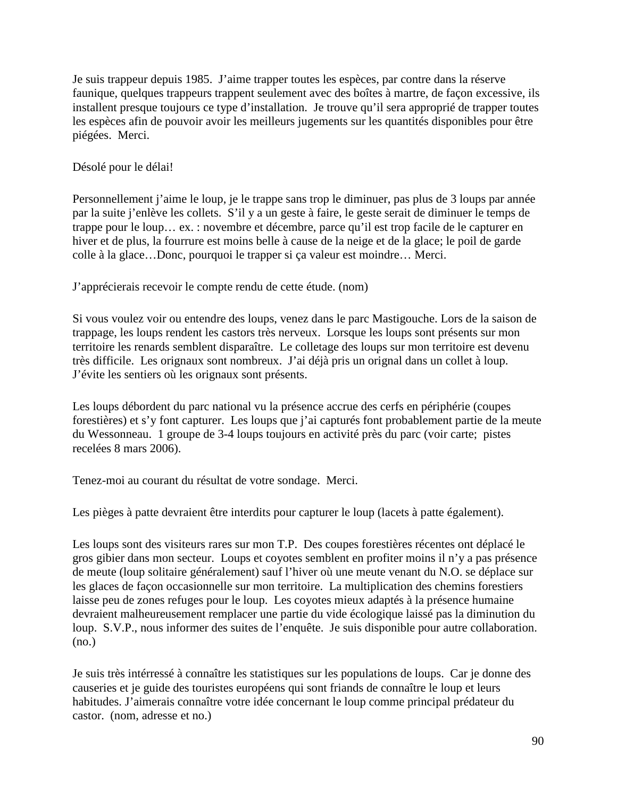Je suis trappeur depuis 1985. J'aime trapper toutes les espèces, par contre dans la réserve faunique, quelques trappeurs trappent seulement avec des boîtes à martre, de façon excessive, ils installent presque toujours ce type d'installation. Je trouve qu'il sera approprié de trapper toutes les espèces afin de pouvoir avoir les meilleurs jugements sur les quantités disponibles pour être piégées. Merci.

Désolé pour le délai!

Personnellement j'aime le loup, je le trappe sans trop le diminuer, pas plus de 3 loups par année par la suite j'enlève les collets. S'il y a un geste à faire, le geste serait de diminuer le temps de trappe pour le loup… ex. : novembre et décembre, parce qu'il est trop facile de le capturer en hiver et de plus, la fourrure est moins belle à cause de la neige et de la glace; le poil de garde colle à la glace…Donc, pourquoi le trapper si ça valeur est moindre… Merci.

J'apprécierais recevoir le compte rendu de cette étude. (nom)

Si vous voulez voir ou entendre des loups, venez dans le parc Mastigouche. Lors de la saison de trappage, les loups rendent les castors très nerveux. Lorsque les loups sont présents sur mon territoire les renards semblent disparaître. Le colletage des loups sur mon territoire est devenu très difficile. Les orignaux sont nombreux. J'ai déjà pris un orignal dans un collet à loup. J'évite les sentiers où les orignaux sont présents.

Les loups débordent du parc national vu la présence accrue des cerfs en périphérie (coupes forestières) et s'y font capturer. Les loups que j'ai capturés font probablement partie de la meute du Wessonneau. 1 groupe de 3-4 loups toujours en activité près du parc (voir carte; pistes recelées 8 mars 2006).

Tenez-moi au courant du résultat de votre sondage. Merci.

Les pièges à patte devraient être interdits pour capturer le loup (lacets à patte également).

Les loups sont des visiteurs rares sur mon T.P. Des coupes forestières récentes ont déplacé le gros gibier dans mon secteur. Loups et coyotes semblent en profiter moins il n'y a pas présence de meute (loup solitaire généralement) sauf l'hiver où une meute venant du N.O. se déplace sur les glaces de façon occasionnelle sur mon territoire. La multiplication des chemins forestiers laisse peu de zones refuges pour le loup. Les coyotes mieux adaptés à la présence humaine devraient malheureusement remplacer une partie du vide écologique laissé pas la diminution du loup. S.V.P., nous informer des suites de l'enquête. Je suis disponible pour autre collaboration. (no.)

Je suis très intérressé à connaître les statistiques sur les populations de loups. Car je donne des causeries et je guide des touristes européens qui sont friands de connaître le loup et leurs habitudes. J'aimerais connaître votre idée concernant le loup comme principal prédateur du castor. (nom, adresse et no.)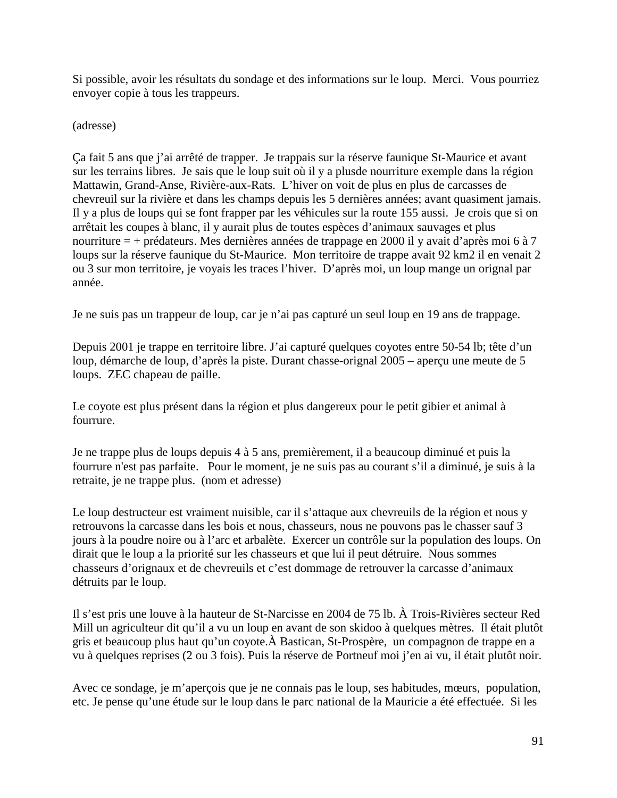Si possible, avoir les résultats du sondage et des informations sur le loup. Merci. Vous pourriez envoyer copie à tous les trappeurs.

(adresse)

Ça fait 5 ans que j'ai arrêté de trapper. Je trappais sur la réserve faunique St-Maurice et avant sur les terrains libres. Je sais que le loup suit où il y a plusde nourriture exemple dans la région Mattawin, Grand-Anse, Rivière-aux-Rats. L'hiver on voit de plus en plus de carcasses de chevreuil sur la rivière et dans les champs depuis les 5 dernières années; avant quasiment jamais. Il y a plus de loups qui se font frapper par les véhicules sur la route 155 aussi. Je crois que si on arrêtait les coupes à blanc, il y aurait plus de toutes espèces d'animaux sauvages et plus nourriture = + prédateurs. Mes dernières années de trappage en 2000 il y avait d'après moi 6 à 7 loups sur la réserve faunique du St-Maurice. Mon territoire de trappe avait 92 km2 il en venait 2 ou 3 sur mon territoire, je voyais les traces l'hiver. D'après moi, un loup mange un orignal par année.

Je ne suis pas un trappeur de loup, car je n'ai pas capturé un seul loup en 19 ans de trappage.

Depuis 2001 je trappe en territoire libre. J'ai capturé quelques coyotes entre 50-54 lb; tête d'un loup, démarche de loup, d'après la piste. Durant chasse-orignal 2005 – aperçu une meute de 5 loups. ZEC chapeau de paille.

Le coyote est plus présent dans la région et plus dangereux pour le petit gibier et animal à fourrure.

Je ne trappe plus de loups depuis 4 à 5 ans, premièrement, il a beaucoup diminué et puis la fourrure n'est pas parfaite. Pour le moment, je ne suis pas au courant s'il a diminué, je suis à la retraite, je ne trappe plus. (nom et adresse)

Le loup destructeur est vraiment nuisible, car il s'attaque aux chevreuils de la région et nous y retrouvons la carcasse dans les bois et nous, chasseurs, nous ne pouvons pas le chasser sauf 3 jours à la poudre noire ou à l'arc et arbalète. Exercer un contrôle sur la population des loups. On dirait que le loup a la priorité sur les chasseurs et que lui il peut détruire. Nous sommes chasseurs d'orignaux et de chevreuils et c'est dommage de retrouver la carcasse d'animaux détruits par le loup.

Il s'est pris une louve à la hauteur de St-Narcisse en 2004 de 75 lb. À Trois-Rivières secteur Red Mill un agriculteur dit qu'il a vu un loup en avant de son skidoo à quelques mètres. Il était plutôt gris et beaucoup plus haut qu'un coyote.À Bastican, St-Prospère, un compagnon de trappe en a vu à quelques reprises (2 ou 3 fois). Puis la réserve de Portneuf moi j'en ai vu, il était plutôt noir.

Avec ce sondage, je m'aperçois que je ne connais pas le loup, ses habitudes, mœurs, population, etc. Je pense qu'une étude sur le loup dans le parc national de la Mauricie a été effectuée. Si les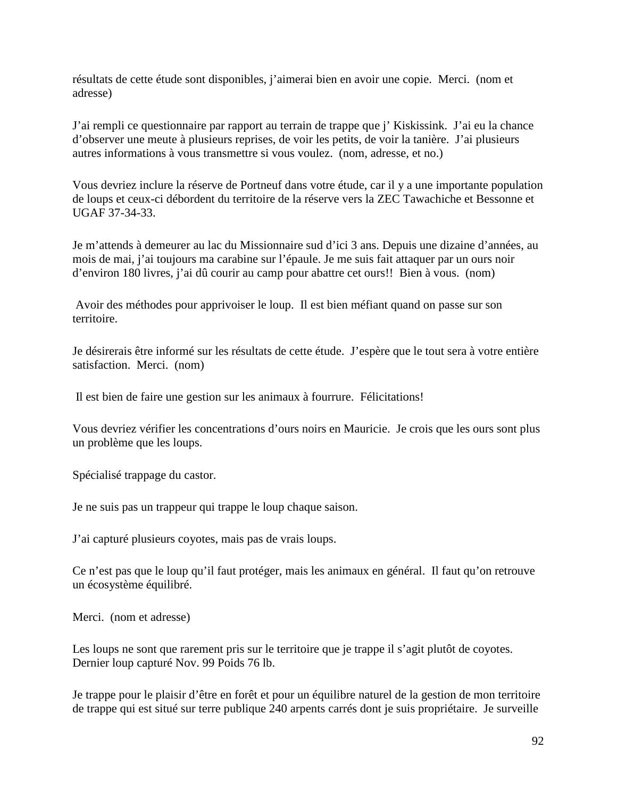résultats de cette étude sont disponibles, j'aimerai bien en avoir une copie. Merci. (nom et adresse)

J'ai rempli ce questionnaire par rapport au terrain de trappe que j' Kiskissink. J'ai eu la chance d'observer une meute à plusieurs reprises, de voir les petits, de voir la tanière. J'ai plusieurs autres informations à vous transmettre si vous voulez. (nom, adresse, et no.)

Vous devriez inclure la réserve de Portneuf dans votre étude, car il y a une importante population de loups et ceux-ci débordent du territoire de la réserve vers la ZEC Tawachiche et Bessonne et UGAF 37-34-33.

Je m'attends à demeurer au lac du Missionnaire sud d'ici 3 ans. Depuis une dizaine d'années, au mois de mai, j'ai toujours ma carabine sur l'épaule. Je me suis fait attaquer par un ours noir d'environ 180 livres, j'ai dû courir au camp pour abattre cet ours!! Bien à vous. (nom)

 Avoir des méthodes pour apprivoiser le loup. Il est bien méfiant quand on passe sur son territoire.

Je désirerais être informé sur les résultats de cette étude. J'espère que le tout sera à votre entière satisfaction. Merci. (nom)

Il est bien de faire une gestion sur les animaux à fourrure. Félicitations!

Vous devriez vérifier les concentrations d'ours noirs en Mauricie. Je crois que les ours sont plus un problème que les loups.

Spécialisé trappage du castor.

Je ne suis pas un trappeur qui trappe le loup chaque saison.

J'ai capturé plusieurs coyotes, mais pas de vrais loups.

Ce n'est pas que le loup qu'il faut protéger, mais les animaux en général. Il faut qu'on retrouve un écosystème équilibré.

Merci. (nom et adresse)

Les loups ne sont que rarement pris sur le territoire que je trappe il s'agit plutôt de coyotes. Dernier loup capturé Nov. 99 Poids 76 lb.

Je trappe pour le plaisir d'être en forêt et pour un équilibre naturel de la gestion de mon territoire de trappe qui est situé sur terre publique 240 arpents carrés dont je suis propriétaire. Je surveille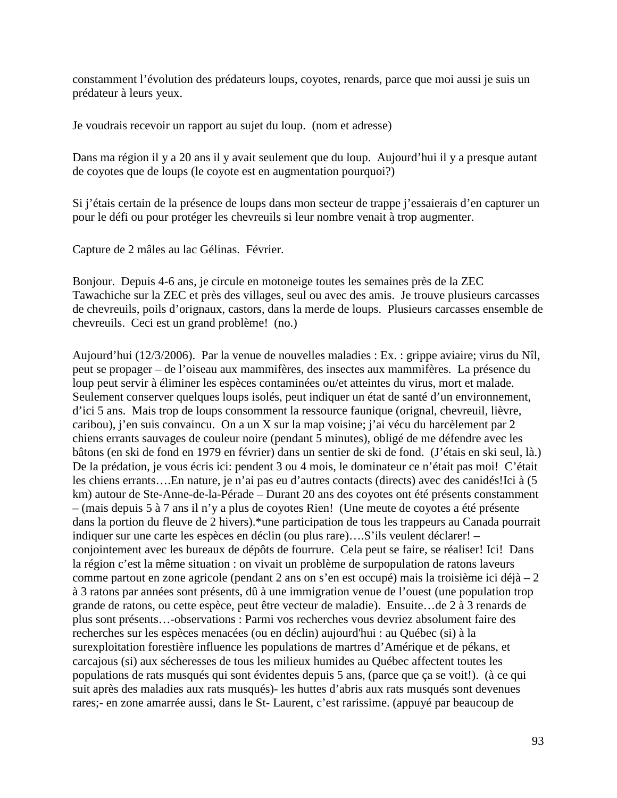constamment l'évolution des prédateurs loups, coyotes, renards, parce que moi aussi je suis un prédateur à leurs yeux.

Je voudrais recevoir un rapport au sujet du loup. (nom et adresse)

Dans ma région il y a 20 ans il y avait seulement que du loup. Aujourd'hui il y a presque autant de coyotes que de loups (le coyote est en augmentation pourquoi?)

Si j'étais certain de la présence de loups dans mon secteur de trappe j'essaierais d'en capturer un pour le défi ou pour protéger les chevreuils si leur nombre venait à trop augmenter.

Capture de 2 mâles au lac Gélinas. Février.

Bonjour. Depuis 4-6 ans, je circule en motoneige toutes les semaines près de la ZEC Tawachiche sur la ZEC et près des villages, seul ou avec des amis. Je trouve plusieurs carcasses de chevreuils, poils d'orignaux, castors, dans la merde de loups. Plusieurs carcasses ensemble de chevreuils. Ceci est un grand problème! (no.)

Aujourd'hui (12/3/2006). Par la venue de nouvelles maladies : Ex. : grippe aviaire; virus du Nîl, peut se propager – de l'oiseau aux mammifères, des insectes aux mammifères. La présence du loup peut servir à éliminer les espèces contaminées ou/et atteintes du virus, mort et malade. Seulement conserver quelques loups isolés, peut indiquer un état de santé d'un environnement, d'ici 5 ans. Mais trop de loups consomment la ressource faunique (orignal, chevreuil, lièvre, caribou), j'en suis convaincu. On a un X sur la map voisine; j'ai vécu du harcèlement par 2 chiens errants sauvages de couleur noire (pendant 5 minutes), obligé de me défendre avec les bâtons (en ski de fond en 1979 en février) dans un sentier de ski de fond. (J'étais en ski seul, là.) De la prédation, je vous écris ici: pendent 3 ou 4 mois, le dominateur ce n'était pas moi! C'était les chiens errants….En nature, je n'ai pas eu d'autres contacts (directs) avec des canidés!Ici à (5 km) autour de Ste-Anne-de-la-Pérade – Durant 20 ans des coyotes ont été présents constamment – (mais depuis 5 à 7 ans il n'y a plus de coyotes Rien! (Une meute de coyotes a été présente dans la portion du fleuve de 2 hivers).\*une participation de tous les trappeurs au Canada pourrait indiquer sur une carte les espèces en déclin (ou plus rare)….S'ils veulent déclarer! – conjointement avec les bureaux de dépôts de fourrure. Cela peut se faire, se réaliser! Ici! Dans la région c'est la même situation : on vivait un problème de surpopulation de ratons laveurs comme partout en zone agricole (pendant 2 ans on s'en est occupé) mais la troisième ici déjà – 2 à 3 ratons par années sont présents, dû à une immigration venue de l'ouest (une population trop grande de ratons, ou cette espèce, peut être vecteur de maladie). Ensuite…de 2 à 3 renards de plus sont présents…-observations : Parmi vos recherches vous devriez absolument faire des recherches sur les espèces menacées (ou en déclin) aujourd'hui : au Québec (si) à la surexploitation forestière influence les populations de martres d'Amérique et de pékans, et carcajous (si) aux sécheresses de tous les milieux humides au Québec affectent toutes les populations de rats musqués qui sont évidentes depuis 5 ans, (parce que ça se voit!). (à ce qui suit après des maladies aux rats musqués)- les huttes d'abris aux rats musqués sont devenues rares;- en zone amarrée aussi, dans le St- Laurent, c'est rarissime. (appuyé par beaucoup de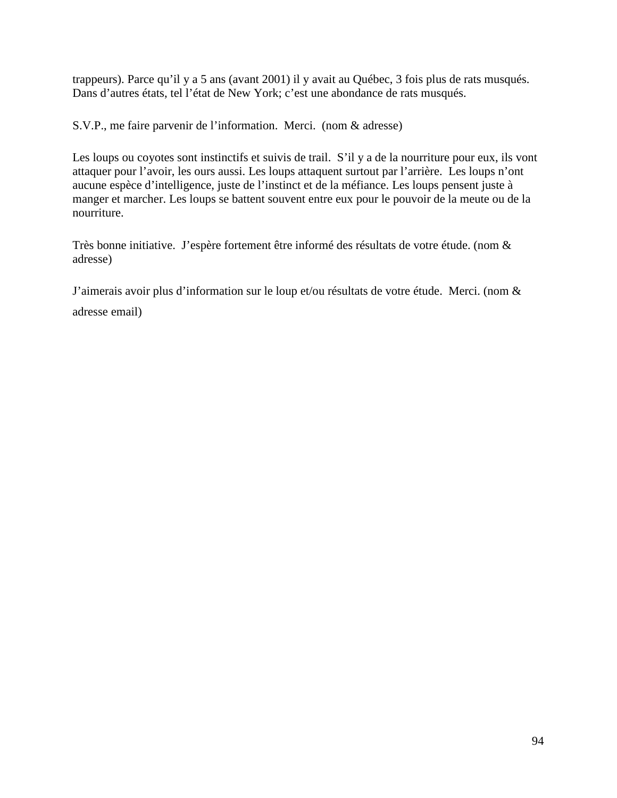trappeurs). Parce qu'il y a 5 ans (avant 2001) il y avait au Québec, 3 fois plus de rats musqués. Dans d'autres états, tel l'état de New York; c'est une abondance de rats musqués.

S.V.P., me faire parvenir de l'information. Merci. (nom & adresse)

Les loups ou coyotes sont instinctifs et suivis de trail. S'il y a de la nourriture pour eux, ils vont attaquer pour l'avoir, les ours aussi. Les loups attaquent surtout par l'arrière. Les loups n'ont aucune espèce d'intelligence, juste de l'instinct et de la méfiance. Les loups pensent juste à manger et marcher. Les loups se battent souvent entre eux pour le pouvoir de la meute ou de la nourriture.

Très bonne initiative. J'espère fortement être informé des résultats de votre étude. (nom & adresse)

J'aimerais avoir plus d'information sur le loup et/ou résultats de votre étude. Merci. (nom & adresse email)